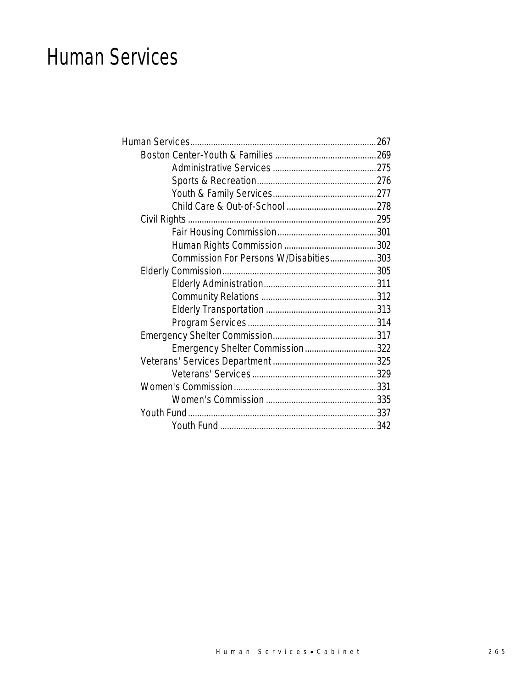## Human Services

| Commission For Persons W/Disabities 303 |  |
|-----------------------------------------|--|
|                                         |  |
|                                         |  |
|                                         |  |
|                                         |  |
|                                         |  |
|                                         |  |
| Emergency Shelter Commission322         |  |
|                                         |  |
|                                         |  |
|                                         |  |
|                                         |  |
|                                         |  |
|                                         |  |
|                                         |  |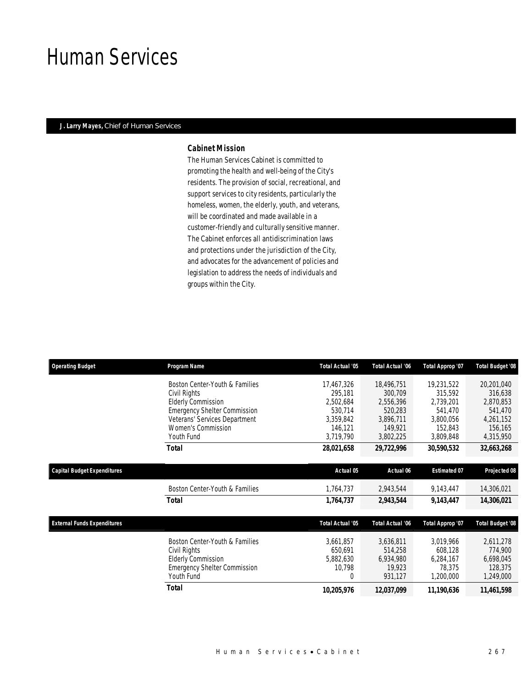## Human Services

### *J. Larry Mayes, Chief of Human Services*

#### *Cabinet Mission*

The Human Services Cabinet is committed to promoting the health and well-being of the City's residents. The provision of social, recreational, and support services to city residents, particularly the homeless, women, the elderly, youth, and veterans, will be coordinated and made available in a customer-friendly and culturally sensitive manner. The Cabinet enforces all antidiscrimination laws and protections under the jurisdiction of the City, and advocates for the advancement of policies and legislation to address the needs of individuals and groups within the City.

| <b>Operating Budget</b>            | Program Name                                                                                                                                                                                   | <b>Total Actual '05</b>                                                            | <b>Total Actual '06</b>                                                            | Total Approp '07                                                                   | <b>Total Budget '08</b>                                                            |
|------------------------------------|------------------------------------------------------------------------------------------------------------------------------------------------------------------------------------------------|------------------------------------------------------------------------------------|------------------------------------------------------------------------------------|------------------------------------------------------------------------------------|------------------------------------------------------------------------------------|
|                                    | Boston Center-Youth & Families<br>Civil Rights<br><b>Elderly Commission</b><br><b>Emergency Shelter Commission</b><br>Veterans' Services Department<br><b>Women's Commission</b><br>Youth Fund | 17,467,326<br>295,181<br>2,502,684<br>530.714<br>3,359,842<br>146,121<br>3,719,790 | 18,496,751<br>300,709<br>2,556,396<br>520,283<br>3,896,711<br>149,921<br>3,802,225 | 19,231,522<br>315,592<br>2,739,201<br>541,470<br>3,800,056<br>152,843<br>3,809,848 | 20,201,040<br>316,638<br>2,870,853<br>541,470<br>4,261,152<br>156,165<br>4,315,950 |
|                                    | <b>Total</b>                                                                                                                                                                                   | 28,021,658                                                                         | 29,722,996                                                                         | 30,590,532                                                                         | 32,663,268                                                                         |
| <b>Capital Budget Expenditures</b> |                                                                                                                                                                                                | Actual 05                                                                          | Actual 06                                                                          | <b>Estimated 07</b>                                                                | Projected 08                                                                       |
|                                    | Boston Center-Youth & Families                                                                                                                                                                 | 1,764,737                                                                          | 2,943,544                                                                          | 9,143,447                                                                          | 14,306,021                                                                         |
|                                    | <b>Total</b>                                                                                                                                                                                   | 1,764,737                                                                          | 2,943,544                                                                          | 9,143,447                                                                          | 14,306,021                                                                         |
| <b>External Funds Expenditures</b> |                                                                                                                                                                                                | <b>Total Actual '05</b>                                                            | <b>Total Actual '06</b>                                                            | Total Approp '07                                                                   | <b>Total Budget '08</b>                                                            |
|                                    | Boston Center-Youth & Families<br>Civil Rights<br><b>Elderly Commission</b><br><b>Emergency Shelter Commission</b><br>Youth Fund                                                               | 3,661,857<br>650.691<br>5,882,630<br>10,798<br>$\overline{0}$                      | 3,636,811<br>514,258<br>6,934,980<br>19,923<br>931,127                             | 3,019,966<br>608,128<br>6,284,167<br>78,375<br>1,200,000                           | 2,611,278<br>774,900<br>6,698,045<br>128,375<br>1,249,000                          |
|                                    | <b>Total</b>                                                                                                                                                                                   | 10,205,976                                                                         | 12,037,099                                                                         | 11,190,636                                                                         | 11,461,598                                                                         |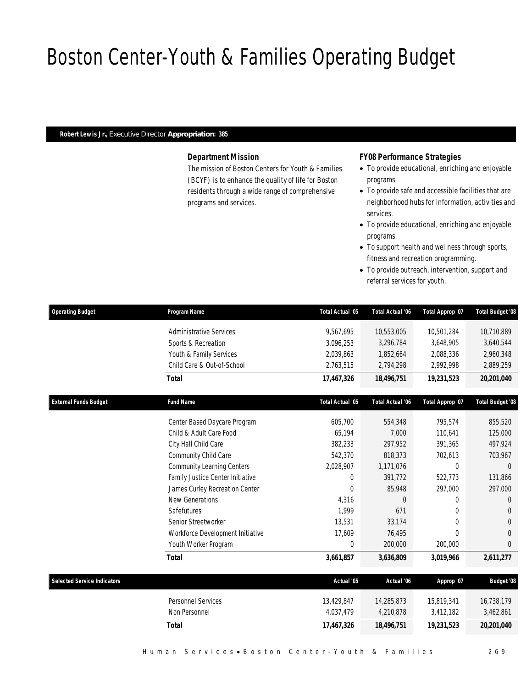# Boston Center-Youth & Families Operating Budget

## *Robert Lewis Jr., Executive Director Appropriation: 385*

## *Department Mission*

The mission of Boston Centers for Youth & Families (BCYF) is to enhance the quality of life for Boston residents through a wide range of comprehensive programs and services.

## *FY08 Performance Strategies*

- To provide educational, enriching and enjoyable programs.
- To provide safe and accessible facilities that are neighborhood hubs for information, activities and services.
- To provide educational, enriching and enjoyable programs.
- To support health and wellness through sports, fitness and recreation programming.
- To provide outreach, intervention, support and referral services for youth.

| <b>Operating Budget</b>            | Program Name                      | Total Actual '05 | Total Actual '06 | Total Approp '07 | Total Budget '08        |
|------------------------------------|-----------------------------------|------------------|------------------|------------------|-------------------------|
|                                    | <b>Administrative Services</b>    | 9,567,695        | 10,553,005       | 10,501,284       | 10,710,889              |
|                                    | Sports & Recreation               | 3,096,253        | 3,296,784        | 3,648,905        | 3,640,544               |
|                                    | Youth & Family Services           | 2,039,863        | 1,852,664        | 2,088,336        | 2,960,348               |
|                                    | Child Care & Out-of-School        | 2,763,515        | 2,794,298        | 2,992,998        | 2,889,259               |
|                                    | <b>Total</b>                      | 17,467,326       | 18,496,751       | 19,231,523       | 20,201,040              |
| <b>External Funds Budget</b>       | <b>Fund Name</b>                  | Total Actual '05 | Total Actual '06 | Total Approp '07 | <b>Total Budget '08</b> |
|                                    | Center Based Daycare Program      | 605,700          | 554,348          | 795,574          | 855,520                 |
|                                    | Child & Adult Care Food           | 65,194           | 7,000            | 110,641          | 125,000                 |
|                                    | City Hall Child Care              | 382,233          | 297,952          | 391,365          | 497,924                 |
|                                    | Community Child Care              | 542,370          | 818,373          | 702,613          | 703,967                 |
|                                    | <b>Community Learning Centers</b> | 2,028,907        | 1,171,076        | 0                | $\Omega$                |
|                                    | Family Justice Center Initiative  | $\overline{0}$   | 391,772          | 522,773          | 131,866                 |
|                                    | James Curley Recreation Center    | $\mathbf{0}$     | 85,948           | 297,000          | 297,000                 |
|                                    | New Generations                   | 4,316            | $\Omega$         | 0                | $\Omega$                |
|                                    | Safefutures                       | 1,999            | 671              | $\Omega$         | $\Omega$                |
|                                    | Senior Streetworker               | 13,531           | 33,174           | $\overline{0}$   | $\theta$                |
|                                    | Workforce Development Initiative  | 17,609           | 76,495           | $\Omega$         | $\Omega$                |
|                                    | Youth Worker Program              | $\Omega$         | 200,000          | 200,000          | $\theta$                |
|                                    | <b>Total</b>                      | 3,661,857        | 3,636,809        | 3,019,966        | 2,611,277               |
| <b>Selected Service Indicators</b> |                                   | Actual '05       | Actual '06       | Approp '07       | <b>Budget '08</b>       |
|                                    | Personnel Services                | 13,429,847       | 14,285,873       | 15,819,341       | 16,738,179              |
|                                    | Non Personnel                     | 4,037,479        | 4,210,878        | 3,412,182        | 3,462,861               |
|                                    | <b>Total</b>                      | 17,467,326       | 18.496.751       | 19,231,523       | 20.201.040              |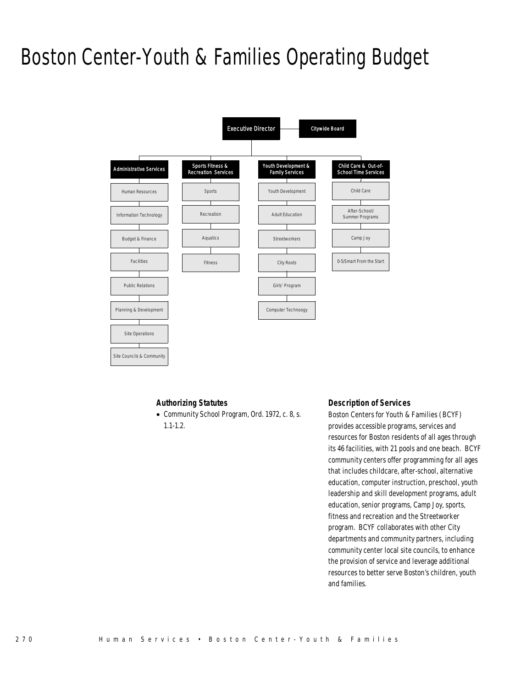# Boston Center-Youth & Families Operating Budget



## *Authorizing Statutes*

• Community School Program, Ord. 1972, c. 8, s. 1.1-1.2.

### *Description of Services*

Boston Centers for Youth & Families (BCYF) provides accessible programs, services and resources for Boston residents of all ages through its 46 facilities, with 21 pools and one beach. BCYF community centers offer programming for all ages that includes childcare, after-school, alternative education, computer instruction, preschool, youth leadership and skill development programs, adult education, senior programs, Camp Joy, sports, fitness and recreation and the Streetworker program. BCYF collaborates with other City departments and community partners, including community center local site councils, to enhance the provision of service and leverage additional resources to better serve Boston's children, youth and families.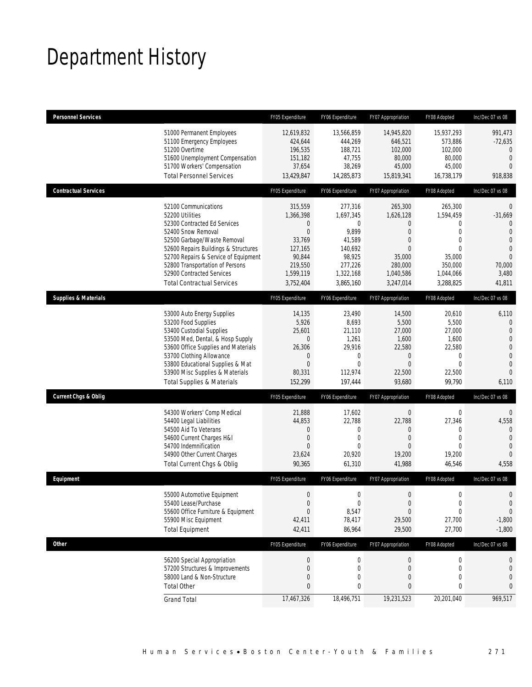# Department History

| <b>Personnel Services</b>       |                                                                                                                                                                                                                                                                                                                   | FY05 Expenditure                                                                                                         | FY06 Expenditure                                                                                       | FY07 Appropriation                                                                                                                    | FY08 Adopted                                                                                                              | Inc/Dec 07 vs 08                                                                                                                             |
|---------------------------------|-------------------------------------------------------------------------------------------------------------------------------------------------------------------------------------------------------------------------------------------------------------------------------------------------------------------|--------------------------------------------------------------------------------------------------------------------------|--------------------------------------------------------------------------------------------------------|---------------------------------------------------------------------------------------------------------------------------------------|---------------------------------------------------------------------------------------------------------------------------|----------------------------------------------------------------------------------------------------------------------------------------------|
|                                 | 51000 Permanent Employees<br>51100 Emergency Employees<br>51200 Overtime<br>51600 Unemployment Compensation<br>51700 Workers' Compensation<br><b>Total Personnel Services</b>                                                                                                                                     | 12,619,832<br>424,644<br>196,535<br>151,182<br>37,654<br>13,429,847                                                      | 13,566,859<br>444,269<br>188,721<br>47,755<br>38,269<br>14,285,873                                     | 14,945,820<br>646,521<br>102,000<br>80,000<br>45,000<br>15,819,341                                                                    | 15,937,293<br>573,886<br>102,000<br>80,000<br>45,000<br>16,738,179                                                        | 991.473<br>$-72,635$<br>$\mathbf{0}$<br>$\mathbf{0}$<br>$\Omega$<br>918,838                                                                  |
| <b>Contractual Services</b>     |                                                                                                                                                                                                                                                                                                                   | FY05 Expenditure                                                                                                         | FY06 Expenditure                                                                                       | FY07 Appropriation                                                                                                                    | FY08 Adopted                                                                                                              | Inc/Dec 07 vs 08                                                                                                                             |
|                                 | 52100 Communications<br>52200 Utilities<br>52300 Contracted Ed Services<br>52400 Snow Removal<br>52500 Garbage/Waste Removal<br>52600 Repairs Buildings & Structures<br>52700 Repairs & Service of Equipment<br>52800 Transportation of Persons<br>52900 Contracted Services<br><b>Total Contractual Services</b> | 315,559<br>1,366,398<br>$\mathbf{0}$<br>$\mathbf{0}$<br>33,769<br>127,165<br>90,844<br>219,550<br>1,599,119<br>3,752,404 | 277,316<br>1,697,345<br>0<br>9,899<br>41,589<br>140,692<br>98,925<br>277,226<br>1,322,168<br>3,865,160 | 265,300<br>1,626,128<br>$\overline{0}$<br>$\overline{0}$<br>$\overline{0}$<br>$\Omega$<br>35,000<br>280,000<br>1,040,586<br>3,247,014 | 265,300<br>1,594,459<br>0<br>$\mathbf 0$<br>$\mathbf{0}$<br>$\overline{0}$<br>35,000<br>350,000<br>1,044,066<br>3,288,825 | $\overline{0}$<br>$-31,669$<br>$\overline{0}$<br>$\overline{0}$<br>$\theta$<br>$\overline{0}$<br>$\overline{0}$<br>70,000<br>3,480<br>41,811 |
| <b>Supplies &amp; Materials</b> |                                                                                                                                                                                                                                                                                                                   | FY05 Expenditure                                                                                                         | FY06 Expenditure                                                                                       | FY07 Appropriation                                                                                                                    | FY08 Adopted                                                                                                              | Inc/Dec 07 vs 08                                                                                                                             |
|                                 | 53000 Auto Energy Supplies<br>53200 Food Supplies<br>53400 Custodial Supplies<br>53500 Med, Dental, & Hosp Supply<br>53600 Office Supplies and Materials<br>53700 Clothing Allowance<br>53800 Educational Supplies & Mat<br>53900 Misc Supplies & Materials<br><b>Total Supplies &amp; Materials</b>              | 14,135<br>5,926<br>25,601<br>$\overline{0}$<br>26,306<br>$\theta$<br>$\Omega$<br>80,331<br>152,299                       | 23,490<br>8,693<br>21,110<br>1,261<br>29,916<br>0<br>$\Omega$<br>112,974<br>197,444                    | 14,500<br>5,500<br>27,000<br>1,600<br>22,580<br>$\overline{0}$<br>$\Omega$<br>22,500<br>93,680                                        | 20,610<br>5,500<br>27,000<br>1,600<br>22,580<br>$\mathbf 0$<br>$\Omega$<br>22,500<br>99,790                               | 6,110<br>0<br>$\mathbf{0}$<br>$\mathbf 0$<br>$\overline{0}$<br>$\overline{0}$<br>$\overline{0}$<br>$\overline{0}$<br>6,110                   |
| <b>Current Chgs &amp; Oblig</b> |                                                                                                                                                                                                                                                                                                                   | FY05 Expenditure                                                                                                         | FY06 Expenditure                                                                                       | FY07 Appropriation                                                                                                                    | FY08 Adopted                                                                                                              | Inc/Dec 07 vs 08                                                                                                                             |
|                                 | 54300 Workers' Comp Medical<br>54400 Legal Liabilities<br>54500 Aid To Veterans<br>54600 Current Charges H&I<br>54700 Indemnification<br>54900 Other Current Charges<br>Total Current Chgs & Oblig                                                                                                                | 21,888<br>44,853<br>$\mathbf 0$<br>$\mathbf 0$<br>$\theta$<br>23,624<br>90,365                                           | 17,602<br>22,788<br>$\mathbf 0$<br>$\mathbf{0}$<br>$\theta$<br>20,920<br>61,310                        | $\mathbf 0$<br>22,788<br>$\boldsymbol{0}$<br>$\overline{0}$<br>$\overline{0}$<br>19,200<br>41,988                                     | $\mathbf 0$<br>27,346<br>0<br>$\mathbf{0}$<br>$\overline{0}$<br>19,200<br>46,546                                          | $\mathbf 0$<br>4,558<br>$\mathbf{0}$<br>$\mathbf{0}$<br>$\mathbf{0}$<br>$\overline{0}$<br>4,558                                              |
| Equipment                       |                                                                                                                                                                                                                                                                                                                   | FY05 Expenditure                                                                                                         | FY06 Expenditure                                                                                       | FY07 Appropriation                                                                                                                    | FY08 Adopted                                                                                                              | Inc/Dec 07 vs 08                                                                                                                             |
|                                 | 55000 Automotive Equipment<br>55400 Lease/Purchase<br>55600 Office Furniture & Equipment<br>55900 Misc Equipment<br><b>Total Equipment</b>                                                                                                                                                                        | $\Omega$<br>$\boldsymbol{0}$<br>$\Omega$<br>42,411<br>42,411                                                             | $\Omega$<br>$\pmb{0}$<br>8,547<br>78,417<br>86,964                                                     | $\Omega$<br>$\boldsymbol{0}$<br>$\overline{0}$<br>29,500<br>29,500                                                                    | $\Omega$<br>$\boldsymbol{0}$<br>0<br>27,700<br>27,700                                                                     | $\theta$<br>$\mathbf 0$<br>$\mathbf 0$<br>$-1,800$<br>$-1,800$                                                                               |
| <b>Other</b>                    |                                                                                                                                                                                                                                                                                                                   | FY05 Expenditure                                                                                                         | FY06 Expenditure                                                                                       | FY07 Appropriation                                                                                                                    | FY08 Adopted                                                                                                              | Inc/Dec 07 vs 08                                                                                                                             |
|                                 | 56200 Special Appropriation<br>57200 Structures & Improvements<br>58000 Land & Non-Structure<br><b>Total Other</b>                                                                                                                                                                                                | $\theta$<br>$\mathbf 0$<br>$\mathbf{0}$<br>$\mathbf{0}$                                                                  | $\boldsymbol{0}$<br>$\mathbf 0$<br>0<br>0                                                              | $\boldsymbol{0}$<br>0<br>0<br>0                                                                                                       | $\boldsymbol{0}$<br>0<br>0<br>0                                                                                           | 0<br>0<br>0<br>$\mathbf{0}$                                                                                                                  |
|                                 | <b>Grand Total</b>                                                                                                                                                                                                                                                                                                | 17,467,326                                                                                                               | 18,496,751                                                                                             | 19,231,523                                                                                                                            | 20,201,040                                                                                                                | 969,517                                                                                                                                      |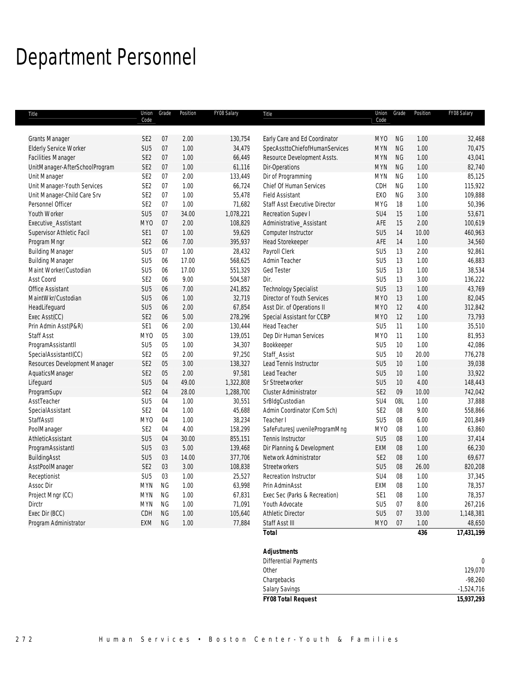# Department Personnel

| Title                          | Union<br>Code   | Grade     | Position | FY08 Salary | Title                                | Union<br>Code   | Grade           | Position | FY08 Salary      |
|--------------------------------|-----------------|-----------|----------|-------------|--------------------------------------|-----------------|-----------------|----------|------------------|
|                                |                 |           |          |             |                                      |                 |                 |          |                  |
| <b>Grants Manager</b>          | SE <sub>2</sub> | 07        | 2.00     | 130,754     | Early Care and Ed Coordinator        | <b>MYO</b>      | <b>NG</b>       | 1.00     | 32,468           |
| <b>Elderly Service Worker</b>  | SU <sub>5</sub> | 07        | 1.00     | 34,479      | SpecAssttoChiefofHumanServices       | <b>MYN</b>      | <b>NG</b>       | 1.00     | 70,475           |
| <b>Facilities Manager</b>      | SE <sub>2</sub> | 07        | 1.00     | 66,449      | Resource Development Assts.          | <b>MYN</b>      | <b>NG</b>       | 1.00     | 43,041           |
| UnitManager-AfterSchoolProgram | SE <sub>2</sub> | 07        | 1.00     | 61,116      | Dir-Operations                       | <b>MYN</b>      | <b>NG</b>       | 1.00     | 82,740           |
| Unit Manager                   | SE <sub>2</sub> | 07        | 2.00     | 133,449     | Dir of Programming                   | <b>MYN</b>      | <b>NG</b>       | 1.00     | 85,125           |
| Unit Manager-Youth Services    | SE <sub>2</sub> | 07        | 1.00     | 66,724      | Chief Of Human Services              | CDH             | <b>NG</b>       | 1.00     | 115,922          |
| Unit Manager-Child Care Srv    | SE <sub>2</sub> | 07        | 1.00     | 55,478      | <b>Field Assistant</b>               | <b>EXO</b>      | <b>NG</b>       | 3.00     | 109,888          |
| Personnel Officer              | SE <sub>2</sub> | 07        | 1.00     | 71,682      | <b>Staff Asst Executive Director</b> | <b>MYG</b>      | 18              | 1.00     | 50,396           |
| Youth Worker                   | SU <sub>5</sub> | 07        | 34.00    | 1,078,221   | Recreation Supev I                   | SU4             | 15              | 1.00     | 53,671           |
| Executive_Asstistant           | <b>MYO</b>      | 07        | 2.00     | 108,829     | Administrative Assistant             | AFE             | 15              | 2.00     | 100,619          |
| Supervisor Athletic Facil      | SE1             | 07        | 1.00     | 59,629      | Computer Instructor                  | SU <sub>5</sub> | 14              | 10.00    | 460,963          |
| Program Mngr                   | SE <sub>2</sub> | 06        | 7.00     | 395,937     | <b>Head Storekeeper</b>              | AFE             | 14              | 1.00     | 34,560           |
| <b>Building Manager</b>        | SU <sub>5</sub> | 07        | 1.00     | 28,432      | Payroll Clerk                        | SU <sub>5</sub> | 13              | 2.00     | 92,861           |
| <b>Building Manager</b>        | SU <sub>5</sub> | 06        | 17.00    | 568,625     | Admin Teacher                        | SU <sub>5</sub> | 13              | 1.00     | 46,883           |
| Maint Worker/Custodian         | SU <sub>5</sub> | 06        | 17.00    | 551,329     | Ged Tester                           | SU <sub>5</sub> | 13              | 1.00     | 38,534           |
| Asst Coord                     | SE <sub>2</sub> | 06        | 9.00     | 504,587     | Dir.                                 | SU <sub>5</sub> | 13              | 3.00     | 136,222          |
| <b>Office Assistant</b>        | SU <sub>5</sub> | 06        | 7.00     | 241,852     | <b>Technology Specialist</b>         | SU <sub>5</sub> | 13              | 1.00     | 43,769           |
| MaintWkr/Custodian             | SU <sub>5</sub> | 06        | 1.00     | 32,719      | Director of Youth Services           | MY <sub>0</sub> | 13              | 1.00     | 82,045           |
| HeadLifeguard                  | SU <sub>5</sub> | 06        | 2.00     | 67,854      | Asst Dir. of Operations II           | <b>MYO</b>      | 12              | 4.00     | 312,842          |
| Exec Asst(CC)                  | SE <sub>2</sub> | 06        | 5.00     | 278,296     | Special Assistant for CCBP           | MY <sub>0</sub> | 12              | 1.00     | 73,793           |
| Prin Admin Asst(P&R)           | SE <sub>1</sub> | 06        | 2.00     | 130,444     | Head Teacher                         | SU <sub>5</sub> | 11              | 1.00     | 35,510           |
| Staff Asst                     | <b>MYO</b>      | 05        | 3.00     | 139,051     | Dep Dir Human Services               | MY <sub>0</sub> | 11              | 1.00     | 81,953           |
| ProgramAssistantII             | SU <sub>5</sub> | 05        | 1.00     | 34,307      | Bookkeeper                           | SU <sub>5</sub> | 10              | 1.00     | 42,086           |
| SpecialAssistantI(CC)          | SE <sub>2</sub> | 05        | 2.00     | 97,250      | Staff_Assist                         | SU <sub>5</sub> | 10 <sup>°</sup> | 20.00    | 776,278          |
| Resources Development Manager  | SE <sub>2</sub> | 05        | 3.00     | 138,327     | Lead Tennis Instructor               | SU <sub>5</sub> | 10 <sup>°</sup> | 1.00     | 39,038           |
| AquaticsManager                | SE <sub>2</sub> | 05        | 2.00     | 97,581      | Lead Teacher                         | SU <sub>5</sub> | 10              | 1.00     | 33,922           |
| Lifeguard                      | SU <sub>5</sub> | 04        | 49.00    | 1,322,808   | Sr Streetworker                      | SU <sub>5</sub> | 10              | 4.00     | 148,443          |
| ProgramSupv                    | SE <sub>2</sub> | 04        | 28.00    | 1,288,700   | <b>Cluster Administrator</b>         | SE <sub>2</sub> | 09              | 10.00    | 742,042          |
| AsstTeacher                    | SU <sub>5</sub> | 04        | 1.00     | 30,551      | SrBldgCustodian                      | SU4             | 08L             | 1.00     | 37,888           |
| SpecialAssistant               | SE <sub>2</sub> | 04        | 1.00     | 45,688      | Admin Coordinator (Com Sch)          | SE <sub>2</sub> | 08              | 9.00     | 558,866          |
| StaffAsstl                     | MY <sub>0</sub> | 04        | 1.00     | 38,234      | Teacher I                            | SU <sub>5</sub> | 08              | 6.00     | 201,849          |
| PoolManager                    | SE <sub>2</sub> | 04        | 4.00     | 158,299     | SafeFuturesJuvenileProgramMng        | MY <sub>0</sub> | 08              | 1.00     | 63,860           |
| AthleticAssistant              | SU <sub>5</sub> | 04        | 30.00    | 855,151     | Tennis Instructor                    | SU <sub>5</sub> | 08              | 1.00     | 37,414           |
| ProgramAssistantI              | SU <sub>5</sub> | 03        | 5.00     | 139,468     | Dir Planning & Development           | <b>EXM</b>      | 08              | 1.00     | 66,230           |
| BuildingAsst                   | SU <sub>5</sub> | 03        | 14.00    | 377,706     | Network Administrator                | SE <sub>2</sub> | 08              | 1.00     | 69,677           |
| AsstPoolManager                | SE <sub>2</sub> | 03        | 3.00     | 108,838     | <b>Streetworkers</b>                 | SU <sub>5</sub> | 08              | 26.00    | 820,208          |
| Receptionist                   | SU <sub>5</sub> | 03        | 1.00     | 25,527      | Recreation Instructor                | SU <sub>4</sub> | 08              | 1.00     | 37,345           |
| Assoc Dir                      | <b>MYN</b>      | <b>NG</b> | 1.00     | 63,998      | Prin AdminAsst                       | EXM             | 08              | 1.00     | 78,357           |
| Project Mngr (CC)              | <b>MYN</b>      | <b>NG</b> | 1.00     | 67,831      | Exec Sec (Parks & Recreation)        | SE1             | 08              | 1.00     | 78,357           |
| Dirctr                         | <b>MYN</b>      | <b>NG</b> | 1.00     | 71,091      | Youth Advocate                       | SU <sub>5</sub> | 07              | 8.00     | 267,216          |
| Exec Dir (BCC)                 | CDH             | NG        | 1.00     | 105,640     | <b>Athletic Director</b>             | SU <sub>5</sub> | 07              | 33.00    | 1,148,381        |
| Program Administrator          | EXM             | <b>NG</b> | 1.00     | 77,884      | Staff Asst III                       | MY <sub>0</sub> | 07              | 1.00     | 48,650           |
|                                |                 |           |          |             | Total                                |                 |                 | 436      | 17,431,199       |
|                                |                 |           |          |             | <b>Adjustments</b>                   |                 |                 |          |                  |
|                                |                 |           |          |             | Differential Payments                |                 |                 |          | $\boldsymbol{0}$ |

| <b>FY08 Total Request</b> | 15,937,293   |
|---------------------------|--------------|
| <b>Salary Savings</b>     | $-1,524,716$ |
| Chargebacks               | $-98,260$    |
| Other                     | 129,070      |
| Differential Payments     |              |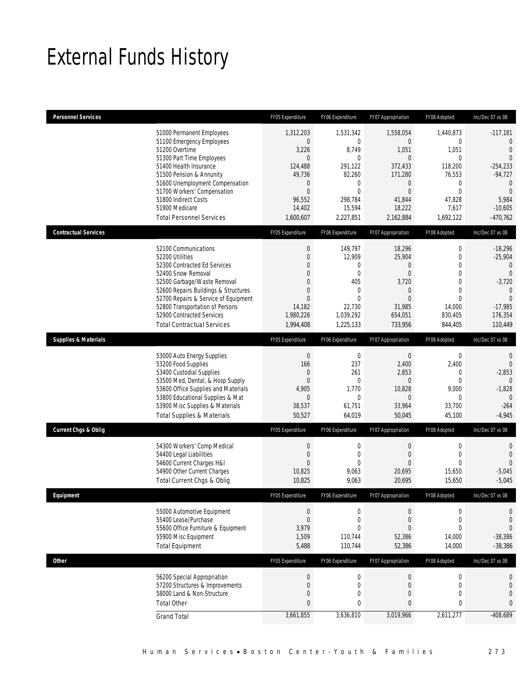# External Funds History

| <b>Personnel Services</b>        |                                                                                                                                                                                                                                                                                                | FY05 Expenditure                                                                                                         | FY06 Expenditure                                                                                                                  | FY07 Appropriation                                                                                                            | FY08 Adopted                                                                                                                   | Inc/Dec 07 vs 08                                                                                                                                        |
|----------------------------------|------------------------------------------------------------------------------------------------------------------------------------------------------------------------------------------------------------------------------------------------------------------------------------------------|--------------------------------------------------------------------------------------------------------------------------|-----------------------------------------------------------------------------------------------------------------------------------|-------------------------------------------------------------------------------------------------------------------------------|--------------------------------------------------------------------------------------------------------------------------------|---------------------------------------------------------------------------------------------------------------------------------------------------------|
| 51200 Overtime<br>51900 Medicare | 51000 Permanent Employees<br>51100 Emergency Employees<br>51300 Part Time Employees<br>51400 Health Insurance<br>51500 Pension & Annunity<br>51600 Unemployment Compensation<br>51700 Workers' Compensation<br>51800 Indirect Costs<br><b>Total Personnel Services</b>                         | 1,312,203<br>$\theta$<br>3,226<br>$\Omega$<br>124,488<br>49,736<br>$\theta$<br>$\theta$<br>96,552<br>14,402<br>1,600,607 | 1,531,342<br>$\mathbf{0}$<br>8,749<br>$\theta$<br>291.122<br>82,260<br>$\mathbf{0}$<br>$\theta$<br>298,784<br>15,594<br>2,227,851 | 1,558,054<br>$\overline{0}$<br>1,051<br>$\Omega$<br>372,433<br>171,280<br>0<br>$\mathbf{0}$<br>41,844<br>18,222<br>2,162,884  | 1,440,873<br>0<br>1,051<br>$\Omega$<br>118,200<br>76,553<br>$\boldsymbol{0}$<br>$\overline{0}$<br>47,828<br>7,617<br>1,692,122 | $-117,181$<br>$\overline{0}$<br>$\mathbf{0}$<br>$\Omega$<br>$-254,233$<br>$-94,727$<br>$\mathbf{0}$<br>$\mathbf{0}$<br>5,984<br>$-10,605$<br>$-470,762$ |
| <b>Contractual Services</b>      |                                                                                                                                                                                                                                                                                                | FY05 Expenditure                                                                                                         | FY06 Expenditure                                                                                                                  | FY07 Appropriation                                                                                                            | FY08 Adopted                                                                                                                   | Inc/Dec 07 vs 08                                                                                                                                        |
| 52200 Utilities                  | 52100 Communications<br>52300 Contracted Ed Services<br>52400 Snow Removal<br>52500 Garbage/Waste Removal<br>52600 Repairs Buildings & Structures<br>52700 Repairs & Service of Equipment<br>52800 Transportation of Persons<br>52900 Contracted Services<br><b>Total Contractual Services</b> | $\theta$<br>$\theta$<br>$\Omega$<br>0<br>$\Omega$<br>$\mathbf{0}$<br>$\theta$<br>14,182<br>1,980,226<br>1,994,408        | 149,797<br>12,909<br>$\mathbf{0}$<br>$\mathbf{0}$<br>405<br>$\mathbf{0}$<br>$\theta$<br>22,730<br>1,039,292<br>1,225,133          | 18,296<br>25,904<br>$\boldsymbol{0}$<br>$\overline{0}$<br>3,720<br>$\overline{0}$<br>$\Omega$<br>31,985<br>654,051<br>733,956 | 0<br>0<br>$\overline{0}$<br>$\mathbf 0$<br>0<br>$\overline{0}$<br>$\Omega$<br>14,000<br>830,405<br>844,405                     | $-18,296$<br>$-25,904$<br>$\overline{0}$<br>$\overline{0}$<br>$-3,720$<br>$\theta$<br>$\Omega$<br>$-17,985$<br>176,354<br>110,449                       |
| <b>Supplies &amp; Materials</b>  |                                                                                                                                                                                                                                                                                                | FY05 Expenditure                                                                                                         | FY06 Expenditure                                                                                                                  | FY07 Appropriation                                                                                                            | FY08 Adopted                                                                                                                   | Inc/Dec 07 vs 08                                                                                                                                        |
|                                  | 53000 Auto Energy Supplies<br>53200 Food Supplies<br>53400 Custodial Supplies<br>53500 Med, Dental, & Hosp Supply<br>53600 Office Supplies and Materials<br>53800 Educational Supplies & Mat<br>53900 Misc Supplies & Materials<br><b>Total Supplies &amp; Materials</b>                       | $\theta$<br>166<br>$\theta$<br>$\mathbf{0}$<br>4,905<br>$\theta$<br>38,537<br>50,527                                     | $\mathbf 0$<br>237<br>261<br>$\mathbf{0}$<br>1,770<br>$\mathbf{0}$<br>61,751<br>64,019                                            | $\boldsymbol{0}$<br>2,400<br>2,853<br>$\overline{0}$<br>10,828<br>$\overline{0}$<br>33,964<br>50,045                          | 0<br>2,400<br>0<br>$\mathbf 0$<br>9,000<br>0<br>33,700<br>45,100                                                               | $\mathbf{0}$<br>$\Omega$<br>$-2,853$<br>$\overline{0}$<br>$-1,828$<br>$\overline{0}$<br>$-264$<br>$-4,945$                                              |
| <b>Current Chgs &amp; Oblig</b>  |                                                                                                                                                                                                                                                                                                | FY05 Expenditure                                                                                                         | FY06 Expenditure                                                                                                                  | FY07 Appropriation                                                                                                            | FY08 Adopted                                                                                                                   | Inc/Dec 07 vs 08                                                                                                                                        |
|                                  | 54300 Workers' Comp Medical<br>54400 Legal Liabilities<br>54600 Current Charges H&I<br>54900 Other Current Charges<br>Total Current Chgs & Oblig                                                                                                                                               | $\mathbf{0}$<br>$\theta$<br>$\Omega$<br>10,825<br>10,825                                                                 | $\mathbf 0$<br>$\mathbf{0}$<br>$\Omega$<br>9,063<br>9,063                                                                         | $\boldsymbol{0}$<br>$\overline{0}$<br>$\Omega$<br>20,695<br>20,695                                                            | $\mathbf 0$<br>$\mathbf 0$<br>$\Omega$<br>15,650<br>15,650                                                                     | $\mathbf{0}$<br>$\overline{0}$<br>$\Omega$<br>$-5,045$<br>$-5,045$                                                                                      |
| <b>Fauinment</b>                 |                                                                                                                                                                                                                                                                                                | FY05 Expenditure                                                                                                         | FY06 Expenditure                                                                                                                  | FY07 Appropriation                                                                                                            | FY08 Adopted                                                                                                                   | $Inc/Dec 07$ vs $08$                                                                                                                                    |
| <b>Total Equipment</b>           | 55000 Automotive Equipment<br>55400 Lease/Purchase<br>55600 Office Furniture & Equipment<br>55900 Misc Equipment                                                                                                                                                                               | $\mathbf 0$<br>$\Omega$<br>3,979<br>1,509<br>5,488                                                                       | $\mathbf 0$<br>$\mathbf{0}$<br>$\overline{0}$<br>110,744<br>110,744                                                               | $\mathbf 0$<br>$\overline{0}$<br>$\mathbf{0}$<br>52,386<br>52,386                                                             | 0<br>0<br>$\overline{0}$<br>14,000<br>14,000                                                                                   | $\mathbf{0}$<br>$\overline{0}$<br>$\overline{0}$<br>$-38,386$<br>$-38,386$                                                                              |
| <b>Other</b>                     |                                                                                                                                                                                                                                                                                                | FY05 Expenditure                                                                                                         | FY06 Expenditure                                                                                                                  | FY07 Appropriation                                                                                                            | FY08 Adopted                                                                                                                   | Inc/Dec 07 vs 08                                                                                                                                        |
| <b>Total Other</b>               | 56200 Special Appropriation<br>57200 Structures & Improvements<br>58000 Land & Non-Structure                                                                                                                                                                                                   | $\theta$<br>$\mathbf{0}$<br>0                                                                                            | $\boldsymbol{0}$<br>$\mathbf 0$<br>0                                                                                              | $\boldsymbol{0}$<br>$\boldsymbol{0}$<br>$\mathbf 0$                                                                           | $\boldsymbol{0}$<br>$\mathbf 0$<br>0                                                                                           | 0<br>$\mathbf 0$<br>$\mathbf 0$                                                                                                                         |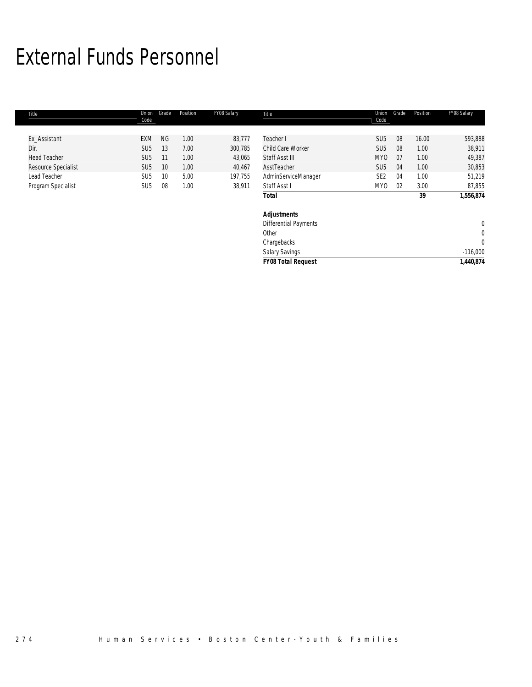# External Funds Personnel

| Title               | Union<br>Code   | Grade     | Position | FY08 Salary | Title                        | Union<br>Code   | Grade | Position | FY08 Salary    |
|---------------------|-----------------|-----------|----------|-------------|------------------------------|-----------------|-------|----------|----------------|
|                     |                 |           |          |             |                              |                 |       |          |                |
| Ex Assistant        | EXM             | <b>NG</b> | 1.00     | 83,777      | Teacher I                    | SU <sub>5</sub> | 08    | 16.00    | 593,888        |
| Dir.                | SU <sub>5</sub> | 13        | 7.00     | 300,785     | Child Care Worker            | SU <sub>5</sub> | 08    | 1.00     | 38,911         |
| <b>Head Teacher</b> | SU <sub>5</sub> | 11        | 1.00     | 43,065      | Staff Asst III               | MY <sub>0</sub> | 07    | 1.00     | 49,387         |
| Resource Specialist | SU <sub>5</sub> | 10        | 1.00     | 40,467      | AsstTeacher                  | SU <sub>5</sub> | 04    | 1.00     | 30,853         |
| Lead Teacher        | SU <sub>5</sub> | 10        | 5.00     | 197,755     | AdminServiceManager          | SE <sub>2</sub> | 04    | 1.00     | 51,219         |
| Program Specialist  | SU <sub>5</sub> | 08        | 1.00     | 38,911      | Staff Asst I                 | MY0             | 02    | 3.00     | 87,855         |
|                     |                 |           |          |             | <b>Total</b>                 |                 |       | 39       | 1,556,874      |
|                     |                 |           |          |             | <b>Adjustments</b>           |                 |       |          |                |
|                     |                 |           |          |             | <b>Differential Payments</b> |                 |       |          | $\mathbf 0$    |
|                     |                 |           |          |             | Other                        |                 |       |          | 0              |
|                     |                 |           |          |             | Chargebacks                  |                 |       |          | $\overline{0}$ |
|                     |                 |           |          |             | <b>Salary Savings</b>        |                 |       |          | $-116,000$     |
|                     |                 |           |          |             | <b>FY08 Total Request</b>    |                 |       |          | 1,440,874      |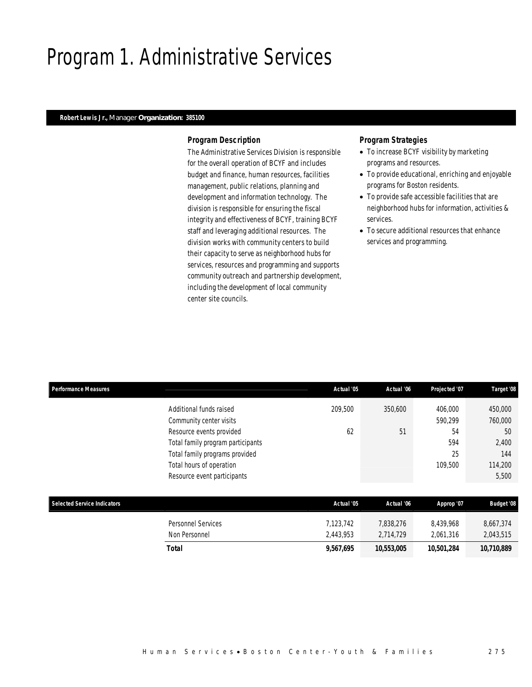## Program 1. Administrative Services

## *Robert Lewis Jr., Manager Organization: 385100*

#### *Program Description*

The Administrative Services Division is responsible for the overall operation of BCYF and includes budget and finance, human resources, facilities management, public relations, planning and development and information technology. The division is responsible for ensuring the fiscal integrity and effectiveness of BCYF, training BCYF staff and leveraging additional resources. The division works with community centers to build their capacity to serve as neighborhood hubs for services, resources and programming and supports community outreach and partnership development, including the development of local community center site councils.

- To increase BCYF visibility by marketing programs and resources.
- To provide educational, enriching and enjoyable programs for Boston residents.
- To provide safe accessible facilities that are neighborhood hubs for information, activities & services.
- To secure additional resources that enhance services and programming.

| <b>Performance Measures</b>        |                                   | Actual '05 | Actual '06 | Projected '07 | Target '08        |
|------------------------------------|-----------------------------------|------------|------------|---------------|-------------------|
|                                    | Additional funds raised           | 209,500    | 350,600    | 406,000       | 450,000           |
|                                    | Community center visits           |            |            | 590,299       | 760,000           |
|                                    | Resource events provided          | 62         | 51         | 54            | 50                |
|                                    | Total family program participants |            |            | 594           | 2,400             |
|                                    | Total family programs provided    |            |            | 25            | 144               |
|                                    | Total hours of operation          |            |            | 109,500       | 114,200           |
|                                    | Resource event participants       |            |            |               | 5,500             |
| <b>Selected Service Indicators</b> |                                   | Actual '05 | Actual '06 | Approp '07    | <b>Budget '08</b> |
|                                    | <b>Personnel Services</b>         | 7,123,742  | 7,838,276  | 8,439,968     | 8,667,374         |
|                                    | Non Personnel                     | 2,443,953  | 2,714,729  | 2,061,316     | 2,043,515         |
|                                    | <b>Total</b>                      | 9,567,695  | 10,553,005 | 10,501,284    | 10,710,889        |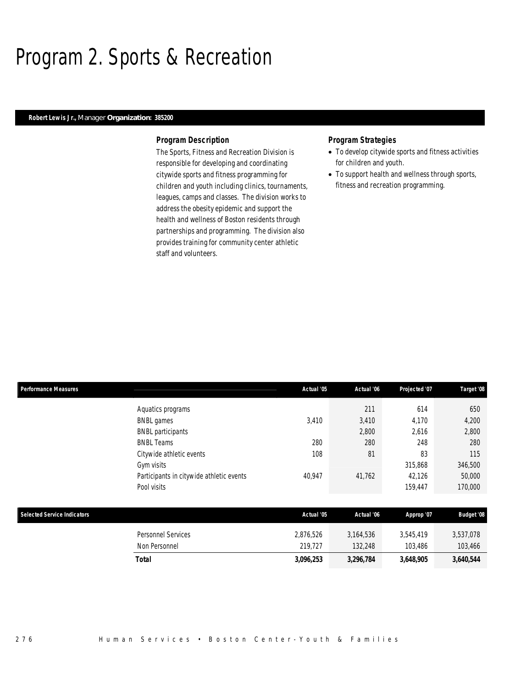## Program 2. Sports & Recreation

## *Robert Lewis Jr., Manager Organization: 385200*

#### *Program Description*

The Sports, Fitness and Recreation Division is responsible for developing and coordinating citywide sports and fitness programming for children and youth including clinics, tournaments, leagues, camps and classes. The division works to address the obesity epidemic and support the health and wellness of Boston residents through partnerships and programming. The division also provides training for community center athletic staff and volunteers.

- To develop citywide sports and fitness activities for children and youth.
- To support health and wellness through sports, fitness and recreation programming.

| <b>Performance Measures</b>        |                                          | Actual '05 | Actual '06 | Projected '07 | Target '08        |
|------------------------------------|------------------------------------------|------------|------------|---------------|-------------------|
|                                    | Aquatics programs                        |            | 211        | 614           | 650               |
|                                    | <b>BNBL</b> games                        | 3,410      | 3,410      | 4,170         | 4,200             |
|                                    | <b>BNBL</b> participants                 |            | 2,800      | 2,616         | 2,800             |
|                                    | <b>BNBL Teams</b>                        | 280        | 280        | 248           | 280               |
|                                    | Citywide athletic events                 | 108        | 81         | 83            | 115               |
|                                    | Gym visits                               |            |            | 315,868       | 346,500           |
|                                    | Participants in citywide athletic events | 40,947     | 41,762     | 42,126        | 50,000            |
|                                    | Pool visits                              |            |            | 159,447       | 170,000           |
|                                    |                                          |            |            |               |                   |
| <b>Selected Service Indicators</b> |                                          | Actual '05 | Actual '06 | Approp '07    | <b>Budget '08</b> |
|                                    | <b>Personnel Services</b>                | 2,876,526  | 3,164,536  | 3,545,419     | 3,537,078         |
|                                    | Non Personnel                            | 219,727    | 132,248    | 103,486       | 103,466           |
|                                    | <b>Total</b>                             | 3,096,253  | 3,296,784  | 3,648,905     | 3,640,544         |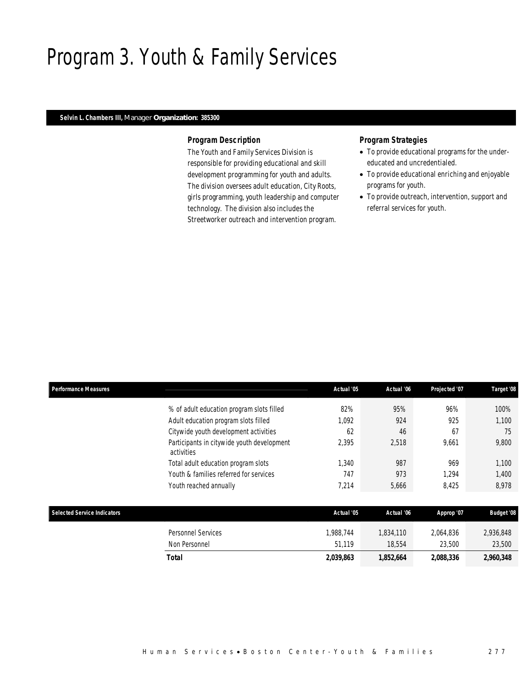## Program 3. Youth & Family Services

## *Selvin L. Chambers III, Manager Organization: 385300*

### *Program Description*

The Youth and Family Services Division is responsible for providing educational and skill development programming for youth and adults. The division oversees adult education, City Roots, girls programming, youth leadership and computer technology. The division also includes the Streetworker outreach and intervention program.

- To provide educational programs for the undereducated and uncredentialed.
- To provide educational enriching and enjoyable programs for youth.
- To provide outreach, intervention, support and referral services for youth.

| <b>Performance Measures</b>        |                                                          | Actual '05 | Actual '06 | Projected '07 | Target '08        |
|------------------------------------|----------------------------------------------------------|------------|------------|---------------|-------------------|
|                                    | % of adult education program slots filled                | 82%        | 95%        | 96%           | 100%              |
|                                    | Adult education program slots filled                     | 1,092      | 924        | 925           | 1,100             |
|                                    | Citywide youth development activities                    | 62         | 46         | 67            | 75                |
|                                    | Participants in citywide youth development<br>activities | 2,395      | 2,518      | 9,661         | 9,800             |
|                                    | Total adult education program slots                      | 1,340      | 987        | 969           | 1,100             |
|                                    | Youth & families referred for services                   | 747        | 973        | 1,294         | 1,400             |
|                                    | Youth reached annually                                   | 7,214      | 5,666      | 8,425         | 8,978             |
| <b>Selected Service Indicators</b> |                                                          | Actual '05 | Actual '06 | Approp '07    | <b>Budget '08</b> |
|                                    | <b>Personnel Services</b>                                | 1.988.744  | 1,834,110  | 2,064,836     | 2,936,848         |
|                                    | Non Personnel                                            | 51,119     | 18,554     | 23,500        | 23,500            |
|                                    | <b>Total</b>                                             | 2,039,863  | 1,852,664  | 2,088,336     | 2,960,348         |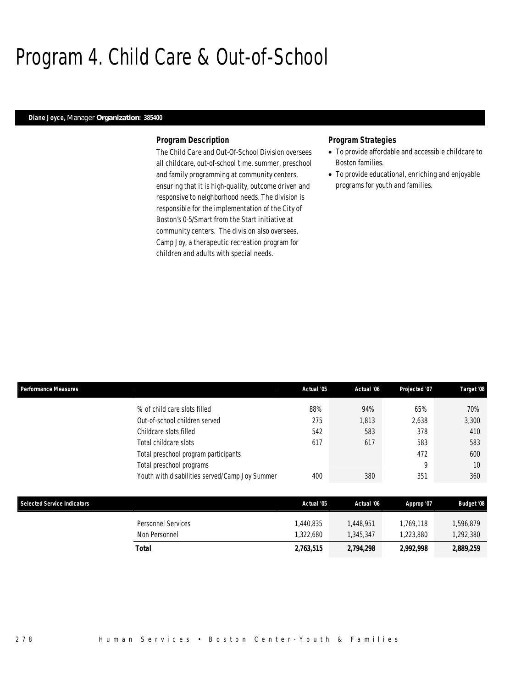## Program 4. Child Care & Out-of-School

## *Diane Joyce, Manager Organization: 385400*

#### *Program Description*

The Child Care and Out-Of-School Division oversees all childcare, out-of-school time, summer, preschool and family programming at community centers, ensuring that it is high-quality, outcome driven and responsive to neighborhood needs. The division is responsible for the implementation of the City of Boston's 0-5/Smart from the Start initiative at community centers. The division also oversees, Camp Joy, a therapeutic recreation program for children and adults with special needs.

- To provide affordable and accessible childcare to Boston families.
- To provide educational, enriching and enjoyable programs for youth and families.

| <b>Performance Measures</b>                                                                                                                                                          | Actual '05               | Actual '06                 | Projected '07                          | Target '08                              |
|--------------------------------------------------------------------------------------------------------------------------------------------------------------------------------------|--------------------------|----------------------------|----------------------------------------|-----------------------------------------|
| % of child care slots filled<br>Out-of-school children served<br>Childcare slots filled<br>Total childcare slots<br>Total preschool program participants<br>Total preschool programs | 88%<br>275<br>542<br>617 | 94%<br>1,813<br>583<br>617 | 65%<br>2,638<br>378<br>583<br>472<br>Q | 70%<br>3,300<br>410<br>583<br>600<br>10 |
| Youth with disabilities served/Camp Joy Summer                                                                                                                                       | 400                      | 380                        | 351                                    | 360                                     |
| Selected Service Indicators                                                                                                                                                          | Actual '05               | Actual '06                 | Approp '07                             | <b>Budget '08</b>                       |

| Total              | 2,763,515 | 2,794,298 | 2.992.998 | 2,889,259 |
|--------------------|-----------|-----------|-----------|-----------|
| Non Personnel      | .322.680  | 1,345,347 | .223.880  | ,292,380  |
| Personnel Services | .440.835  | .448.951  | 1.769.118 | ,596,879  |
|                    |           |           |           |           |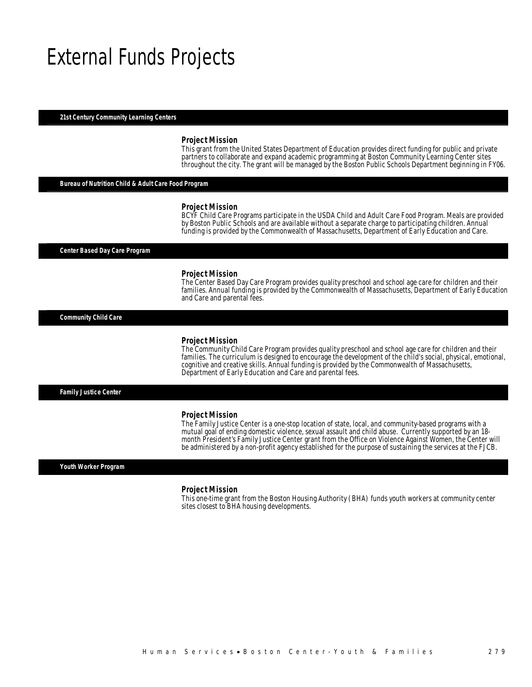## External Funds Projects

#### *21st Century Community Learning Centers*

#### *Project Mission*

This grant from the United States Department of Education provides direct funding for public and private partners to collaborate and expand academic programming at Boston Community Learning Center sites throughout the city. The grant will be managed by the Boston Public Schools Department beginning in FY06.

#### *Bureau of Nutrition Child & Adult Care Food Program*

#### *Project Mission*

BCYF Child Care Programs participate in the USDA Child and Adult Care Food Program. Meals are provided by Boston Public Schools and are available without a separate charge to participating children. Annual funding is provided by the Commonwealth of Massachusetts, Department of Early Education and Care.

*Center Based Day Care Program* 

#### *Project Mission*

The Center Based Day Care Program provides quality preschool and school age care for children and their families. Annual funding is provided by the Commonwealth of Massachusetts, Department of Early Education and Care and parental fees.

*Community Child Care* 

#### *Project Mission*

The Community Child Care Program provides quality preschool and school age care for children and their families. The curriculum is designed to encourage the development of the child's social, physical, emotional, cognitive and creative skills. Annual funding is provided by the Commonwealth of Massachusetts, Department of Early Education and Care and parental fees.

*Family Justice Center* 

#### *Project Mission*

The Family Justice Center is a one-stop location of state, local, and community-based programs with a mutual goal of ending domestic violence, sexual assault and child abuse. Currently supported by an 18 month President's Family Justice Center grant from the Office on Violence Against Women, the Center will be administered by a non-profit agency established for the purpose of sustaining the services at the FJCB.

#### *Youth Worker Program*

#### *Project Mission*

This one-time grant from the Boston Housing Authority (BHA) funds youth workers at community center sites closest to BHA housing developments.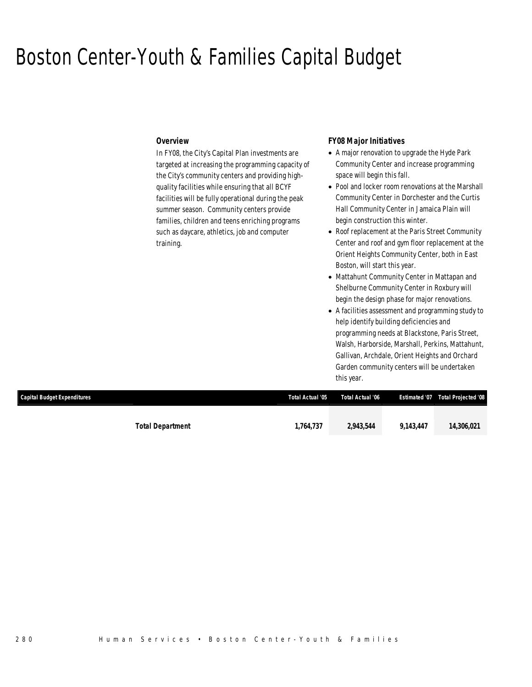## Boston Center-Youth & Families Capital Budget

### *Overview*

In FY08, the City's Capital Plan investments are targeted at increasing the programming capacity of the City's community centers and providing highquality facilities while ensuring that all BCYF facilities will be fully operational during the peak summer season. Community centers provide families, children and teens enriching programs such as daycare, athletics, job and computer training.

### *FY08 Major Initiatives*

- A major renovation to upgrade the Hyde Park Community Center and increase programming space will begin this fall.
- Pool and locker room renovations at the Marshall Community Center in Dorchester and the Curtis Hall Community Center in Jamaica Plain will begin construction this winter.
- Roof replacement at the Paris Street Community Center and roof and gym floor replacement at the Orient Heights Community Center, both in East Boston, will start this year.
- Mattahunt Community Center in Mattapan and Shelburne Community Center in Roxbury will begin the design phase for major renovations.
- A facilities assessment and programming study to help identify building deficiencies and programming needs at Blackstone, Paris Street, Walsh, Harborside, Marshall, Perkins, Mattahunt, Gallivan, Archdale, Orient Heights and Orchard Garden community centers will be undertaken this year.

| <b>Capital Budget Expenditures</b> |                         | Total Actual '05 | Total Actual '06 |           | Estimated '07  Total Projected '08 |
|------------------------------------|-------------------------|------------------|------------------|-----------|------------------------------------|
|                                    |                         |                  |                  |           |                                    |
|                                    | <b>Total Department</b> | 1.764.737        | 2,943,544        | 9.143.447 | 14,306,021                         |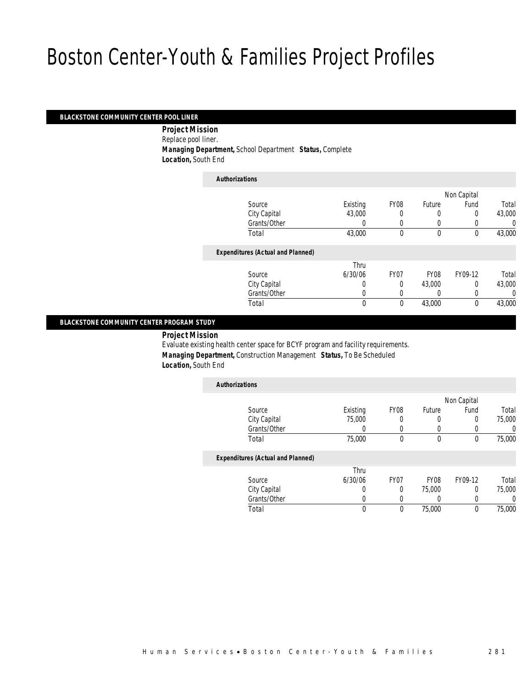#### *BLACKSTONE COMMUNITY CENTER POOL LINER*

 *Project Mission* Replace pool liner. *Managing Department,* School Department *Status,* Complete *Location,* South End

| <b>Authorizations</b>                    |                  |                  |          |             |        |
|------------------------------------------|------------------|------------------|----------|-------------|--------|
|                                          |                  |                  |          | Non Capital |        |
| Source                                   | Existing         | FY <sub>08</sub> | Future   | Fund        | Total  |
| City Capital                             | 43,000           | 0                | 0        | 0           | 43,000 |
| Grants/Other                             | 0                | 0                | $\left($ |             | 0      |
| Total                                    | 43,000           | $\theta$         | $\theta$ | $\mathbf 0$ | 43,000 |
| <b>Expenditures (Actual and Planned)</b> |                  |                  |          |             |        |
|                                          | Thru             |                  |          |             |        |
| Source                                   | 6/30/06          | FY07             | FY08     | FY09-12     | Total  |
| City Capital                             | 0                | $\theta$         | 43,000   | 0           | 43,000 |
| Grants/Other                             | 0                | 0                |          | 0           | 0      |
| Total                                    | $\boldsymbol{0}$ | 0                | 43,000   | $\mathbf 0$ | 43,000 |

### *BLACKSTONE COMMUNITY CENTER PROGRAM STUDY*

*Project Mission* 

Evaluate existing health center space for BCYF program and facility requirements. *Managing Department,* Construction Management *Status,* To Be Scheduled *Location,* South End

| <b>Authorizations</b>                    |          |                  |               |             |        |
|------------------------------------------|----------|------------------|---------------|-------------|--------|
|                                          |          |                  |               | Non Capital |        |
| Source                                   | Existing | <b>FY08</b>      | <b>Future</b> | Fund        | Total  |
| City Capital                             | 75,000   |                  | 0             | 0           | 75,000 |
| Grants/Other                             | U        |                  |               | 0           |        |
| Total                                    | 75,000   | $\Omega$         | 0             | 0           | 75,000 |
| <b>Expenditures (Actual and Planned)</b> |          |                  |               |             |        |
|                                          | Thru     |                  |               |             |        |
| Source                                   | 6/30/06  | FY <sub>07</sub> | <b>FY08</b>   | FY09-12     | Total  |
| City Capital                             | O        | 0                | 75,000        | 0           | 75,000 |
| Grants/Other                             | 0        |                  |               | 0           |        |
| Total                                    | 0        | $\Omega$         | 75,000        | 0           | 75,000 |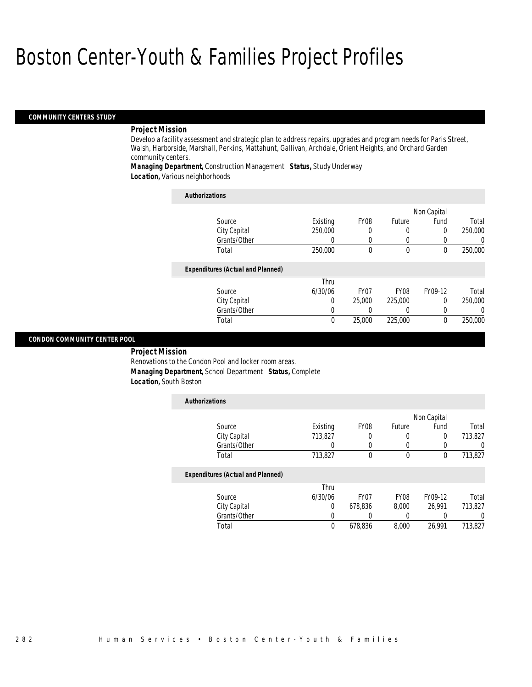#### *COMMUNITY CENTERS STUDY*

#### *Project Mission*

Develop a facility assessment and strategic plan to address repairs, upgrades and program needs for Paris Street, Walsh, Harborside, Marshall, Perkins, Mattahunt, Gallivan, Archdale, Orient Heights, and Orchard Garden community centers.

*Managing Department,* Construction Management *Status,* Study Underway *Location,* Various neighborhoods

| <b>Authorizations</b>                    |          |                  |             |             |                  |
|------------------------------------------|----------|------------------|-------------|-------------|------------------|
|                                          |          |                  |             | Non Capital |                  |
| Source                                   | Existing | FY08             | Future      | Fund        | Total            |
| City Capital                             | 250,000  |                  | 0           | 0           | 250,000          |
| Grants/Other                             | 0        |                  | 0           | 0           | $\left( \right)$ |
| Total                                    | 250,000  | 0                | $\mathbf 0$ | 0           | 250,000          |
| <b>Expenditures (Actual and Planned)</b> |          |                  |             |             |                  |
|                                          | Thru     |                  |             |             |                  |
| Source                                   | 6/30/06  | FY <sub>07</sub> | <b>FY08</b> | FY09-12     | Total            |
| City Capital                             | 0        | 25,000           | 225,000     | 0           | 250,000          |
| Grants/Other                             | U        |                  |             | 0           | 0                |
| Total                                    | 0        | 25,000           | 225,000     | $\Omega$    | 250,000          |

## *CONDON COMMUNITY CENTER POOL*

*Project Mission* 

Renovations to the Condon Pool and locker room areas. *Managing Department,* School Department *Status,* Complete *Location,* South Boston

| <b>Authorizations</b>                    |          |                  |             |             |                  |
|------------------------------------------|----------|------------------|-------------|-------------|------------------|
|                                          |          |                  |             | Non Capital |                  |
| Source                                   | Existing | FY <sub>08</sub> | Future      | Fund        | Total            |
| City Capital                             | 713.827  | 0                | 0           | 0           | 713,827          |
| Grants/Other                             | 0        |                  |             | 0           | $\left( \right)$ |
| Total                                    | 713,827  | $\theta$         | $\theta$    | 0           | 713,827          |
| <b>Expenditures (Actual and Planned)</b> |          |                  |             |             |                  |
|                                          | Thru     |                  |             |             |                  |
| Source                                   | 6/30/06  | FY <sub>07</sub> | <b>FY08</b> | FY09-12     | Total            |
| City Capital                             | 0        | 678.836          | 8.000       | 26.991      | 713,827          |
| Grants/Other                             | 0        |                  |             |             | 0                |
| Total                                    | 0        | 678,836          | 8.000       | 26.991      | 713.827          |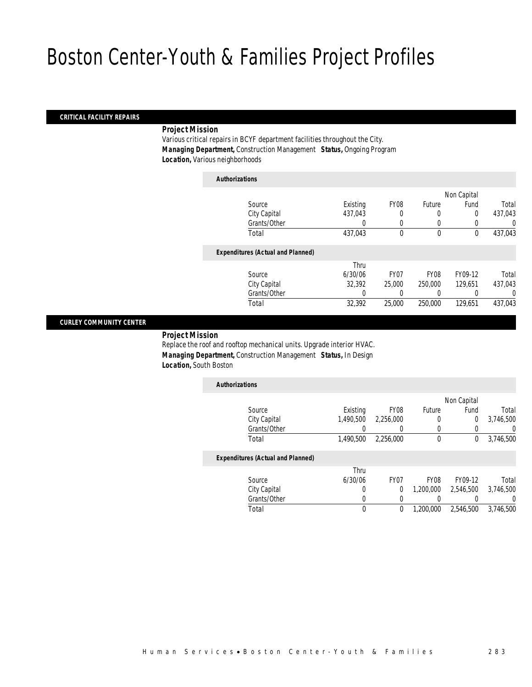#### *CRITICAL FACILITY REPAIRS*

#### *Project Mission*

Various critical repairs in BCYF department facilities throughout the City. *Managing Department,* Construction Management *Status,* Ongoing Program *Location,* Various neighborhoods

| Authorizations |  |
|----------------|--|
|----------------|--|

|                                          |          |                  |             | Non Capital |         |
|------------------------------------------|----------|------------------|-------------|-------------|---------|
| Source                                   | Existing | FY <sub>08</sub> | Future      | Fund        | Total   |
| City Capital                             | 437,043  |                  |             | 0           | 437,043 |
| Grants/Other                             | 0        | $\left($         | 0           |             | 0       |
| Total                                    | 437,043  | $\theta$         | $\mathbf 0$ | 0           | 437,043 |
| <b>Expenditures (Actual and Planned)</b> |          |                  |             |             |         |
|                                          | Thru     |                  |             |             |         |
| Source                                   | 6/30/06  | FY <sub>07</sub> | <b>FY08</b> | FY09-12     | Total   |
| City Capital                             | 32,392   | 25,000           | 250,000     | 129.651     | 437,043 |
| Grants/Other                             |          |                  |             |             | 0       |
| Total                                    | 32,392   | 25,000           | 250,000     | 129,651     | 437,043 |
|                                          |          |                  |             |             |         |

### *CURLEY COMMUNITY CENTER*

*Project Mission* 

Replace the roof and rooftop mechanical units. Upgrade interior HVAC. *Managing Department,* Construction Management *Status,* In Design *Location,* South Boston

| <b>Authorizations</b> |           |                  |        |             |           |
|-----------------------|-----------|------------------|--------|-------------|-----------|
|                       |           |                  |        | Non Capital |           |
| Source                | Existing  | FY <sub>08</sub> | Future | Fund        | Total     |
| City Capital          | 1,490,500 | 2,256,000        | 0      | 0           | 3,746,500 |
| Grants/Other          |           |                  |        |             | 0         |
| Total                 | 1,490,500 | 2,256,000        | 0      |             | 3,746,500 |
|                       |           |                  |        |             |           |

## *Expenditures (Actual and Planned)*

| Thru    |      |                  |           |           |
|---------|------|------------------|-----------|-----------|
| 6/30/06 | FY07 | FY <sub>08</sub> | FY09-12   | Total     |
|         |      | 1.200.000        | 2.546.500 | 3,746,500 |
|         |      |                  |           |           |
|         |      | 1,200,000        | 2,546,500 | 3,746,500 |
|         |      |                  |           |           |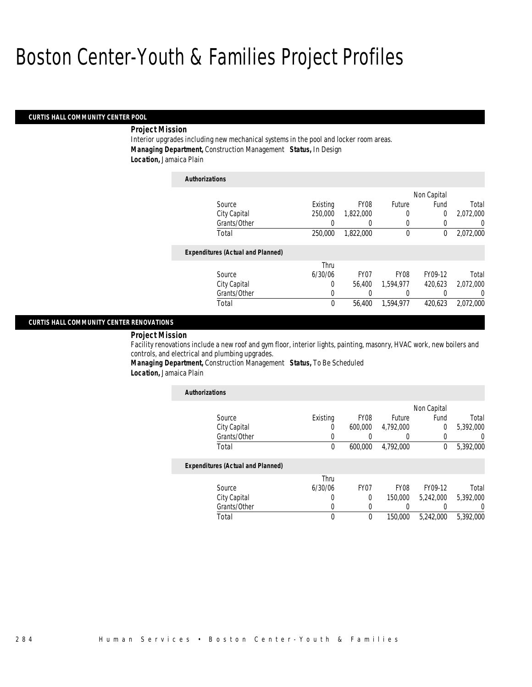*Authorizations*

#### *CURTIS HALL COMMUNITY CENTER POOL*

#### *Project Mission*

Interior upgrades including new mechanical systems in the pool and locker room areas. *Managing Department,* Construction Management *Status,* In Design *Location,* Jamaica Plain

| Auului Izauviis                          |          |                  |             |             |           |
|------------------------------------------|----------|------------------|-------------|-------------|-----------|
|                                          |          |                  |             | Non Capital |           |
| Source                                   | Existing | FY08             | Future      | Fund        | Total     |
| City Capital                             | 250,000  | 1.822.000        | 0           | 0           | 2.072.000 |
| Grants/Other                             | 0        | 0                | 0           |             | 0         |
| Total                                    | 250,000  | 1,822,000        | $\theta$    | 0           | 2,072,000 |
| <b>Expenditures (Actual and Planned)</b> |          |                  |             |             |           |
|                                          | Thru     |                  |             |             |           |
| Source                                   | 6/30/06  | FY <sub>07</sub> | <b>FY08</b> | FY09-12     | Total     |
| City Capital                             | $\Omega$ | 56,400           | 1.594.977   | 420.623     | 2.072.000 |
| Grants/Other                             | 0        |                  | 0           |             | 0         |
| Total                                    | 0        | 56,400           | 1.594.977   | 420.623     | 2.072.000 |

### *CURTIS HALL COMMUNITY CENTER RENOVATIONS*

*Project Mission* 

Facility renovations include a new roof and gym floor, interior lights, painting, masonry, HVAC work, new boilers and controls, and electrical and plumbing upgrades.

*Managing Department,* Construction Management *Status,* To Be Scheduled *Location,* Jamaica Plain

| <b>Authorizations</b>                    |          |                  |                  |                |                  |
|------------------------------------------|----------|------------------|------------------|----------------|------------------|
|                                          |          |                  |                  | Non Capital    |                  |
| Source                                   | Existing | FY <sub>08</sub> | Future           | Fund           | Total            |
| City Capital                             | 0        | 600,000          | 4.792.000        | $\overline{0}$ | 5,392,000        |
| Grants/Other                             | 0        |                  |                  | 0              | 0                |
| Total                                    | 0        | 600,000          | 4.792.000        | 0              | 5,392,000        |
| <b>Expenditures (Actual and Planned)</b> |          |                  |                  |                |                  |
|                                          | Thru     |                  |                  |                |                  |
| Source                                   | 6/30/06  | FY07             | FY <sub>08</sub> | FY09-12        | Total            |
| City Capital                             | 0        | 0                | 150,000          | 5.242.000      | 5.392.000        |
| Grants/Other                             | 0        | 0                |                  |                | $\left( \right)$ |
| Total                                    | 0        | 0                | 150,000          | 5.242.000      | 5.392.000        |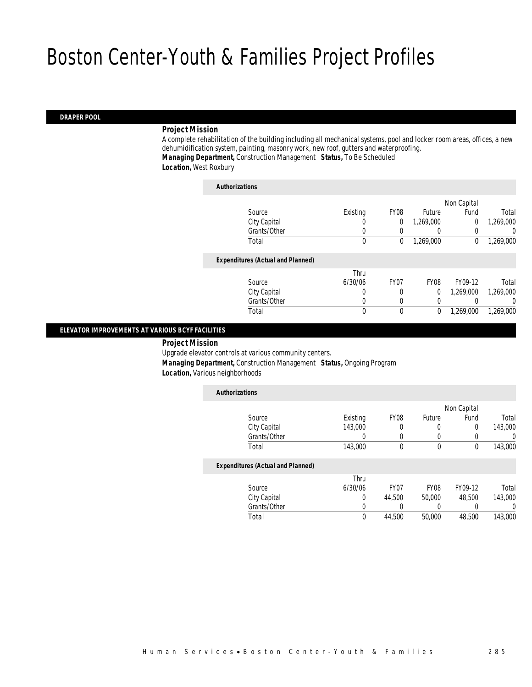#### *DRAPER POOL*

#### *Project Mission*

A complete rehabilitation of the building including all mechanical systems, pool and locker room areas, offices, a new dehumidification system, painting, masonry work, new roof, gutters and waterproofing. *Managing Department,* Construction Management *Status,* To Be Scheduled *Location,* West Roxbury

| <b>Authorizations</b>                    |          |                  |                  |             |           |
|------------------------------------------|----------|------------------|------------------|-------------|-----------|
|                                          |          |                  |                  | Non Capital |           |
| Source                                   | Existing | FY <sub>08</sub> | Future           | Fund        | Total     |
| City Capital                             | $\left($ | 0                | 1.269.000        | 0           | 1.269.000 |
| Grants/Other                             | 0        |                  |                  | 0           | 0         |
| Total                                    | 0        | 0                | 1,269,000        | 0           | 1,269,000 |
| <b>Expenditures (Actual and Planned)</b> |          |                  |                  |             |           |
|                                          | Thru     |                  |                  |             |           |
| Source                                   | 6/30/06  | FY <sub>07</sub> | FY <sub>08</sub> | FY09-12     | Total     |
| City Capital                             | 0        | 0                | 0                | 1.269.000   | 1.269.000 |
| Grants/Other                             | 0        | 0                | 0                |             | 0         |
| Total                                    | 0        | 0                | 0                | 1,269,000   | 1.269.000 |

#### *ELEVATOR IMPROVEMENTS AT VARIOUS BCYF FACILITIES*

*Project Mission* 

Upgrade elevator controls at various community centers.

*Managing Department,* Construction Management *Status,* Ongoing Program

*Location,* Various neighborhoods

| <b>Authorizations</b>                    |          |                  |             |             |         |
|------------------------------------------|----------|------------------|-------------|-------------|---------|
|                                          |          |                  |             | Non Capital |         |
| Source                                   | Existing | <b>FY08</b>      | Future      | Fund        | Total   |
| City Capital                             | 143,000  | 0                | 0           | 0           | 143,000 |
| Grants/Other                             | 0        | 0                | 0           |             | 0       |
| Total                                    | 143,000  | 0                | $\mathbf 0$ | 0           | 143,000 |
| <b>Expenditures (Actual and Planned)</b> |          |                  |             |             |         |
|                                          | Thru     |                  |             |             |         |
| Source                                   | 6/30/06  | FY <sub>07</sub> | <b>FY08</b> | FY09-12     | Total   |
| City Capital                             | 0        | 44.500           | 50,000      | 48,500      | 143,000 |
| Grants/Other                             | 0        | $\left( \right)$ | 0           |             | 0       |
| Total                                    | 0        | 44,500           | 50,000      | 48,500      | 143,000 |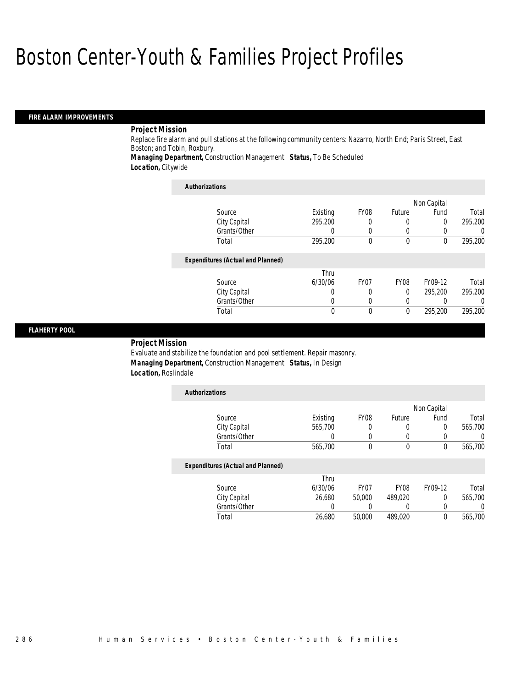### *FIRE ALARM IMPROVEMENTS*

#### *Project Mission*

Replace fire alarm and pull stations at the following community centers: Nazarro, North End; Paris Street, East Boston; and Tobin, Roxbury.

*Managing Department,* Construction Management *Status,* To Be Scheduled *Location,* Citywide

| <b>Authorizations</b>                    |          |                  |             |             |                  |
|------------------------------------------|----------|------------------|-------------|-------------|------------------|
|                                          |          |                  |             | Non Capital |                  |
| Source                                   | Existing | FY <sub>08</sub> | Future      | Fund        | Total            |
| City Capital                             | 295.200  | 0                | 0           | 0           | 295,200          |
| Grants/Other                             |          | $\Omega$         |             | 0           | $\left( \right)$ |
| Total                                    | 295.200  | $\theta$         | $\theta$    | $\theta$    | 295.200          |
| <b>Expenditures (Actual and Planned)</b> |          |                  |             |             |                  |
|                                          | Thru     |                  |             |             |                  |
| Source                                   | 6/30/06  | FY <sub>07</sub> | <b>FY08</b> | FY09-12     | Total            |
| City Capital                             | 0        | 0                | $\Omega$    | 295.200     | 295,200          |
| Grants/Other                             | U        | $\Omega$         |             |             | $\left( \right)$ |
| Total                                    | 0        | $\theta$         | $\theta$    | 295.200     | 295.200          |

#### *FLAHERTY POOL*

### *Project Mission*

Evaluate and stabilize the foundation and pool settlement. Repair masonry. *Managing Department,* Construction Management *Status,* In Design *Location,* Roslindale

| <b>Authorizations</b>                    |          |             |             |             |         |
|------------------------------------------|----------|-------------|-------------|-------------|---------|
|                                          |          |             |             | Non Capital |         |
| Source                                   | Existing | FY08        | Future      | Fund        | Total   |
| City Capital                             | 565,700  | 0           | 0           | 0           | 565,700 |
| Grants/Other                             | 0        | 0           |             |             | U       |
| Total                                    | 565,700  | 0           | $\mathbf 0$ | $\Omega$    | 565,700 |
| <b>Expenditures (Actual and Planned)</b> |          |             |             |             |         |
|                                          | Thru     |             |             |             |         |
| Source                                   | 6/30/06  | <b>FY07</b> | <b>FY08</b> | FY09-12     | Total   |
| City Capital                             | 26.680   | 50,000      | 489.020     | $\Omega$    | 565,700 |
| Grants/Other                             | 0        |             | 0           | 0           | 0       |
| Total                                    | 26,680   | 50,000      | 489.020     | 0           | 565.700 |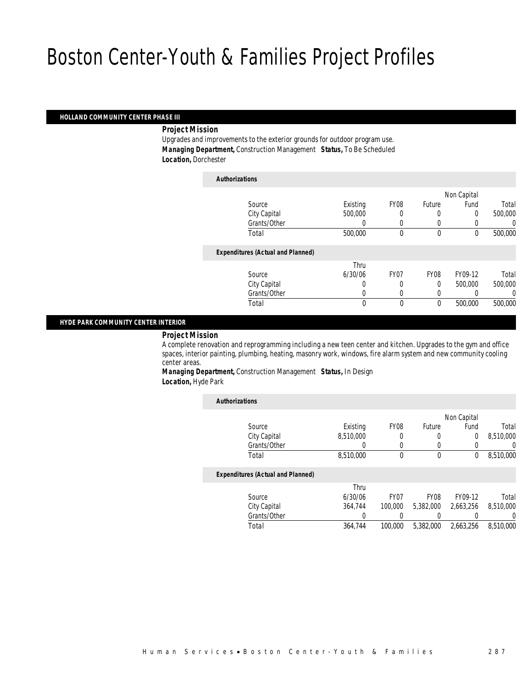#### *HOLLAND COMMUNITY CENTER PHASE III*

*Project Mission* 

Upgrades and improvements to the exterior grounds for outdoor program use. *Managing Department,* Construction Management *Status,* To Be Scheduled *Location,* Dorchester

| <b>Authorizations</b>                    |              |                  |             |             |         |
|------------------------------------------|--------------|------------------|-------------|-------------|---------|
|                                          |              |                  |             | Non Capital |         |
| Source                                   | Existing     | FY <sub>08</sub> | Future      | Fund        | Total   |
| City Capital                             | 500,000      |                  | $\left($    | 0           | 500,000 |
| Grants/Other                             |              | 0                | $\left($    |             | 0       |
| Total                                    | 500,000      | $\theta$         | $\mathbf 0$ | $\mathbf 0$ | 500,000 |
| <b>Expenditures (Actual and Planned)</b> |              |                  |             |             |         |
|                                          | Thru         |                  |             |             |         |
| Source                                   | 6/30/06      | FY07             | FY08        | FY09-12     | Total   |
| City Capital                             | 0            | 0                | 0           | 500,000     | 500,000 |
| Grants/Other                             | 0            | 0                | $\left($    |             | 0       |
| Total                                    | $\mathbf{0}$ | $\theta$         | $\mathbf 0$ | 500,000     | 500,000 |
|                                          |              |                  |             |             |         |

### *HYDE PARK COMMUNITY CENTER INTERIOR*

*Project Mission* 

A complete renovation and reprogramming including a new teen center and kitchen. Upgrades to the gym and office spaces, interior painting, plumbing, heating, masonry work, windows, fire alarm system and new community cooling center areas.

*Managing Department,* Construction Management *Status,* In Design *Location,* Hyde Park

| <b>Authorizations</b>                    |           |                  |                  |             |           |
|------------------------------------------|-----------|------------------|------------------|-------------|-----------|
|                                          |           |                  |                  | Non Capital |           |
| Source                                   | Existing  | FY08             | Future           | Fund        | Total     |
| City Capital                             | 8.510.000 | 0                | 0                | $\Omega$    | 8.510.000 |
| Grants/Other                             | 0         | 0                | 0                |             | 0         |
| Total                                    | 8,510,000 | 0                | 0                | 0           | 8,510,000 |
| <b>Expenditures (Actual and Planned)</b> |           |                  |                  |             |           |
|                                          | Thru      |                  |                  |             |           |
| Source                                   | 6/30/06   | FY <sub>07</sub> | FY <sub>08</sub> | FY09-12     | Total     |
| City Capital                             | 364,744   | 100,000          | 5,382,000        | 2.663.256   | 8.510.000 |
| Grants/Other                             | 0         |                  | 0                |             | 0         |
| Total                                    | 364.744   | 100,000          | 5.382.000        | 2.663.256   | 8,510,000 |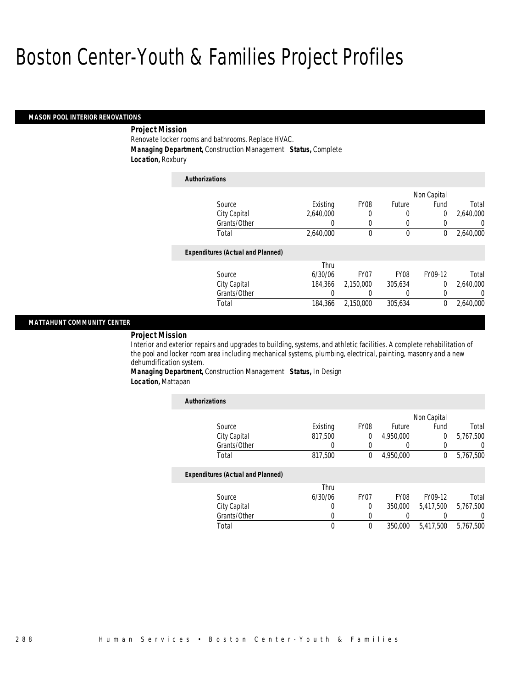#### *MASON POOL INTERIOR RENOVATIONS*

### *Project Mission*

Renovate locker rooms and bathrooms. Replace HVAC. *Managing Department,* Construction Management *Status,* Complete *Location,* Roxbury

| <b>Authorizations</b>                    |           |                  |               |                  |           |
|------------------------------------------|-----------|------------------|---------------|------------------|-----------|
|                                          |           |                  |               | Non Capital      |           |
| Source                                   | Existing  | FY08             | <b>Future</b> | Fund             | Total     |
| City Capital                             | 2.640.000 | 0                | 0             | $\overline{0}$   | 2.640.000 |
| Grants/Other                             | 0         | $\left($         | 0             | $\left( \right)$ | $\Omega$  |
| Total                                    | 2,640,000 | $\theta$         | $\mathbf 0$   | $\Omega$         | 2,640,000 |
| <b>Expenditures (Actual and Planned)</b> |           |                  |               |                  |           |
|                                          | Thru      |                  |               |                  |           |
| Source                                   | 6/30/06   | FY <sub>07</sub> | <b>FY08</b>   | FY09-12          | Total     |
| City Capital                             | 184.366   | 2.150.000        | 305.634       | $\Omega$         | 2,640,000 |
| Grants/Other                             | 0         | 0                | 0             | $\Omega$         | $\Omega$  |
| Total                                    | 184,366   | 2.150.000        | 305.634       | $\Omega$         | 2.640.000 |

### *MATTAHUNT COMMUNITY CENTER*

### *Project Mission*

Interior and exterior repairs and upgrades to building, systems, and athletic facilities. A complete rehabilitation of the pool and locker room area including mechanical systems, plumbing, electrical, painting, masonry and a new dehumdification system.

*Managing Department,* Construction Management *Status,* In Design *Location,* Mattapan

| <b>Authorizations</b>                    |          |                  |               |              |           |
|------------------------------------------|----------|------------------|---------------|--------------|-----------|
|                                          |          |                  |               | Non Capital  |           |
| Source                                   | Existing | FY08             | <b>Future</b> | Fund         | Total     |
| City Capital                             | 817,500  | 0                | 4,950,000     | $\Omega$     | 5,767,500 |
| Grants/Other                             |          |                  |               |              |           |
| Total                                    | 817,500  | 0                | 4,950,000     | $\mathbf{0}$ | 5,767,500 |
| <b>Expenditures (Actual and Planned)</b> |          |                  |               |              |           |
|                                          | Thru     |                  |               |              |           |
| Source                                   | 6/30/06  | FY <sub>07</sub> | <b>FY08</b>   | FY09-12      | Total     |
| City Capital                             | 0        | 0                | 350,000       | 5.417.500    | 5,767,500 |
| Grants/Other                             | 0        |                  |               |              |           |
| Total                                    | 0        | 0                | 350,000       | 5.417.500    | 5,767,500 |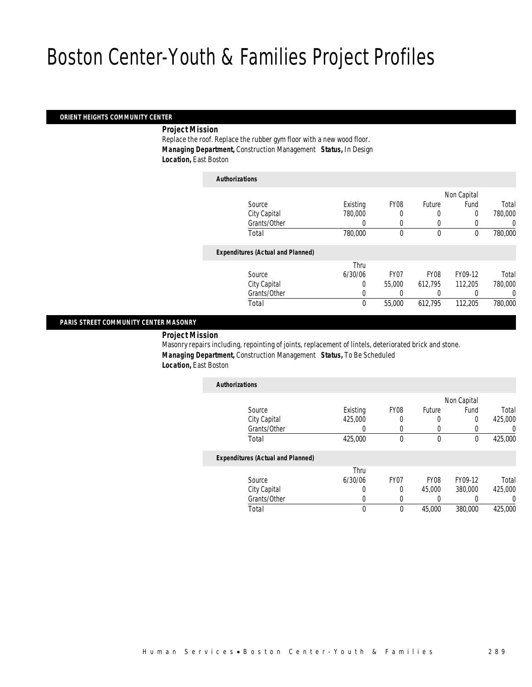#### *ORIENT HEIGHTS COMMUNITY CENTER*

*Project Mission* 

Replace the roof. Replace the rubber gym floor with a new wood floor. *Managing Department,* Construction Management *Status,* In Design *Location,* East Boston

| <b>Authorizations</b>                    |          |                  |                  |             |         |
|------------------------------------------|----------|------------------|------------------|-------------|---------|
|                                          |          |                  |                  | Non Capital |         |
| Source                                   | Existing | FY08             | Future           | Fund        | Total   |
| City Capital                             | 780,000  | 0                | 0                | 0           | 780,000 |
| Grants/Other                             | 0        | 0                | 0                | 0           | 0       |
| Total                                    | 780,000  | $\Omega$         | $\theta$         | 0           | 780,000 |
| <b>Expenditures (Actual and Planned)</b> |          |                  |                  |             |         |
|                                          | Thru     |                  |                  |             |         |
| Source                                   | 6/30/06  | FY <sub>07</sub> | FY <sub>08</sub> | FY09-12     | Total   |
| City Capital                             | 0        | 55,000           | 612.795          | 112,205     | 780,000 |
| Grants/Other                             | 0        |                  | 0                | 0           | 0       |
| Total                                    | 0        | 55,000           | 612,795          | 112.205     | 780,000 |

### *PARIS STREET COMMUNITY CENTER MASONRY*

*Project Mission* 

Masonry repairs including, repointing of joints, replacement of lintels, deteriorated brick and stone. *Managing Department,* Construction Management *Status,* To Be Scheduled *Location,* East Boston

| <b>Authorizations</b>                    |          |                  |               |             |         |
|------------------------------------------|----------|------------------|---------------|-------------|---------|
|                                          |          |                  |               | Non Capital |         |
| Source                                   | Existing | <b>FY08</b>      | <b>Future</b> | Fund        | Total   |
| City Capital                             | 425,000  | 0                | 0             | 0           | 425,000 |
| Grants/Other                             | 0        |                  |               | 0           |         |
| Total                                    | 425,000  | $\theta$         | $\theta$      | $\theta$    | 425,000 |
| <b>Expenditures (Actual and Planned)</b> |          |                  |               |             |         |
|                                          | Thru     |                  |               |             |         |
| Source                                   | 6/30/06  | FY <sub>07</sub> | <b>FY08</b>   | FY09-12     | Total   |
| City Capital                             | 0        | 0                | 45,000        | 380,000     | 425,000 |
| Grants/Other                             | O        |                  | 0             | 0           |         |
| Total                                    | $\theta$ | $\Omega$         | 45,000        | 380,000     | 425,000 |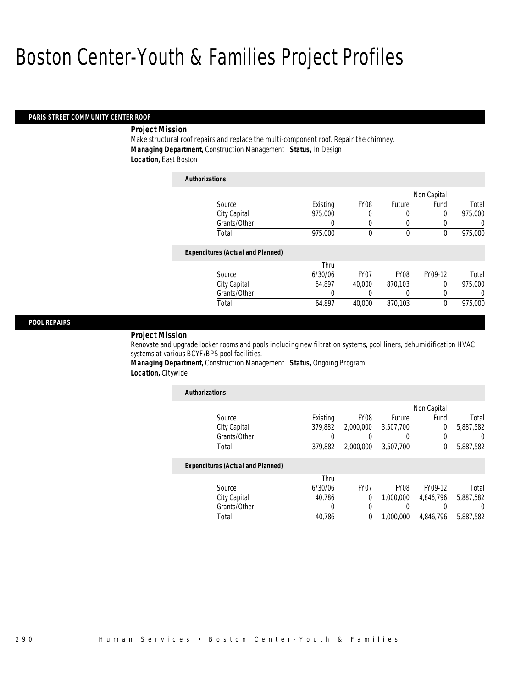*Authorizations*

#### *PARIS STREET COMMUNITY CENTER ROOF*

#### *Project Mission*

Make structural roof repairs and replace the multi-component roof. Repair the chimney. *Managing Department,* Construction Management *Status,* In Design *Location,* East Boston

| Authorizations |                                          |          |                  |              |             |          |
|----------------|------------------------------------------|----------|------------------|--------------|-------------|----------|
|                |                                          |          |                  |              | Non Capital |          |
| Source         |                                          | Existing | <b>FY08</b>      | Future       | Fund        | Total    |
|                | City Capital                             | 975,000  | 0                | 0            | 0           | 975,000  |
|                | Grants/Other                             | 0        | 0                | 0            | 0           | 0        |
| Total          |                                          | 975,000  | $\Omega$         | $\mathbf{0}$ | 0           | 975,000  |
|                | <b>Expenditures (Actual and Planned)</b> |          |                  |              |             |          |
|                |                                          | Thru     |                  |              |             |          |
| Source         |                                          | 6/30/06  | FY <sub>07</sub> | <b>FY08</b>  | FY09-12     | Total    |
|                | City Capital                             | 64.897   | 40,000           | 870.103      | 0           | 975,000  |
|                | Grants/Other                             | 0        |                  | 0            | 0           | $\left($ |
| Total          |                                          | 64.897   | 40.000           | 870.103      | 0           | 975,000  |

### *POOL REPAIRS*

*Project Mission* 

Renovate and upgrade locker rooms and pools including new filtration systems, pool liners, dehumidification HVAC systems at various BCYF/BPS pool facilities.

*Managing Department,* Construction Management *Status,* Ongoing Program *Location,* Citywide

| <b>Authorizations</b>                    |          |                  |                  |             |                  |
|------------------------------------------|----------|------------------|------------------|-------------|------------------|
|                                          |          |                  |                  | Non Capital |                  |
| Source                                   | Existing | FY <sub>08</sub> | Future           | Fund        | Total            |
| City Capital                             | 379,882  | 2,000,000        | 3,507,700        | 0           | 5,887,582        |
| Grants/Other                             |          |                  |                  | 0           | 0                |
| Total                                    | 379.882  | 2.000.000        | 3.507.700        | 0           | 5,887,582        |
| <b>Expenditures (Actual and Planned)</b> |          |                  |                  |             |                  |
|                                          | Thru     |                  |                  |             |                  |
| Source                                   | 6/30/06  | FY <sub>07</sub> | FY <sub>08</sub> | FY09-12     | Total            |
| City Capital                             | 40.786   | $\theta$         | 1.000.000        | 4.846.796   | 5.887.582        |
| Grants/Other                             | 0        | $\left($         |                  | 0           | $\left( \right)$ |
| Total                                    | 40.786   | $\theta$         | 1.000.000        | 4.846.796   | 5.887.582        |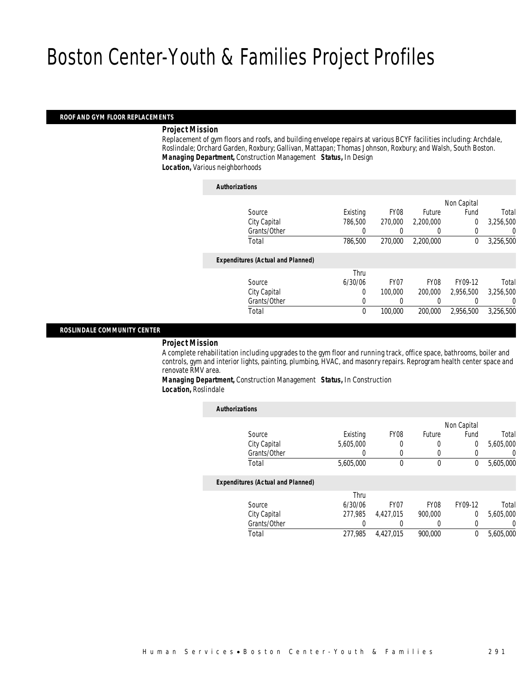#### *ROOF AND GYM FLOOR REPLACEMENTS*

#### *Project Mission*

Replacement of gym floors and roofs, and building envelope repairs at various BCYF facilities including: Archdale, Roslindale; Orchard Garden, Roxbury; Gallivan, Mattapan; Thomas Johnson, Roxbury; and Walsh, South Boston. *Managing Department,* Construction Management *Status,* In Design

*Location,* Various neighborhoods

| <b>Authorizations</b>                    |          |                  |                  |                |           |
|------------------------------------------|----------|------------------|------------------|----------------|-----------|
|                                          |          |                  |                  | Non Capital    |           |
| Source                                   | Existing | <b>FY08</b>      | Future           | Fund           | Total     |
| City Capital                             | 786.500  | 270,000          | 2,200,000        | $\overline{0}$ | 3,256,500 |
| Grants/Other                             | 0        |                  | $\left( \right)$ | 0              | 0         |
| Total                                    | 786.500  | 270,000          | 2.200.000        | 0              | 3,256,500 |
| <b>Expenditures (Actual and Planned)</b> |          |                  |                  |                |           |
|                                          | Thru     |                  |                  |                |           |
| Source                                   | 6/30/06  | FY <sub>07</sub> | <b>FY08</b>      | FY09-12        | Total     |
| City Capital                             | 0        | 100,000          | 200,000          | 2.956.500      | 3,256,500 |
| Grants/Other                             | 0        | 0                | 0                |                | 0         |
| Total                                    | 0        | 100,000          | 200,000          | 2,956,500      | 3,256,500 |
|                                          |          |                  |                  |                |           |

#### *ROSLINDALE COMMUNITY CENTER*

#### *Project Mission*

A complete rehabilitation including upgrades to the gym floor and running track, office space, bathrooms, boiler and controls, gym and interior lights, painting, plumbing, HVAC, and masonry repairs. Reprogram health center space and renovate RMV area.

*Managing Department,* Construction Management *Status,* In Construction *Location,* Roslindale

| <b>Authorizations</b>                    |           |                  |             |             |           |
|------------------------------------------|-----------|------------------|-------------|-------------|-----------|
|                                          |           |                  |             | Non Capital |           |
| Source                                   | Existing  | FY <sub>08</sub> | Future      | Fund        | Total     |
| City Capital                             | 5.605.000 | 0                | 0           | 0           | 5,605,000 |
| Grants/Other                             | 0         | 0                | 0           |             | 0         |
| Total                                    | 5,605,000 | 0                | $\mathbf 0$ | 0           | 5,605,000 |
| <b>Expenditures (Actual and Planned)</b> |           |                  |             |             |           |
|                                          | Thru      |                  |             |             |           |
| Source                                   | 6/30/06   | FY <sub>07</sub> | <b>FY08</b> | FY09-12     | Total     |
| City Capital                             | 277.985   | 4.427.015        | 900.000     | $\Omega$    | 5.605.000 |
| Grants/Other                             | 0         | 0                | 0           | 0           | 0         |
| Total                                    | 277.985   | 4.427.015        | 900.000     | 0           | 5.605.000 |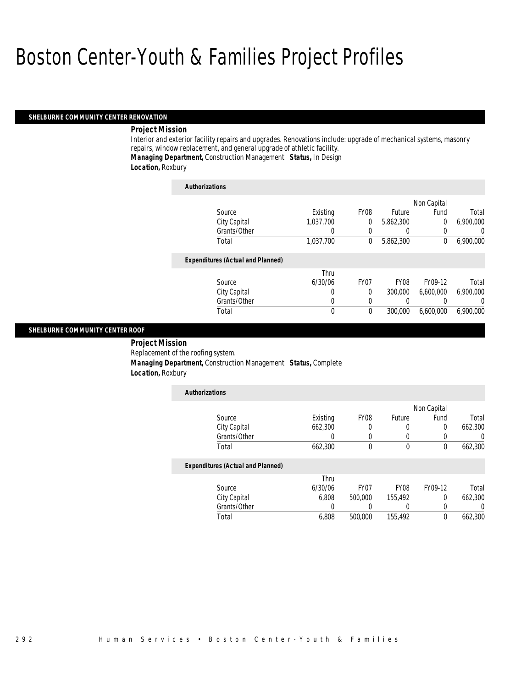#### *SHELBURNE COMMUNITY CENTER RENOVATION*

#### *Project Mission*

Interior and exterior facility repairs and upgrades. Renovations include: upgrade of mechanical systems, masonry repairs, window replacement, and general upgrade of athletic facility. *Managing Department,* Construction Management *Status,* In Design

### *Location,* Roxbury

| <b>Authorizations</b>                    |           |                  |             |             |                  |
|------------------------------------------|-----------|------------------|-------------|-------------|------------------|
|                                          |           |                  |             | Non Capital |                  |
| Source                                   | Existing  | FY08             | Future      | Fund        | Total            |
| City Capital                             | 1,037,700 | 0                | 5,862,300   | 0           | 6,900,000        |
| Grants/Other                             | 0         | $\left($         |             | $\Omega$    | $\left( \right)$ |
| Total                                    | 1,037,700 | $\mathbf 0$      | 5,862,300   | 0           | 6,900,000        |
| <b>Expenditures (Actual and Planned)</b> |           |                  |             |             |                  |
|                                          | Thru      |                  |             |             |                  |
| Source                                   | 6/30/06   | FY <sub>07</sub> | <b>FY08</b> | FY09-12     | Total            |
| City Capital                             | 0         | 0                | 300,000     | 6,600,000   | 6,900,000        |
| Grants/Other                             | 0         | 0                |             |             | 0                |
| Total                                    | 0         | $\theta$         | 300,000     | 6,600,000   | 6,900,000        |

#### *SHELBURNE COMMUNITY CENTER ROOF*

 *Project Mission* Replacement of the roofing system. *Managing Department,* Construction Management *Status,* Complete *Location,* Roxbury

| <b>Authorizations</b>                    |          |                  |                  |             |         |
|------------------------------------------|----------|------------------|------------------|-------------|---------|
|                                          |          |                  |                  | Non Capital |         |
| Source                                   | Existing | FY <sub>08</sub> | Future           | Fund        | Total   |
| City Capital                             | 662,300  | 0                | 0                | $\Omega$    | 662,300 |
| Grants/Other                             | 0        | 0                | 0                | 0           | 0       |
| Total                                    | 662,300  | $\theta$         | $\mathbf 0$      | $\theta$    | 662,300 |
| <b>Expenditures (Actual and Planned)</b> |          |                  |                  |             |         |
|                                          | Thru     |                  |                  |             |         |
| Source                                   | 6/30/06  | FY <sub>07</sub> | FY <sub>08</sub> | FY09-12     | Total   |
| City Capital                             | 6.808    | 500,000          | 155.492          | 0           | 662,300 |
| Grants/Other                             | 0        |                  |                  | 0           | 0       |
| Total                                    | 6.808    | 500,000          | 155.492          | 0           | 662,300 |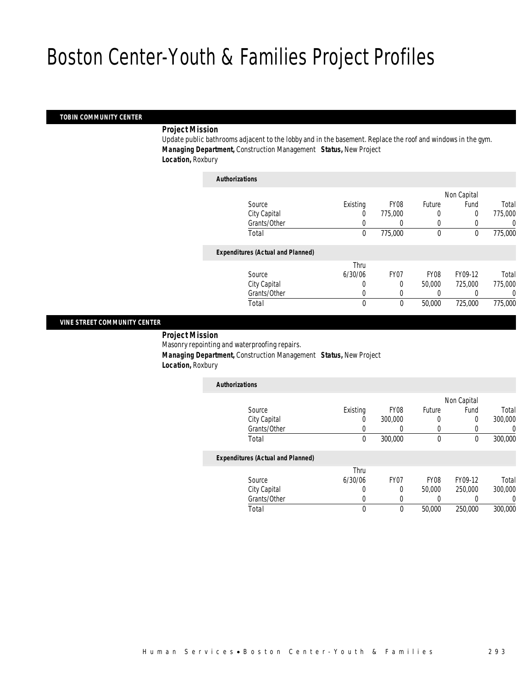### *TOBIN COMMUNITY CENTER*

#### *Project Mission*

Update public bathrooms adjacent to the lobby and in the basement. Replace the roof and windows in the gym. *Managing Department,* Construction Management *Status,* New Project *Location,* Roxbury

| <b>Authorizations</b>                    |              |             |             |             |         |
|------------------------------------------|--------------|-------------|-------------|-------------|---------|
|                                          |              |             |             | Non Capital |         |
| Source                                   | Existing     | <b>FY08</b> | Future      | Fund        | Total   |
| City Capital                             | 0            | 775,000     | 0           | 0           | 775,000 |
| Grants/Other                             | 0            | 0           | $\left($    |             | 0       |
| Total                                    | 0            | 775,000     | $\mathbf 0$ | 0           | 775,000 |
| <b>Expenditures (Actual and Planned)</b> |              |             |             |             |         |
|                                          | Thru         |             |             |             |         |
| Source                                   | 6/30/06      | FY07        | FY08        | FY09-12     | Total   |
| City Capital                             | 0            | 0           | 50,000      | 725,000     | 775,000 |
| Grants/Other                             | 0            | $\Omega$    |             |             | 0       |
| Total                                    | $\mathbf{0}$ | 0           | 50,000      | 725,000     | 775,000 |
|                                          |              |             |             |             |         |

#### *VINE STREET COMMUNITY CENTER*

*Project Mission* 

Masonry repointing and waterproofing repairs.

*Managing Department,* Construction Management *Status,* New Project

*Location,* Roxbury

| <b>Authorizations</b>                    |          |                  |                  |             |         |
|------------------------------------------|----------|------------------|------------------|-------------|---------|
|                                          |          |                  |                  | Non Capital |         |
| Source                                   | Existing | FY08             | Future           | Fund        | Total   |
| City Capital                             | 0        | 300,000          | 0                | 0           | 300,000 |
| Grants/Other                             |          | C                | $\left($         | 0           |         |
| Total                                    | $\theta$ | 300,000          | $\theta$         | 0           | 300,000 |
| <b>Expenditures (Actual and Planned)</b> |          |                  |                  |             |         |
|                                          | Thru     |                  |                  |             |         |
| Source                                   | 6/30/06  | FY <sub>07</sub> | FY <sub>08</sub> | FY09-12     | Total   |
| City Capital                             |          | $\Omega$         | 50,000           | 250,000     | 300,000 |
| Grants/Other                             |          |                  |                  |             |         |

Total 0 0 50,000 250,000 300,000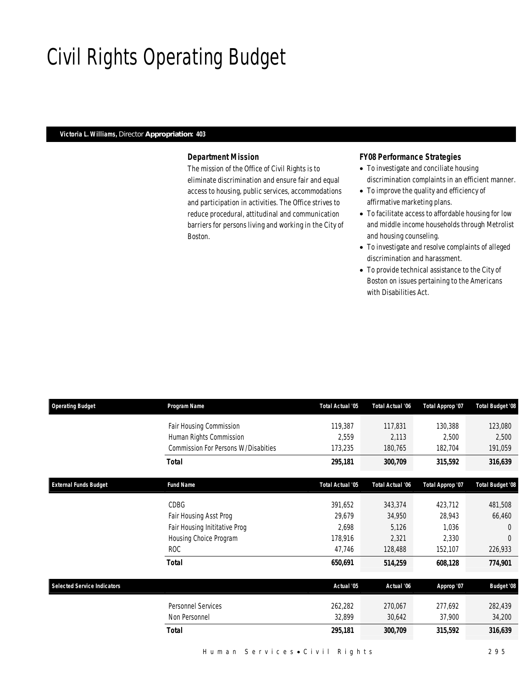# Civil Rights Operating Budget

## *Victoria L. Williams, Director Appropriation: 403*

## *Department Mission*

The mission of the Office of Civil Rights is to eliminate discrimination and ensure fair and equal access to housing, public services, accommodations and participation in activities. The Office strives to reduce procedural, attitudinal and communication barriers for persons living and working in the City of Boston.

## *FY08 Performance Strategies*

- To investigate and conciliate housing discrimination complaints in an efficient manner.
- To improve the quality and efficiency of affirmative marketing plans.
- To facilitate access to affordable housing for low and middle income households through Metrolist and housing counseling.
- To investigate and resolve complaints of alleged discrimination and harassment.
- To provide technical assistance to the City of Boston on issues pertaining to the Americans with Disabilities Act.

| <b>Operating Budget</b>            | Program Name                               | <b>Total Actual '05</b> | <b>Total Actual '06</b> | Total Approp '07 | <b>Total Budget '08</b> |
|------------------------------------|--------------------------------------------|-------------------------|-------------------------|------------------|-------------------------|
|                                    | Fair Housing Commission                    | 119,387                 | 117,831                 | 130,388          | 123,080                 |
|                                    | Human Rights Commission                    | 2,559                   | 2,113                   | 2,500            | 2,500                   |
|                                    | <b>Commission For Persons W/Disabities</b> | 173,235                 | 180,765                 | 182,704          | 191,059                 |
|                                    | <b>Total</b>                               | 295,181                 | 300,709                 | 315,592          | 316,639                 |
| <b>External Funds Budget</b>       | <b>Fund Name</b>                           | Total Actual '05        | Total Actual '06        | Total Approp '07 | <b>Total Budget '08</b> |
|                                    | CDBG                                       | 391,652                 | 343,374                 | 423,712          | 481,508                 |
|                                    | Fair Housing Asst Prog                     | 29,679                  | 34,950                  | 28,943           | 66,460                  |
|                                    | Fair Housing Inititative Prog              | 2,698                   | 5,126                   | 1,036            | $\Omega$                |
|                                    | Housing Choice Program                     | 178,916                 | 2,321                   | 2,330            | $\Omega$                |
|                                    | <b>ROC</b>                                 | 47,746                  | 128,488                 | 152,107          | 226,933                 |
|                                    | <b>Total</b>                               | 650,691                 | 514,259                 | 608,128          | 774,901                 |
| <b>Selected Service Indicators</b> |                                            | Actual '05              | Actual '06              | Approp '07       | <b>Budget '08</b>       |
|                                    | <b>Personnel Services</b>                  | 262,282                 | 270,067                 | 277,692          | 282,439                 |
|                                    | Non Personnel                              | 32,899                  | 30,642                  | 37,900           | 34,200                  |
|                                    | <b>Total</b>                               | 295,181                 | 300,709                 | 315,592          | 316,639                 |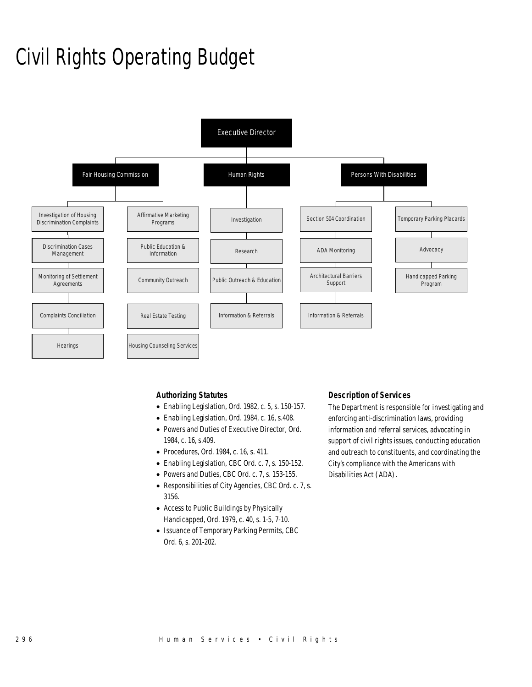# Civil Rights Operating Budget



### *Authorizing Statutes*

- Enabling Legislation, Ord. 1982, c. 5, s. 150-157.
- Enabling Legislation, Ord. 1984, c. 16, s.408.
- Powers and Duties of Executive Director, Ord. 1984, c. 16, s.409.
- Procedures, Ord. 1984, c. 16, s. 411.
- Enabling Legislation, CBC Ord. c. 7, s. 150-152.
- Powers and Duties, CBC Ord. c. 7, s. 153-155.
- Responsibilities of City Agencies, CBC Ord. c. 7, s. 3156.
- Access to Public Buildings by Physically Handicapped, Ord. 1979, c. 40, s. 1-5, 7-10.
- Issuance of Temporary Parking Permits, CBC Ord. 6, s. 201-202.

### *Description of Services*

The Department is responsible for investigating and enforcing anti-discrimination laws, providing information and referral services, advocating in support of civil rights issues, conducting education and outreach to constituents, and coordinating the City's compliance with the Americans with Disabilities Act (ADA).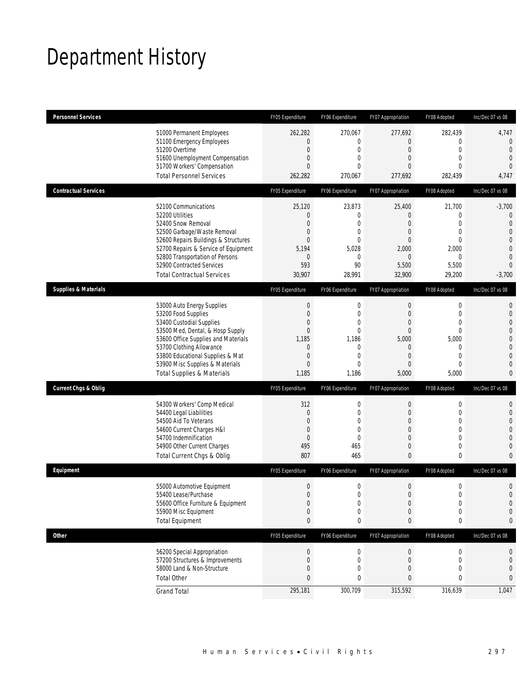# Department History

| <b>Personnel Services</b>       |                                                                                                                                                                                                                                                                                                                                     | FY05 Expenditure                                                                                                                                                | FY06 Expenditure                                                                                                              | FY07 Appropriation                                                                                                                                                    | FY08 Adopted                                                                                                                                                     | Inc/Dec 07 vs 08                                                                         |
|---------------------------------|-------------------------------------------------------------------------------------------------------------------------------------------------------------------------------------------------------------------------------------------------------------------------------------------------------------------------------------|-----------------------------------------------------------------------------------------------------------------------------------------------------------------|-------------------------------------------------------------------------------------------------------------------------------|-----------------------------------------------------------------------------------------------------------------------------------------------------------------------|------------------------------------------------------------------------------------------------------------------------------------------------------------------|------------------------------------------------------------------------------------------|
|                                 | 51000 Permanent Employees<br>51100 Emergency Employees<br>51200 Overtime<br>51600 Unemployment Compensation<br>51700 Workers' Compensation<br><b>Total Personnel Services</b>                                                                                                                                                       | 262,282<br>$\mathbf{0}$<br>$\overline{0}$<br>$\mathbf{0}$<br>$\Omega$<br>262,282                                                                                | 270,067<br>0<br>$\overline{0}$<br>0<br>$\Omega$<br>270,067                                                                    | 277,692<br>$\overline{0}$<br>$\overline{0}$<br>$\overline{0}$<br>$\Omega$<br>277,692                                                                                  | 282,439<br>$\mathbf 0$<br>$\mathbf{0}$<br>$\overline{0}$<br>$\theta$<br>282,439                                                                                  | 4,747<br>$\theta$<br>$\theta$<br>$\overline{0}$<br>$\overline{0}$<br>4,747               |
| <b>Contractual Services</b>     |                                                                                                                                                                                                                                                                                                                                     | FY05 Expenditure                                                                                                                                                | FY06 Expenditure                                                                                                              | FY07 Appropriation                                                                                                                                                    | FY08 Adopted                                                                                                                                                     | Inc/Dec 07 vs 08                                                                         |
|                                 | 52100 Communications<br>52200 Utilities<br>52400 Snow Removal<br>52500 Garbage/Waste Removal<br>52600 Repairs Buildings & Structures<br>52700 Repairs & Service of Equipment<br>52800 Transportation of Persons<br>52900 Contracted Services<br><b>Total Contractual Services</b>                                                   | 25,120<br>$\mathbf{0}$<br>$\overline{0}$<br>$\mathbf{0}$<br>$\mathbf{0}$<br>5,194<br>$\mathbf{0}$<br>593<br>30,907                                              | 23,873<br>0<br>$\overline{0}$<br>$\overline{0}$<br>$\mathbf{0}$<br>5,028<br>$\mathbf{0}$<br>90<br>28,991                      | 25,400<br>$\overline{0}$<br>$\overline{0}$<br>$\overline{0}$<br>$\Omega$<br>2,000<br>$\overline{0}$<br>5,500<br>32,900                                                | 21,700<br>$\mathbf{0}$<br>$\mathbf{0}$<br>$\mathbf{0}$<br>$\mathbf{0}$<br>2,000<br>$\mathbf{0}$<br>5,500<br>29,200                                               | $-3,700$<br>$\theta$<br>$\overline{0}$<br>$\overline{0}$<br>0<br>0<br>0<br>0<br>$-3,700$ |
| <b>Supplies &amp; Materials</b> |                                                                                                                                                                                                                                                                                                                                     | FY05 Expenditure                                                                                                                                                | FY06 Expenditure                                                                                                              | FY07 Appropriation                                                                                                                                                    | FY08 Adopted                                                                                                                                                     | Inc/Dec 07 vs 08                                                                         |
| <b>Current Chgs &amp; Oblig</b> | 53000 Auto Energy Supplies<br>53200 Food Supplies<br>53400 Custodial Supplies<br>53500 Med, Dental, & Hosp Supply<br>53600 Office Supplies and Materials<br>53700 Clothing Allowance<br>53800 Educational Supplies & Mat<br>53900 Misc Supplies & Materials<br><b>Total Supplies &amp; Materials</b><br>54300 Workers' Comp Medical | $\boldsymbol{0}$<br>$\mathbf{0}$<br>$\mathbf{0}$<br>$\mathbf{0}$<br>1,185<br>$\overline{0}$<br>$\mathbf{0}$<br>$\mathbf{0}$<br>1,185<br>FY05 Expenditure<br>312 | $\mathbf 0$<br>0<br>$\theta$<br>$\overline{0}$<br>1,186<br>$\mathbf{0}$<br>0<br>0<br>1,186<br>FY06 Expenditure<br>$\mathbf 0$ | $\mathbf 0$<br>$\overline{0}$<br>$\Omega$<br>$\mathbf{0}$<br>5,000<br>$\overline{0}$<br>$\overline{0}$<br>$\Omega$<br>5,000<br>FY07 Appropriation<br>$\boldsymbol{0}$ | $\boldsymbol{0}$<br>$\mathbf{0}$<br>$\Omega$<br>$\mathbf 0$<br>5,000<br>$\mathbf 0$<br>$\mathbf{0}$<br>$\mathbf{0}$<br>5,000<br>FY08 Adopted<br>$\boldsymbol{0}$ | 0<br>0<br>0<br>0<br>0<br>0<br>0<br>0<br>0<br>Inc/Dec 07 vs 08<br>0                       |
|                                 | 54400 Legal Liabilities<br>54500 Aid To Veterans<br>54600 Current Charges H&I<br>54700 Indemnification<br>54900 Other Current Charges<br>Total Current Chgs & Oblig                                                                                                                                                                 | $\overline{0}$<br>$\mathbf{0}$<br>$\mathbf 0$<br>$\mathbf{0}$<br>495<br>807                                                                                     | $\overline{0}$<br>$\theta$<br>0<br>$\mathbf{0}$<br>465<br>465                                                                 | $\boldsymbol{0}$<br>$\Omega$<br>$\overline{0}$<br>$\overline{0}$<br>$\boldsymbol{0}$<br>$\mathbf{0}$                                                                  | $\mathbf 0$<br>0<br>$\overline{0}$<br>$\mathbf{0}$<br>$\mathbf 0$<br>0                                                                                           | $\mathbf 0$<br>$\Omega$<br>0<br>0<br>0<br>0                                              |
| Equipment                       |                                                                                                                                                                                                                                                                                                                                     | FY05 Expenditure                                                                                                                                                | FY06 Expenditure                                                                                                              | FY07 Appropriation                                                                                                                                                    | FY08 Adopted                                                                                                                                                     | Inc/Dec 07 vs 08                                                                         |
|                                 | 55000 Automotive Equipment<br>55400 Lease/Purchase<br>55600 Office Furniture & Equipment<br>55900 Misc Equipment<br><b>Total Equipment</b>                                                                                                                                                                                          | $\boldsymbol{0}$<br>$\Omega$<br>$\boldsymbol{0}$<br>$\mathbf{0}$<br>0                                                                                           | 0<br>$\theta$<br>$\boldsymbol{0}$<br>0<br>0                                                                                   | $\boldsymbol{0}$<br>$\Omega$<br>$\boldsymbol{0}$<br>0<br>0                                                                                                            | $\boldsymbol{0}$<br>$\Omega$<br>$\boldsymbol{0}$<br>0<br>0                                                                                                       | 0<br>$\Omega$<br>$\mathbf 0$<br>0<br>0                                                   |
| Other                           |                                                                                                                                                                                                                                                                                                                                     | FY05 Expenditure                                                                                                                                                | FY06 Expenditure                                                                                                              | FY07 Appropriation                                                                                                                                                    | FY08 Adopted                                                                                                                                                     | Inc/Dec 07 vs 08                                                                         |
|                                 | 56200 Special Appropriation<br>57200 Structures & Improvements<br>58000 Land & Non-Structure<br><b>Total Other</b>                                                                                                                                                                                                                  | $\boldsymbol{0}$<br>$\mathbf 0$<br>$\mathbf{0}$<br>$\mathbf{0}$                                                                                                 | $\boldsymbol{0}$<br>$\boldsymbol{0}$<br>0<br>0                                                                                | $\boldsymbol{0}$<br>0<br>0<br>0                                                                                                                                       | 0<br>$\boldsymbol{0}$<br>0<br>0                                                                                                                                  | 0<br>$\mathbf 0$<br>0<br>0                                                               |
|                                 | <b>Grand Total</b>                                                                                                                                                                                                                                                                                                                  | 295,181                                                                                                                                                         | 300,709                                                                                                                       | 315,592                                                                                                                                                               | 316,639                                                                                                                                                          | 1,047                                                                                    |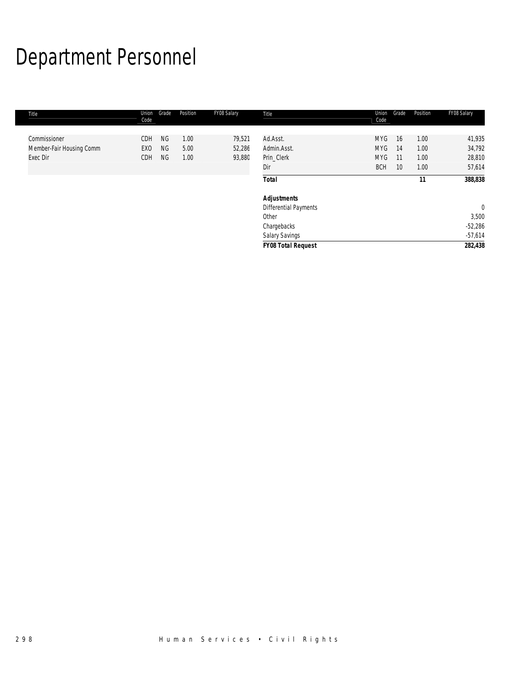# Department Personnel

| Title                    | Union<br>Code   | Grade     | Position | FY08 Salary | Title                     | Union<br>Code | Grade           | Position | FY08 Salary    |
|--------------------------|-----------------|-----------|----------|-------------|---------------------------|---------------|-----------------|----------|----------------|
|                          |                 |           |          |             |                           |               |                 |          |                |
| Commissioner             | CDH             | <b>NG</b> | 1.00     | 79,521      | Ad.Asst.                  | <b>MYG</b>    | 16              | 1.00     | 41,935         |
| Member-Fair Housing Comm | EX <sub>0</sub> | <b>NG</b> | 5.00     | 52,286      | Admin.Asst.               | <b>MYG</b>    | 14              | 1.00     | 34,792         |
| Exec Dir                 | CDH             | <b>NG</b> | 1.00     | 93,880      | Prin Clerk                | <b>MYG</b>    | 11              | 1.00     | 28,810         |
|                          |                 |           |          |             | Dir                       | <b>BCH</b>    | 10 <sup>°</sup> | 1.00     | 57,614         |
|                          |                 |           |          |             | <b>Total</b>              |               |                 | 11       | 388,838        |
|                          |                 |           |          |             | <b>Adjustments</b>        |               |                 |          |                |
|                          |                 |           |          |             | Differential Payments     |               |                 |          | $\overline{0}$ |
|                          |                 |           |          |             | Other                     |               |                 |          | 3,500          |
|                          |                 |           |          |             | Chargebacks               |               |                 |          | $-52,286$      |
|                          |                 |           |          |             | Salary Savings            |               |                 |          | $-57,614$      |
|                          |                 |           |          |             | <b>FY08 Total Request</b> |               |                 |          | 282,438        |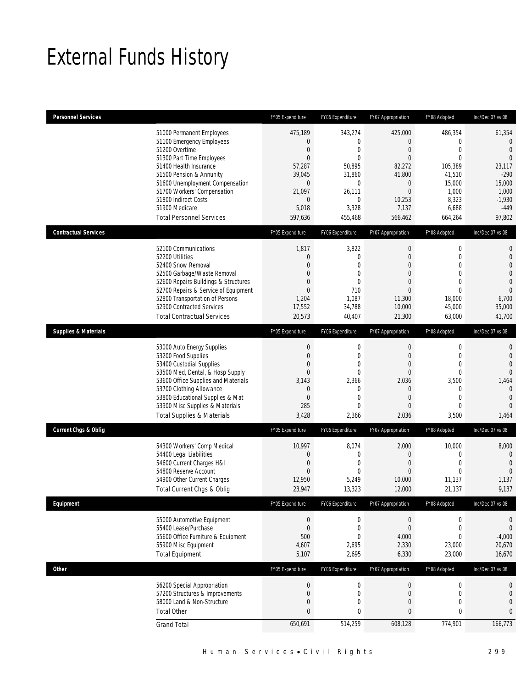# External Funds History

| <b>Personnel Services</b>       |                                                                                                                                                                                                                                                                                                            | FY05 Expenditure                                                                                                          | FY06 Expenditure                                                                                   | FY07 Appropriation                                                                                                     | FY08 Adopted                                                                                                                | Inc/Dec 07 vs 08                                                                                                                 |
|---------------------------------|------------------------------------------------------------------------------------------------------------------------------------------------------------------------------------------------------------------------------------------------------------------------------------------------------------|---------------------------------------------------------------------------------------------------------------------------|----------------------------------------------------------------------------------------------------|------------------------------------------------------------------------------------------------------------------------|-----------------------------------------------------------------------------------------------------------------------------|----------------------------------------------------------------------------------------------------------------------------------|
|                                 | 51000 Permanent Employees<br>51100 Emergency Employees<br>51200 Overtime<br>51300 Part Time Employees<br>51400 Health Insurance<br>51500 Pension & Annunity<br>51600 Unemployment Compensation<br>51700 Workers' Compensation<br>51800 Indirect Costs<br>51900 Medicare<br><b>Total Personnel Services</b> | 475,189<br>0<br>$\overline{0}$<br>$\overline{0}$<br>57,287<br>39,045<br>$\overline{0}$<br>21,097<br>0<br>5,018<br>597,636 | 343,274<br>0<br>0<br>$\theta$<br>50,895<br>31,860<br>0<br>26,111<br>0<br>3,328<br>455,468          | 425,000<br>0<br>$\overline{0}$<br>$\overline{0}$<br>82,272<br>41,800<br>$\mathbf 0$<br>0<br>10,253<br>7,137<br>566,462 | 486,354<br>$\mathbf 0$<br>$\mathbf{0}$<br>$\mathbf{0}$<br>105,389<br>41,510<br>15,000<br>1,000<br>8,323<br>6,688<br>664,264 | 61,354<br>$\mathbf 0$<br>$\overline{0}$<br>$\overline{0}$<br>23,117<br>$-290$<br>15,000<br>1,000<br>$-1,930$<br>$-449$<br>97,802 |
| <b>Contractual Services</b>     |                                                                                                                                                                                                                                                                                                            | FY05 Expenditure                                                                                                          | FY06 Expenditure                                                                                   | FY07 Appropriation                                                                                                     | FY08 Adopted                                                                                                                | Inc/Dec 07 vs 08                                                                                                                 |
|                                 | 52100 Communications<br>52200 Utilities<br>52400 Snow Removal<br>52500 Garbage/Waste Removal<br>52600 Repairs Buildings & Structures<br>52700 Repairs & Service of Equipment<br>52800 Transportation of Persons<br>52900 Contracted Services<br><b>Total Contractual Services</b>                          | 1,817<br>0<br>$\overline{0}$<br>$\mathbf{0}$<br>0<br>$\Omega$<br>1,204<br>17,552<br>20,573                                | 3,822<br>$\mathbf{0}$<br>$\overline{0}$<br>$\overline{0}$<br>0<br>710<br>1,087<br>34.788<br>40,407 | 0<br>$\mathbf 0$<br>0<br>$\mathbf 0$<br>$\overline{0}$<br>$\overline{0}$<br>11,300<br>10,000<br>21,300                 | 0<br>$\mathbf{0}$<br>$\mathbf{0}$<br>$\mathbf{0}$<br>$\mathbf{0}$<br>$\Omega$<br>18,000<br>45,000<br>63,000                 | $\mathbf 0$<br>$\mathbf{0}$<br>$\overline{0}$<br>$\overline{0}$<br>$\mathbf{0}$<br>$\Omega$<br>6,700<br>35,000<br>41,700         |
| <b>Supplies &amp; Materials</b> |                                                                                                                                                                                                                                                                                                            | FY05 Expenditure                                                                                                          | FY06 Expenditure                                                                                   | FY07 Appropriation                                                                                                     | FY08 Adopted                                                                                                                | Inc/Dec 07 vs 08                                                                                                                 |
|                                 | 53000 Auto Energy Supplies<br>53200 Food Supplies<br>53400 Custodial Supplies<br>53500 Med, Dental, & Hosp Supply<br>53600 Office Supplies and Materials<br>53700 Clothing Allowance<br>53800 Educational Supplies & Mat<br>53900 Misc Supplies & Materials<br><b>Total Supplies &amp; Materials</b>       | $\mathbf 0$<br>$\overline{0}$<br>$\mathbf{0}$<br>0<br>3,143<br>0<br>0<br>285<br>3,428                                     | 0<br>$\overline{0}$<br>0<br>$\theta$<br>2,366<br>0<br>0<br>$\Omega$<br>2,366                       | 0<br>$\mathbf 0$<br>0<br>0<br>2,036<br>0<br>0<br>$\overline{0}$<br>2,036                                               | 0<br>$\mathbf{0}$<br>$\mathbf{0}$<br>$\mathbf{0}$<br>3,500<br>$\mathbf 0$<br>$\mathbf 0$<br>$\mathbf{0}$<br>3,500           | $\mathbf 0$<br>$\overline{0}$<br>$\mathbf{0}$<br>$\Omega$<br>1,464<br>$\mathbf 0$<br>$\overline{0}$<br>$\overline{0}$<br>1,464   |
| <b>Current Chgs &amp; Oblig</b> |                                                                                                                                                                                                                                                                                                            | FY05 Expenditure                                                                                                          | FY06 Expenditure                                                                                   | FY07 Appropriation                                                                                                     | FY08 Adopted                                                                                                                | Inc/Dec 07 vs 08                                                                                                                 |
|                                 | 54300 Workers' Comp Medical<br>54400 Legal Liabilities<br>54600 Current Charges H&I<br>54800 Reserve Account<br>54900 Other Current Charges<br>Total Current Chgs & Oblig                                                                                                                                  | 10,997<br>0<br>$\overline{0}$<br>0<br>12,950<br>23,947                                                                    | 8,074<br>0<br>$\overline{0}$<br>$\theta$<br>5,249<br>13,323                                        | 2,000<br>0<br>$\overline{0}$<br>0<br>10,000<br>12,000                                                                  | 10,000<br>$\mathbf 0$<br>$\mathbf{0}$<br>$\mathbf{0}$<br>11,137<br>21,137                                                   | 8,000<br>$\overline{0}$<br>$\mathbf{0}$<br>$\overline{0}$<br>1,137<br>9,137                                                      |
| Equipment                       |                                                                                                                                                                                                                                                                                                            | FY05 Expenditure                                                                                                          | FY06 Expenditure                                                                                   | FY07 Appropriation                                                                                                     | FY08 Adopted                                                                                                                | Inc/Dec 07 vs 08                                                                                                                 |
|                                 | 55000 Automotive Equipment<br>55400 Lease/Purchase<br>55600 Office Furniture & Equipment<br>55900 Misc Equipment<br><b>Total Equipment</b>                                                                                                                                                                 | $\boldsymbol{0}$<br>$\boldsymbol{0}$<br>500<br>4,607<br>5,107                                                             | $\boldsymbol{0}$<br>$\mathbf 0$<br>0<br>2,695<br>2,695                                             | $\boldsymbol{0}$<br>$\boldsymbol{0}$<br>4,000<br>2,330<br>6,330                                                        | $\boldsymbol{0}$<br>$\mathbf 0$<br>$\mathbf 0$<br>23,000<br>23,000                                                          | $\boldsymbol{0}$<br>$\mathbf{0}$<br>$-4,000$<br>20,670<br>16,670                                                                 |
| <b>Other</b>                    |                                                                                                                                                                                                                                                                                                            | FY05 Expenditure                                                                                                          | FY06 Expenditure                                                                                   | FY07 Appropriation                                                                                                     | FY08 Adopted                                                                                                                | Inc/Dec 07 vs 08                                                                                                                 |
|                                 | 56200 Special Appropriation<br>57200 Structures & Improvements<br>58000 Land & Non-Structure<br><b>Total Other</b><br><b>Grand Total</b>                                                                                                                                                                   | $\boldsymbol{0}$<br>$\mathbf 0$<br>$\mathbf 0$<br>$\mathbf{0}$<br>650,691                                                 | $\mathbf 0$<br>$\mathbf 0$<br>$\mathbf 0$<br>0<br>514,259                                          | $\boldsymbol{0}$<br>$\mathbf 0$<br>$\mathbf 0$<br>0<br>608,128                                                         | $\boldsymbol{0}$<br>$\mathbf 0$<br>$\mathbf 0$<br>$\bf{0}$<br>774,901                                                       | $\mathbf 0$<br>$\mathbf 0$<br>$\overline{0}$<br>$\mathbf{0}$<br>166,773                                                          |
|                                 |                                                                                                                                                                                                                                                                                                            |                                                                                                                           |                                                                                                    |                                                                                                                        |                                                                                                                             |                                                                                                                                  |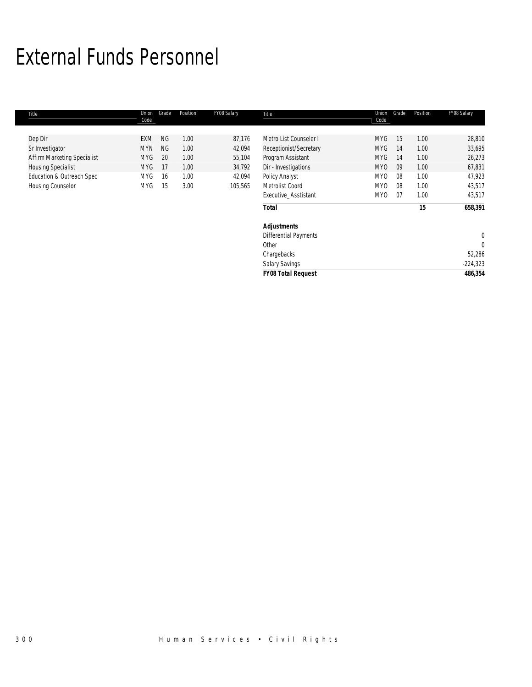## External Funds Personnel

| Title                       | Union<br>Code | Grade     | Position | FY08 Salary | Title                        | Union<br>Code   | Grade | Position | FY08 Salary |
|-----------------------------|---------------|-----------|----------|-------------|------------------------------|-----------------|-------|----------|-------------|
|                             |               |           |          |             |                              |                 |       |          |             |
| Dep Dir                     | EXM           | <b>NG</b> | 1.00     | 87,176      | Metro List Counseler I       | <b>MYG</b>      | 15    | 1.00     | 28,810      |
| Sr Investigator             | <b>MYN</b>    | <b>NG</b> | 1.00     | 42,094      | Receptionist/Secretary       | <b>MYG</b>      | 14    | 1.00     | 33,695      |
| Affirm Marketing Specialist | <b>MYG</b>    | 20        | 1.00     | 55,104      | Program Assistant            | <b>MYG</b>      | 14    | 1.00     | 26,273      |
| <b>Housing Specialist</b>   | <b>MYG</b>    | 17        | 1.00     | 34,792      | Dir - Investigations         | MY <sub>0</sub> | 09    | 1.00     | 67,831      |
| Education & Outreach Spec   | <b>MYG</b>    | 16        | 1.00     | 42,094      | Policy Analyst               | MY <sub>0</sub> | 08    | 1.00     | 47,923      |
| Housing Counselor           | <b>MYG</b>    | 15        | 3.00     | 105,565     | Metrolist Coord              | MY <sub>0</sub> | 08    | 1.00     | 43,517      |
|                             |               |           |          |             | Executive_Asstistant         | MY <sub>0</sub> | 07    | 1.00     | 43,517      |
|                             |               |           |          |             | <b>Total</b>                 |                 |       | 15       | 658,391     |
|                             |               |           |          |             | <b>Adjustments</b>           |                 |       |          |             |
|                             |               |           |          |             | <b>Differential Payments</b> |                 |       |          | 0           |
|                             |               |           |          |             | Other                        |                 |       |          | 0           |
|                             |               |           |          |             | Chargebacks                  |                 |       |          | 52,286      |
|                             |               |           |          |             | <b>Salary Savings</b>        |                 |       |          | $-224,323$  |
|                             |               |           |          |             | <b>FY08 Total Request</b>    |                 |       |          | 486,354     |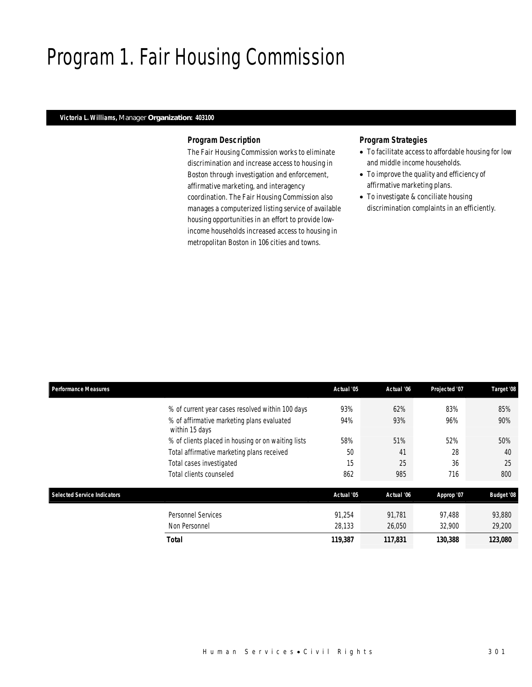# Program 1. Fair Housing Commission

## *Victoria L. Williams, Manager Organization: 403100*

### *Program Description*

The Fair Housing Commission works to eliminate discrimination and increase access to housing in Boston through investigation and enforcement, affirmative marketing, and interagency coordination. The Fair Housing Commission also manages a computerized listing service of available housing opportunities in an effort to provide lowincome households increased access to housing in metropolitan Boston in 106 cities and towns.

## *Program Strategies*

- To facilitate access to affordable housing for low and middle income households.
- To improve the quality and efficiency of affirmative marketing plans.
- To investigate & conciliate housing discrimination complaints in an efficiently.

| <b>Performance Measures</b>        |                                                              | Actual '05 | Actual '06 | Projected '07 | Target '08        |
|------------------------------------|--------------------------------------------------------------|------------|------------|---------------|-------------------|
|                                    | % of current year cases resolved within 100 days             | 93%        | 62%        | 83%           | 85%               |
|                                    | % of affirmative marketing plans evaluated<br>within 15 days | 94%        | 93%        | 96%           | 90%               |
|                                    | % of clients placed in housing or on waiting lists           | 58%        | 51%        | 52%           | 50%               |
|                                    | Total affirmative marketing plans received                   | 50         | 41         | 28            | 40                |
|                                    | Total cases investigated                                     | 15         | 25         | 36            | 25                |
|                                    | Total clients counseled                                      | 862        | 985        | 716           | 800               |
| <b>Selected Service Indicators</b> |                                                              | Actual '05 | Actual '06 | Approp '07    | <b>Budget '08</b> |
|                                    | <b>Personnel Services</b>                                    | 91.254     | 91.781     | 97.488        | 93,880            |
|                                    | Non Personnel                                                | 28,133     | 26,050     | 32,900        | 29,200            |
|                                    | Total                                                        | 119,387    | 117,831    | 130,388       | 123,080           |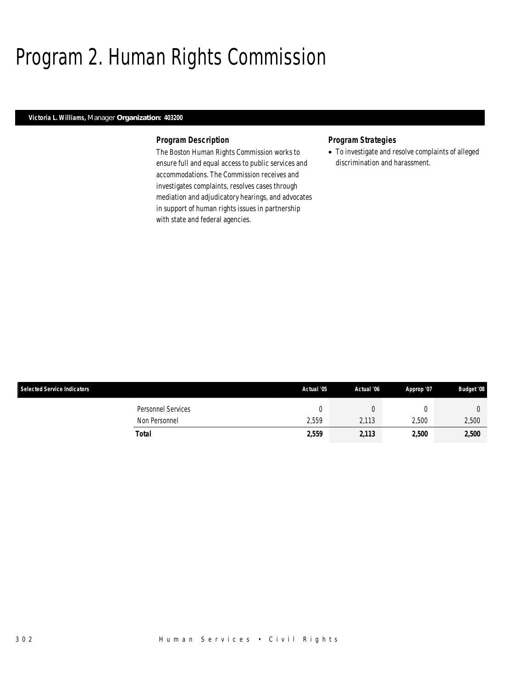# Program 2. Human Rights Commission

## *Victoria L. Williams, Manager Organization: 403200*

### *Program Description*

The Boston Human Rights Commission works to ensure full and equal access to public services and accommodations. The Commission receives and investigates complaints, resolves cases through mediation and adjudicatory hearings, and advocates in support of human rights issues in partnership with state and federal agencies.

### *Program Strategies*

• To investigate and resolve complaints of alleged discrimination and harassment.

| <b>Selected Service Indicators</b> | Actual '05 | Actual '06 | Approp '07 | <b>Budget '08</b> |
|------------------------------------|------------|------------|------------|-------------------|
| Personnel Services                 |            |            |            |                   |
| Non Personnel                      | 2,559      | 2,113      | 2,500      | 2,500             |
| Total                              | 2,559      | 2,113      | 2,500      | 2,500             |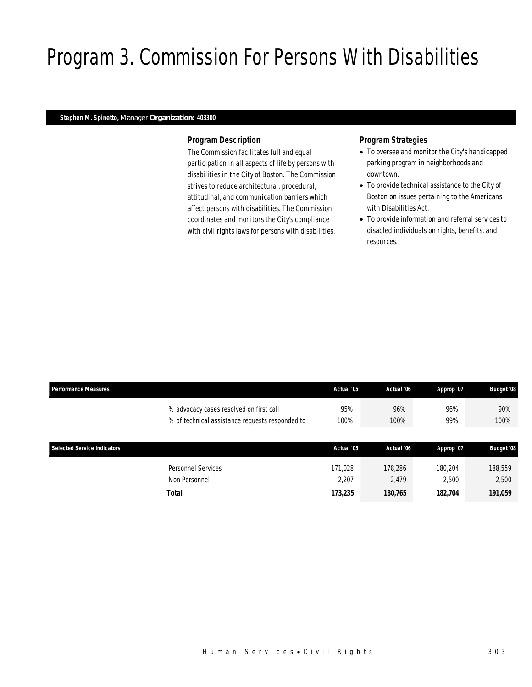# Program 3. Commission For Persons With Disabilities

## *Stephen M. Spinetto, Manager Organization: 403300*

### *Program Description*

The Commission facilitates full and equal participation in all aspects of life by persons with disabilities in the City of Boston. The Commission strives to reduce architectural, procedural, attitudinal, and communication barriers which affect persons with disabilities. The Commission coordinates and monitors the City's compliance with civil rights laws for persons with disabilities.

# *Program Strategies*

- To oversee and monitor the City's handicapped parking program in neighborhoods and downtown.
- To provide technical assistance to the City of Boston on issues pertaining to the Americans with Disabilities Act.
- To provide information and referral services to disabled individuals on rights, benefits, and resources.

| <b>Performance Measures</b>        |                                                 | Actual '05 | Actual '06 | Approp '07 | <b>Budget '08</b> |
|------------------------------------|-------------------------------------------------|------------|------------|------------|-------------------|
|                                    | % advocacy cases resolved on first call         | 95%        | 96%        | 96%        | 90%               |
|                                    | % of technical assistance requests responded to | 100%       | 100%       | 99%        | 100%              |
|                                    |                                                 |            |            |            |                   |
| <b>Selected Service Indicators</b> |                                                 | Actual '05 | Actual '06 | Approp '07 | <b>Budget '08</b> |
|                                    | Personnel Services                              | 171.028    | 178.286    | 180.204    | 188,559           |
|                                    | Non Personnel                                   | 2,207      | 2.479      | 2.500      | 2,500             |
|                                    | <b>Total</b>                                    | 173,235    | 180,765    | 182,704    | 191.059           |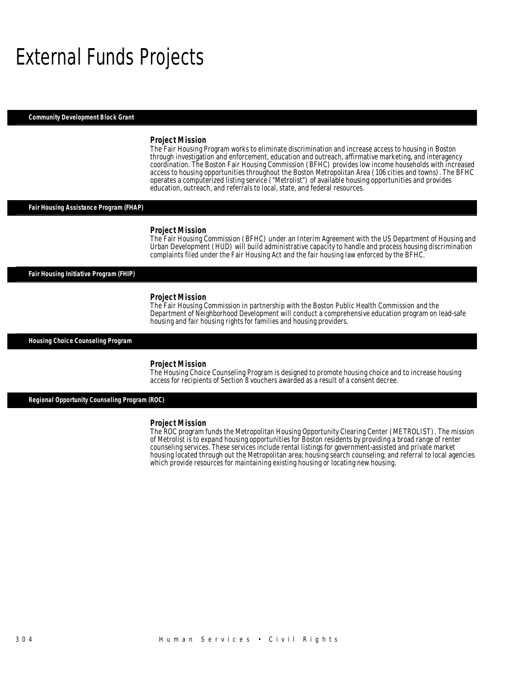# External Funds Projects

*Community Development Block Grant* 

#### *Project Mission*

The Fair Housing Program works to eliminate discrimination and increase access to housing in Boston through investigation and enforcement, education and outreach, affirmative marketing, and interagency coordination. The Boston Fair Housing Commission (BFHC) provides low income households with increased access to housing opportunities throughout the Boston Metropolitan Area (106 cities and towns). The BFHC operates a computerized listing service ("Metrolist") of available housing opportunities and provides education, outreach, and referrals to local, state, and federal resources.

#### *Fair Housing Assistance Program (FHAP)*

#### *Project Mission*

The Fair Housing Commission (BFHC) under an Interim Agreement with the US Department of Housing and Urban Development (HUD) will build administrative capacity to handle and process housing discrimination complaints filed under the Fair Housing Act and the fair housing law enforced by the BFHC.

*Fair Housing Initiative Program (FHIP)* 

#### *Project Mission*

The Fair Housing Commission in partnership with the Boston Public Health Commission and the Department of Neighborhood Development will conduct a comprehensive education program on lead-safe housing and fair housing rights for families and housing providers.

*Housing Choice Counseling Program* 

#### *Project Mission*

The Housing Choice Counseling Program is designed to promote housing choice and to increase housing access for recipients of Section 8 vouchers awarded as a result of a consent decree.

*Regional Opportunity Counseling Program (ROC)* 

#### *Project Mission*

The ROC program funds the Metropolitan Housing Opportunity Clearing Center (METROLIST). The mission of Metrolist is to expand housing opportunities for Boston residents by providing a broad range of renter counseling services. These services include rental listings for government-assisted and private market housing located through out the Metropolitan area; housing search counseling; and referral to local agencies which provide resources for maintaining existing housing or locating new housing.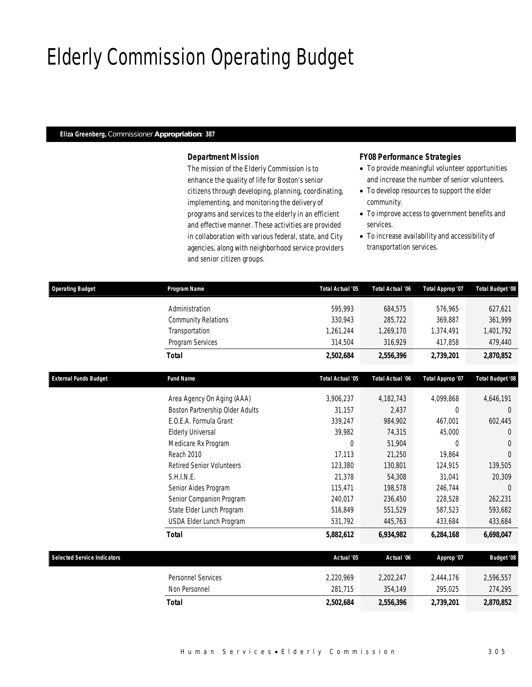# Elderly Commission Operating Budget

# *Eliza Greenberg, Commissioner Appropriation: 387*

# *Department Mission*

The mission of the Elderly Commission is to enhance the quality of life for Boston's senior citizens through developing, planning, coordinating, implementing, and monitoring the delivery of programs and services to the elderly in an efficient and effective manner. These activities are provided in collaboration with various federal, state, and City agencies, along with neighborhood service providers and senior citizen groups.

# *FY08 Performance Strategies*

- To provide meaningful volunteer opportunities and increase the number of senior volunteers.
- To develop resources to support the elder community.
- To improve access to government benefits and services.
- To increase availability and accessibility of transportation services.

| <b>Operating Budget</b>            | Program Name                     | Total Actual '05 | Total Actual '06 | Total Approp '07 | Total Budget '08        |
|------------------------------------|----------------------------------|------------------|------------------|------------------|-------------------------|
|                                    | Administration                   | 595.993          | 684,575          | 576.965          | 627,621                 |
|                                    | <b>Community Relations</b>       | 330,943          | 285,722          | 369,887          | 361,999                 |
|                                    | Transportation                   | 1,261,244        | 1,269,170        | 1,374,491        | 1,401,792               |
|                                    | Program Services                 | 314,504          | 316,929          | 417,858          | 479,440                 |
|                                    | <b>Total</b>                     | 2,502,684        | 2,556,396        | 2,739,201        | 2,870,852               |
| <b>External Funds Budget</b>       | <b>Fund Name</b>                 | Total Actual '05 | Total Actual '06 | Total Approp '07 | <b>Total Budget '08</b> |
|                                    | Area Agency On Aging (AAA)       | 3,906,237        | 4,182,743        | 4,099,868        | 4,646,191               |
|                                    | Boston Partnership Older Adults  | 31,157           | 2,437            | $\theta$         | $\Omega$                |
|                                    | E.O.E.A. Formula Grant           | 339,247          | 984,902          | 467,001          | 602,445                 |
|                                    | <b>Elderly Universal</b>         | 39,982           | 74,315           | 45,000           | $\theta$                |
|                                    | Medicare Rx Program              | $\theta$         | 51,904           | $\Omega$         | $\theta$                |
|                                    | Reach 2010                       | 17,113           | 21,250           | 19,864           | $\Omega$                |
|                                    | <b>Retired Senior Volunteers</b> | 123,380          | 130,801          | 124,915          | 139,505                 |
|                                    | S.H.I.N.E.                       | 21,378           | 54,308           | 31,041           | 20,309                  |
|                                    | Senior Aides Program             | 115,471          | 198,578          | 246,744          | $\Omega$                |
|                                    | Senior Companion Program         | 240,017          | 236,450          | 228,528          | 262,231                 |
|                                    | State Elder Lunch Program        | 516,849          | 551,529          | 587,523          | 593,682                 |
|                                    | USDA Elder Lunch Program         | 531,792          | 445,763          | 433,684          | 433,684                 |
|                                    | <b>Total</b>                     | 5,882,612        | 6,934,982        | 6,284,168        | 6,698,047               |
| <b>Selected Service Indicators</b> |                                  | Actual '05       | Actual '06       | Approp '07       | <b>Budget '08</b>       |
|                                    | Personnel Services               | 2,220,969        | 2,202,247        | 2,444,176        | 2,596,557               |
|                                    | Non Personnel                    | 281,715          | 354,149          | 295,025          | 274,295                 |
|                                    | <b>Total</b>                     | 2,502,684        | 2,556,396        | 2,739,201        | 2,870,852               |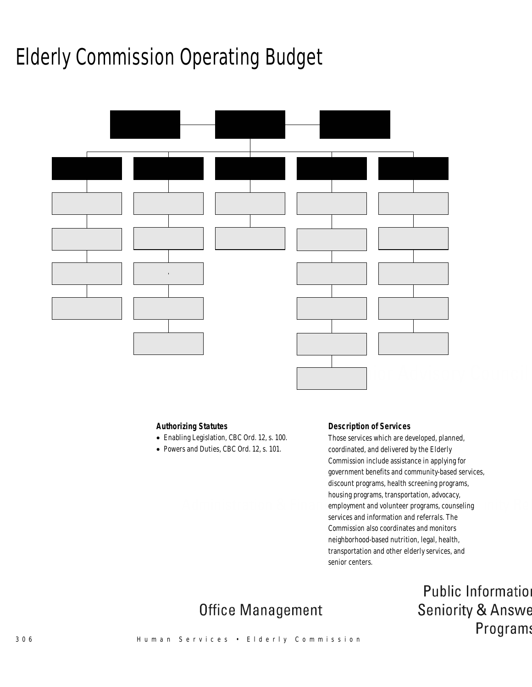# Elderly Commission Operating Budget



# *Authorizing Statutes*

- Enabling Legislation, CBC Ord. 12, s. 100.
- Powers and Duties, CBC Ord. 12, s. 101.

### *Description of Services*

Those services which are developed, planned, coordinated, and delivered by the Elderly Commission include assistance in applying for government benefits and community-based services, discount programs, health screening programs, housing programs, transportation, advocacy, employment and volunteer programs, counseling services and information and referrals. The Commission also coordinates and monitors neighborhood-based nutrition, legal, health, transportation and other elderly services, and senior centers.

> Public Information **Seniority & Answe** Program:

# **Office Management**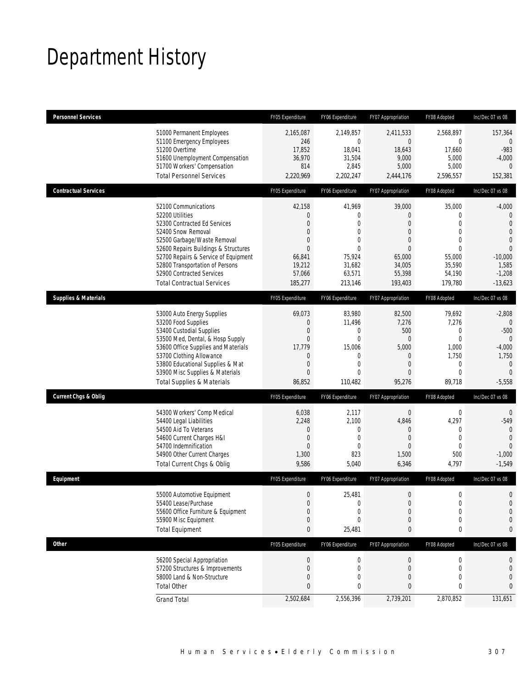# Department History

| <b>Personnel Services</b>       |                                                                                                                                                                                                                                                                                                                   | FY05 Expenditure                                                                                            | FY06 Expenditure                                                                                                     | FY07 Appropriation                                                                                                                  | FY08 Adopted                                                                                                         | Inc/Dec 07 vs 08                                                                                                                             |
|---------------------------------|-------------------------------------------------------------------------------------------------------------------------------------------------------------------------------------------------------------------------------------------------------------------------------------------------------------------|-------------------------------------------------------------------------------------------------------------|----------------------------------------------------------------------------------------------------------------------|-------------------------------------------------------------------------------------------------------------------------------------|----------------------------------------------------------------------------------------------------------------------|----------------------------------------------------------------------------------------------------------------------------------------------|
|                                 | 51000 Permanent Employees<br>51100 Emergency Employees<br>51200 Overtime<br>51600 Unemployment Compensation<br>51700 Workers' Compensation<br><b>Total Personnel Services</b>                                                                                                                                     | 2,165,087<br>246<br>17,852<br>36,970<br>814<br>2,220,969                                                    | 2,149,857<br>$\mathbf{0}$<br>18,041<br>31,504<br>2,845<br>2,202,247                                                  | 2,411,533<br>0<br>18,643<br>9,000<br>5,000<br>2,444,176                                                                             | 2,568,897<br>$\mathbf 0$<br>17,660<br>5,000<br>5,000<br>2,596,557                                                    | 157,364<br>$\mathbf{0}$<br>$-983$<br>$-4,000$<br>$\theta$<br>152,381                                                                         |
| <b>Contractual Services</b>     |                                                                                                                                                                                                                                                                                                                   | FY05 Expenditure                                                                                            | FY06 Expenditure                                                                                                     | FY07 Appropriation                                                                                                                  | FY08 Adopted                                                                                                         | Inc/Dec 07 vs 08                                                                                                                             |
|                                 | 52100 Communications<br>52200 Utilities<br>52300 Contracted Ed Services<br>52400 Snow Removal<br>52500 Garbage/Waste Removal<br>52600 Repairs Buildings & Structures<br>52700 Repairs & Service of Equipment<br>52800 Transportation of Persons<br>52900 Contracted Services<br><b>Total Contractual Services</b> | 42,158<br>$\theta$<br>$\theta$<br>$\theta$<br>$\Omega$<br>$\Omega$<br>66,841<br>19,212<br>57,066<br>185,277 | 41,969<br>0<br>$\overline{0}$<br>$\mathbf{0}$<br>$\overline{0}$<br>$\Omega$<br>75,924<br>31,682<br>63,571<br>213,146 | 39,000<br>$\overline{0}$<br>$\overline{0}$<br>$\overline{0}$<br>$\overline{0}$<br>$\Omega$<br>65,000<br>34,005<br>55,398<br>193,403 | 35,000<br>0<br>$\overline{0}$<br>$\mathbf{0}$<br>$\overline{0}$<br>$\Omega$<br>55,000<br>35,590<br>54,190<br>179,780 | $-4,000$<br>$\mathbf{0}$<br>$\mathbf 0$<br>$\overline{0}$<br>$\overline{0}$<br>$\overline{0}$<br>$-10,000$<br>1,585<br>$-1,208$<br>$-13,623$ |
| <b>Supplies &amp; Materials</b> |                                                                                                                                                                                                                                                                                                                   | FY05 Expenditure                                                                                            | FY06 Expenditure                                                                                                     | FY07 Appropriation                                                                                                                  | FY08 Adopted                                                                                                         | Inc/Dec 07 vs 08                                                                                                                             |
|                                 | 53000 Auto Energy Supplies<br>53200 Food Supplies<br>53400 Custodial Supplies<br>53500 Med, Dental, & Hosp Supply<br>53600 Office Supplies and Materials<br>53700 Clothing Allowance<br>53800 Educational Supplies & Mat<br>53900 Misc Supplies & Materials<br><b>Total Supplies &amp; Materials</b>              | 69,073<br>0<br>$\mathbf 0$<br>$\mathbf{0}$<br>17,779<br>$\theta$<br>$\theta$<br>$\theta$<br>86,852          | 83,980<br>11,496<br>$\mathbf{0}$<br>$\mathbf{0}$<br>15,006<br>0<br>$\overline{0}$<br>0<br>110,482                    | 82,500<br>7,276<br>500<br>$\boldsymbol{0}$<br>5,000<br>$\overline{0}$<br>$\overline{0}$<br>$\overline{0}$<br>95,276                 | 79,692<br>7,276<br>$\mathbf 0$<br>$\mathbf{0}$<br>1,000<br>1,750<br>$\overline{0}$<br>$\mathbf 0$<br>89,718          | $-2,808$<br>$\Omega$<br>$-500$<br>$\theta$<br>$-4,000$<br>1,750<br>$\mathbf{0}$<br>$\theta$<br>$-5,558$                                      |
| <b>Current Chgs &amp; Oblig</b> |                                                                                                                                                                                                                                                                                                                   | FY05 Expenditure                                                                                            | FY06 Expenditure                                                                                                     | FY07 Appropriation                                                                                                                  | FY08 Adopted                                                                                                         | Inc/Dec 07 vs 08                                                                                                                             |
|                                 | 54300 Workers' Comp Medical<br>54400 Legal Liabilities<br>54500 Aid To Veterans<br>54600 Current Charges H&I<br>54700 Indemnification<br>54900 Other Current Charges<br>Total Current Chgs & Oblig                                                                                                                | 6,038<br>2,248<br>$\theta$<br>$\theta$<br>$\theta$<br>1,300<br>9,586                                        | 2,117<br>2,100<br>$\mathbf{0}$<br>$\mathbf{0}$<br>$\mathbf{0}$<br>823<br>5,040                                       | $\mathbf{0}$<br>4,846<br>$\overline{0}$<br>$\overline{0}$<br>$\overline{0}$<br>1,500<br>6,346                                       | $\mathbf 0$<br>4,297<br>$\mathbf 0$<br>$\mathbf 0$<br>$\overline{0}$<br>500<br>4,797                                 | $\mathbf 0$<br>$-549$<br>$\mathbf{0}$<br>$\theta$<br>$\Omega$<br>$-1,000$<br>$-1,549$                                                        |
| Equipment                       |                                                                                                                                                                                                                                                                                                                   | FY05 Expenditure                                                                                            | FY06 Expenditure                                                                                                     | FY07 Appropriation                                                                                                                  | FY08 Adopted                                                                                                         | Inc/Dec 07 vs 08                                                                                                                             |
|                                 | 55000 Automotive Equipment<br>55400 Lease/Purchase<br>55600 Office Furniture & Equipment<br>55900 Misc Equipment<br><b>Total Equipment</b>                                                                                                                                                                        | $\mathbf 0$<br>$\mathbf{0}$<br>0<br>0<br>$\bf{0}$                                                           | 25,481<br>$\mathbf 0$<br>0<br>$\mathbf{0}$<br>25,481                                                                 | $\overline{0}$<br>$\boldsymbol{0}$<br>0<br>$\mathbf 0$<br>0                                                                         | $\Omega$<br>$\mathbf 0$<br>0<br>0<br>0                                                                               | $\Omega$<br>$\mathbf{0}$<br>$\mathbf{0}$<br>0<br>0                                                                                           |
| <b>Other</b>                    |                                                                                                                                                                                                                                                                                                                   | FY05 Expenditure                                                                                            | FY06 Expenditure                                                                                                     | FY07 Appropriation                                                                                                                  | FY08 Adopted                                                                                                         | Inc/Dec 07 vs 08                                                                                                                             |
|                                 | 56200 Special Appropriation<br>57200 Structures & Improvements<br>58000 Land & Non-Structure<br><b>Total Other</b>                                                                                                                                                                                                | $\theta$<br>$\theta$<br>$\Omega$<br>0                                                                       | $\boldsymbol{0}$<br>$\mathbf 0$<br>0<br>0                                                                            | $\boldsymbol{0}$<br>0<br>0<br>0                                                                                                     | 0<br>0<br>0<br>0                                                                                                     | 0<br>0<br>$\mathbf{0}$<br>$\mathbf{0}$                                                                                                       |
|                                 | <b>Grand Total</b>                                                                                                                                                                                                                                                                                                | 2,502,684                                                                                                   | 2,556,396                                                                                                            | 2,739,201                                                                                                                           | 2,870,852                                                                                                            | 131,651                                                                                                                                      |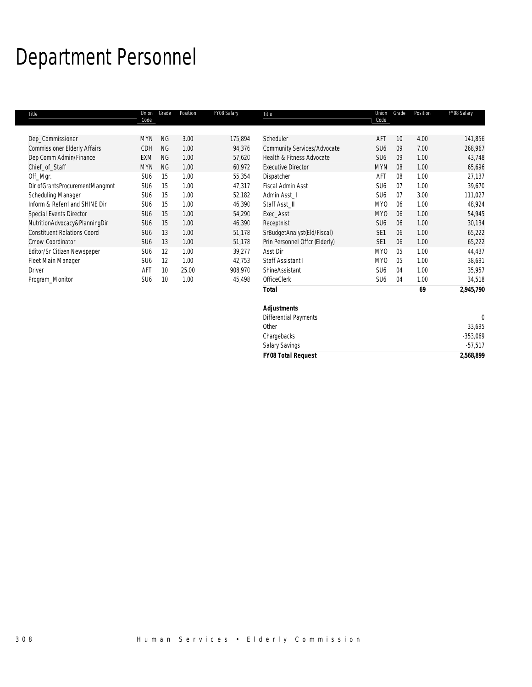# Department Personnel

| Title                               | Union<br>Code   | Grade     | Position | FY08 Salary | Title                          | Union<br>Code   | Grade           | Position | FY08 Salary |
|-------------------------------------|-----------------|-----------|----------|-------------|--------------------------------|-----------------|-----------------|----------|-------------|
| Dep_Commissioner                    | <b>MYN</b>      | <b>NG</b> | 3.00     | 175,894     | Scheduler                      | AFT             | 10 <sup>°</sup> | 4.00     | 141,856     |
| <b>Commissioner Elderly Affairs</b> | CDH             | <b>NG</b> | 1.00     | 94,376      | Community Services/Advocate    | SU <sub>6</sub> | 09              | 7.00     | 268,967     |
| Dep Comm Admin/Finance              | EXM             | <b>NG</b> | 1.00     | 57,620      | Health & Fitness Advocate      | SU <sub>6</sub> | 09              | 1.00     | 43,748      |
| Chief_of_Staff                      | <b>MYN</b>      | <b>NG</b> | 1.00     | 60,972      | <b>Executive Director</b>      | <b>MYN</b>      | 08              | 1.00     | 65,696      |
| Off_Mgr.                            | SU <sub>6</sub> | 15        | 1.00     | 55,354      | Dispatcher                     | AFT             | 08              | 1.00     | 27,137      |
| Dir ofGrantsProcurementMangmnt      | SU <sub>6</sub> | 15        | 1.00     | 47,317      | Fiscal Admin Asst              | SU <sub>6</sub> | 07              | 1.00     | 39,670      |
| Scheduling Manager                  | SU <sub>6</sub> | 15        | 1.00     | 52,182      | Admin Asst I                   | SU <sub>6</sub> | 07              | 3.00     | 111,027     |
| Inform & ReferrI and SHINE Dir      | SU <sub>6</sub> | 15        | 1.00     | 46,390      | Staff Asst_II                  | MY0             | 06              | 1.00     | 48,924      |
| Special Events Director             | SU <sub>6</sub> | 15        | 1.00     | 54,290      | Exec_Asst                      | <b>MYO</b>      | 06              | 1.00     | 54,945      |
| NutritionAdvocacy&PlanningDir       | SU <sub>6</sub> | 15        | 1.00     | 46,390      | Receptnist                     | SU <sub>6</sub> | 06              | 1.00     | 30,134      |
| <b>Constituent Relations Coord</b>  | SU <sub>6</sub> | 13        | 1.00     | 51,178      | SrBudgetAnalyst(Eld/Fiscal)    | SE <sub>1</sub> | 06              | 1.00     | 65,222      |
| Cmow Coordinator                    | SU <sub>6</sub> | 13        | 1.00     | 51,178      | Prin Personnel Offcr (Elderly) | SE <sub>1</sub> | 06              | 1.00     | 65,222      |
| Editor/Sr Citizen Newspaper         | SU <sub>6</sub> | 12        | 1.00     | 39,277      | Asst Dir                       | MY <sub>0</sub> | 0 <sub>5</sub>  | 1.00     | 44,437      |
| Fleet Main Manager                  | SU <sub>6</sub> | 12        | 1.00     | 42,753      | Staff Assistant I              | MY <sub>0</sub> | 05              | 1.00     | 38,691      |
| <b>Driver</b>                       | AFT             | 10        | 25.00    | 908,970     | ShineAssistant                 | SU <sub>6</sub> | 04              | 1.00     | 35,957      |
| Program_Monitor                     | SU <sub>6</sub> | 10        | 1.00     | 45,498      | OfficeClerk                    | SU <sub>6</sub> | 04              | 1.00     | 34,518      |
|                                     |                 |           |          |             | <b>Total</b>                   |                 |                 | 69       | 2,945,790   |
|                                     |                 |           |          |             | <b>Adjustments</b>             |                 |                 |          |             |

| <b>FY08 Total Request</b>    | 2,568,899  |
|------------------------------|------------|
| <b>Salary Savings</b>        | $-57,517$  |
| Chargebacks                  | $-353,069$ |
| Other                        | 33,695     |
| <b>Differential Payments</b> |            |
| <b>Adjustments</b>           |            |
|                              |            |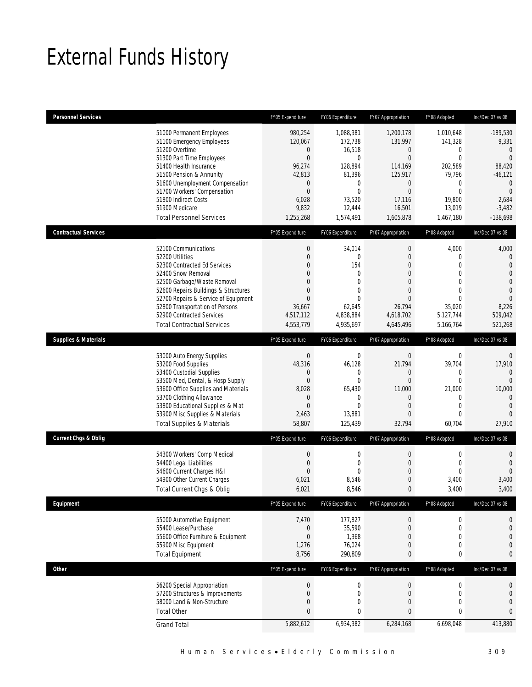# External Funds History

| <b>Personnel Services</b>       |                                                                                                                                                                                                                                                                                                                   | FY05 Expenditure                                                                                                                                | FY06 Expenditure                                                                                                                 | FY07 Appropriation                                                                                                                       | FY08 Adopted                                                                                                                      | Inc/Dec 07 vs 08                                                                                                                            |
|---------------------------------|-------------------------------------------------------------------------------------------------------------------------------------------------------------------------------------------------------------------------------------------------------------------------------------------------------------------|-------------------------------------------------------------------------------------------------------------------------------------------------|----------------------------------------------------------------------------------------------------------------------------------|------------------------------------------------------------------------------------------------------------------------------------------|-----------------------------------------------------------------------------------------------------------------------------------|---------------------------------------------------------------------------------------------------------------------------------------------|
|                                 | 51000 Permanent Employees<br>51100 Emergency Employees<br>51200 Overtime<br>51300 Part Time Employees<br>51400 Health Insurance<br>51500 Pension & Annunity<br>51600 Unemployment Compensation<br>51700 Workers' Compensation<br>51800 Indirect Costs<br>51900 Medicare<br><b>Total Personnel Services</b>        | 980,254<br>120,067<br>$\mathbf 0$<br>$\mathbf{0}$<br>96,274<br>42,813<br>$\mathbf 0$<br>$\mathbf{0}$<br>6,028<br>9,832<br>1,255,268             | 1,088,981<br>172,738<br>16,518<br>$\theta$<br>128,894<br>81,396<br>$\mathbf{0}$<br>$\mathbf{0}$<br>73,520<br>12,444<br>1,574,491 | 1,200,178<br>131,997<br>$\mathbf 0$<br>$\Omega$<br>114,169<br>125,917<br>$\mathbf 0$<br>$\mathbf{0}$<br>17,116<br>16,501<br>1,605,878    | 1,010,648<br>141,328<br>0<br>$\theta$<br>202,589<br>79,796<br>$\boldsymbol{0}$<br>$\overline{0}$<br>19,800<br>13,019<br>1,467,180 | $-189,530$<br>9,331<br>$\mathbf{0}$<br>$\Omega$<br>88,420<br>$-46,121$<br>$\mathbf{0}$<br>$\overline{0}$<br>2,684<br>$-3,482$<br>$-138,698$ |
| <b>Contractual Services</b>     |                                                                                                                                                                                                                                                                                                                   | FY05 Expenditure                                                                                                                                | FY06 Expenditure                                                                                                                 | FY07 Appropriation                                                                                                                       | FY08 Adopted                                                                                                                      | Inc/Dec 07 vs 08                                                                                                                            |
|                                 | 52100 Communications<br>52200 Utilities<br>52300 Contracted Ed Services<br>52400 Snow Removal<br>52500 Garbage/Waste Removal<br>52600 Repairs Buildings & Structures<br>52700 Repairs & Service of Equipment<br>52800 Transportation of Persons<br>52900 Contracted Services<br><b>Total Contractual Services</b> | $\mathbf 0$<br>$\overline{0}$<br>$\Omega$<br>$\overline{0}$<br>$\Omega$<br>$\overline{0}$<br>$\overline{0}$<br>36,667<br>4,517,112<br>4,553,779 | 34,014<br>$\mathbf{0}$<br>154<br>$\mathbf{0}$<br>$\Omega$<br>$\overline{0}$<br>$\theta$<br>62,645<br>4,838,884<br>4,935,697      | $\mathbf 0$<br>$\mathbf 0$<br>$\overline{0}$<br>0<br>$\theta$<br>$\overline{0}$<br>$\Omega$<br>26,794<br>4,618,702<br>4,645,496          | 4,000<br>$\mathbf 0$<br>$\overline{0}$<br>$\overline{0}$<br>0<br>$\overline{0}$<br>$\Omega$<br>35,020<br>5,127,744<br>5,166,764   | 4,000<br>$\mathbf{0}$<br>$\overline{0}$<br>$\mathbf{0}$<br>$\mathbf{0}$<br>$\Omega$<br>$\Omega$<br>8,226<br>509,042<br>521,268              |
| <b>Supplies &amp; Materials</b> |                                                                                                                                                                                                                                                                                                                   | FY05 Expenditure                                                                                                                                | FY06 Expenditure                                                                                                                 | FY07 Appropriation                                                                                                                       | FY08 Adopted                                                                                                                      | Inc/Dec 07 vs 08                                                                                                                            |
|                                 | 53000 Auto Energy Supplies<br>53200 Food Supplies<br>53400 Custodial Supplies<br>53500 Med, Dental, & Hosp Supply<br>53600 Office Supplies and Materials<br>53700 Clothing Allowance<br>53800 Educational Supplies & Mat<br>53900 Misc Supplies & Materials<br><b>Total Supplies &amp; Materials</b>              | $\mathbf 0$<br>48,316<br>0<br>$\mathbf{0}$<br>8,028<br>$\theta$<br>$\Omega$<br>2,463<br>58,807                                                  | $\mathbf 0$<br>46,128<br>0<br>$\mathbf{0}$<br>65,430<br>$\mathbf{0}$<br>$\Omega$<br>13,881<br>125,439                            | $\boldsymbol{0}$<br>21,794<br>$\boldsymbol{0}$<br>$\mathbf{0}$<br>11,000<br>$\overline{0}$<br>$\overline{0}$<br>$\overline{0}$<br>32,794 | $\mathbf 0$<br>39,704<br>0<br>$\mathbf{0}$<br>21,000<br>$\mathbf 0$<br>$\mathbf{0}$<br>$\overline{0}$<br>60,704                   | $\mathbf{0}$<br>17,910<br>$\Omega$<br>$\mathbf{0}$<br>10,000<br>$\mathbf{0}$<br>$\Omega$<br>$\overline{0}$<br>27,910                        |
| <b>Current Chgs &amp; Oblig</b> |                                                                                                                                                                                                                                                                                                                   | FY05 Expenditure                                                                                                                                | FY06 Expenditure                                                                                                                 | FY07 Appropriation                                                                                                                       | FY08 Adopted                                                                                                                      | Inc/Dec 07 vs 08                                                                                                                            |
|                                 | 54300 Workers' Comp Medical<br>54400 Legal Liabilities<br>54600 Current Charges H&I<br>54900 Other Current Charges<br>Total Current Chgs & Oblig                                                                                                                                                                  | $\mathbf 0$<br>$\mathbf{0}$<br>$\mathbf{0}$<br>6,021<br>6,021                                                                                   | $\mathbf 0$<br>$\mathbf{0}$<br>$\overline{0}$<br>8,546<br>8,546                                                                  | $\boldsymbol{0}$<br>$\mathbf 0$<br>$\mathbf 0$<br>$\theta$<br>$\mathbf{0}$                                                               | $\mathbf 0$<br>$\mathbf{0}$<br>$\mathbf 0$<br>3,400<br>3,400                                                                      | $\mathbf{0}$<br>$\overline{0}$<br>$\overline{0}$<br>3,400<br>3,400                                                                          |
| Equipment                       |                                                                                                                                                                                                                                                                                                                   | FY05 Expenditure                                                                                                                                | FY06 Expenditure                                                                                                                 | FY07 Appropriation                                                                                                                       | FY08 Adopted                                                                                                                      | Inc/Dec 07 vs 08                                                                                                                            |
|                                 | 55000 Automotive Equipment<br>55400 Lease/Purchase<br>55600 Office Furniture & Equipment<br>55900 Misc Equipment<br><b>Total Equipment</b>                                                                                                                                                                        | 7,470<br>$\mathbf 0$<br>$\mathbf{0}$<br>1,276<br>8,756                                                                                          | 177,827<br>35,590<br>1,368<br>76,024<br>290,809                                                                                  | $\boldsymbol{0}$<br>$\boldsymbol{0}$<br>$\theta$<br>$\mathbf 0$<br>0                                                                     | $\boldsymbol{0}$<br>$\boldsymbol{0}$<br>0<br>$\mathbf 0$<br>0                                                                     | 0<br>$\mathbf{0}$<br>0<br>$\mathbf{0}$<br>$\bf{0}$                                                                                          |
| <b>Other</b>                    |                                                                                                                                                                                                                                                                                                                   | FY05 Expenditure                                                                                                                                | FY06 Expenditure                                                                                                                 | FY07 Appropriation                                                                                                                       | FY08 Adopted                                                                                                                      | Inc/Dec 07 vs 08                                                                                                                            |
|                                 | 56200 Special Appropriation<br>57200 Structures & Improvements<br>58000 Land & Non-Structure<br><b>Total Other</b><br><b>Grand Total</b>                                                                                                                                                                          | $\boldsymbol{0}$<br>$\mathbf 0$<br>$\mathbf 0$<br>$\mathbf{0}$<br>5,882,612                                                                     | $\mathbf 0$<br>$\mathbf 0$<br>$\mathbf 0$<br>$\bf{0}$<br>6,934,982                                                               | $\boldsymbol{0}$<br>$\mathbf 0$<br>$\boldsymbol{0}$<br>0<br>6,284,168                                                                    | $\boldsymbol{0}$<br>$\mathbf 0$<br>0<br>0<br>6,698,048                                                                            | $\mathbf{0}$<br>$\mathbf 0$<br>$\overline{0}$<br>$\overline{0}$<br>413,880                                                                  |
|                                 |                                                                                                                                                                                                                                                                                                                   |                                                                                                                                                 |                                                                                                                                  |                                                                                                                                          |                                                                                                                                   |                                                                                                                                             |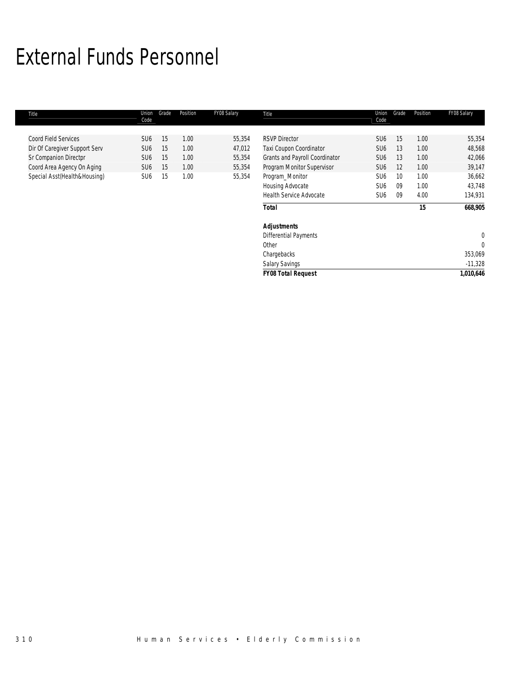# External Funds Personnel

| Title                         | Union<br>Code   | Grade | Position | FY08 Salary | Title                          | Union<br>Code   | Grade | Position | FY08 Salary |
|-------------------------------|-----------------|-------|----------|-------------|--------------------------------|-----------------|-------|----------|-------------|
| <b>Coord Field Services</b>   | SU <sub>6</sub> | 15    | 1.00     | 55,354      | <b>RSVP Director</b>           | SU <sub>6</sub> | 15    | 1.00     | 55,354      |
| Dir Of Caregiver Support Serv | SU <sub>6</sub> | 15    | 1.00     | 47,012      | Taxi Coupon Coordinator        | SU <sub>6</sub> | 13    | 1.00     | 48,568      |
| Sr Companion Directpr         | SU <sub>6</sub> | 15    | 1.00     | 55,354      | Grants and Payroll Coordinator | SU <sub>6</sub> | 13    | 1.00     | 42,066      |
| Coord Area Agency On Aging    | SU <sub>6</sub> | 15    | 1.00     | 55,354      | Program Monitor Supervisor     | SU <sub>6</sub> | 12    | 1.00     | 39,147      |
| Special Asst(Health&Housing)  | SU <sub>6</sub> | 15    | 1.00     | 55,354      | Program_Monitor                | SU <sub>6</sub> | 10    | 1.00     | 36,662      |
|                               |                 |       |          |             | Housing Advocate               | SU <sub>6</sub> | 09    | 1.00     | 43,748      |
|                               |                 |       |          |             | <b>Health Service Advocate</b> | SU <sub>6</sub> | -09   | 4.00     | 134,931     |
|                               |                 |       |          |             | <b>Total</b>                   |                 |       | 15       | 668,905     |
|                               |                 |       |          |             | <b>Adjustments</b>             |                 |       |          |             |
|                               |                 |       |          |             | <b>Differential Payments</b>   |                 |       |          | 0           |
|                               |                 |       |          |             | Other                          |                 |       |          | 0           |
|                               |                 |       |          |             | Chargebacks                    |                 |       |          | 353,069     |
|                               |                 |       |          |             | Salary Savings                 |                 |       |          | $-11,328$   |
|                               |                 |       |          |             | <b>FY08 Total Request</b>      |                 |       |          | 1,010,646   |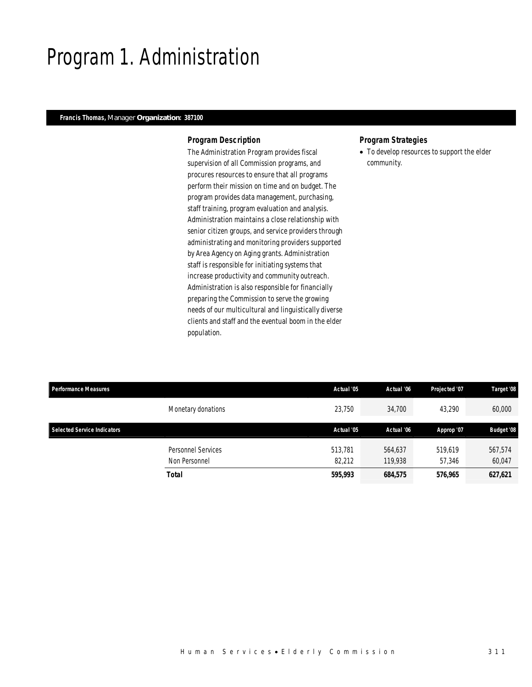# Program 1. Administration

## *Francis Thomas, Manager Organization: 387100*

### *Program Description*

The Administration Program provides fiscal supervision of all Commission programs, and procures resources to ensure that all programs perform their mission on time and on budget. The program provides data management, purchasing, staff training, program evaluation and analysis. Administration maintains a close relationship with senior citizen groups, and service providers through administrating and monitoring providers supported by Area Agency on Aging grants. Administration staff is responsible for initiating systems that increase productivity and community outreach. Administration is also responsible for financially preparing the Commission to serve the growing needs of our multicultural and linguistically diverse clients and staff and the eventual boom in the elder population.

### *Program Strategies*

• To develop resources to support the elder community.

| <b>Performance Measures</b>        |                           | Actual '05 | Actual '06 | Projected '07 | Target '08        |
|------------------------------------|---------------------------|------------|------------|---------------|-------------------|
|                                    | Monetary donations        | 23,750     | 34,700     | 43.290        | 60,000            |
| <b>Selected Service Indicators</b> |                           | Actual '05 | Actual '06 | Approp '07    | <b>Budget '08</b> |
|                                    | <b>Personnel Services</b> | 513,781    | 564,637    | 519,619       | 567,574           |
|                                    | Non Personnel             | 82,212     | 119.938    | 57.346        | 60,047            |
|                                    | Total                     | 595,993    | 684,575    | 576,965       | 627,621           |
|                                    |                           |            |            |               |                   |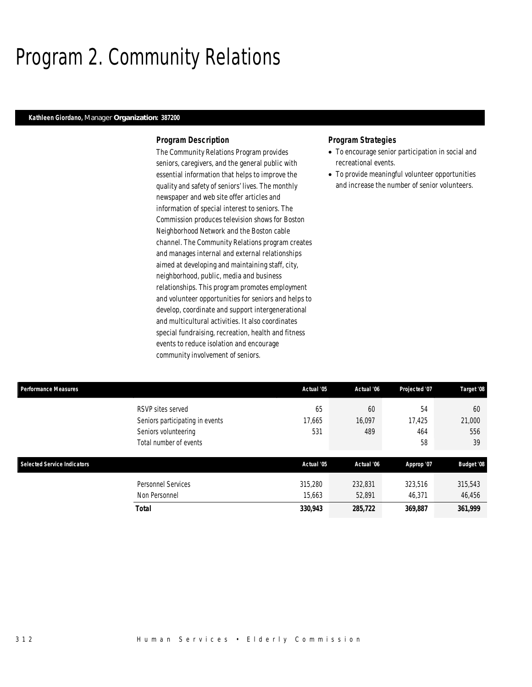# Program 2. Community Relations

### *Kathleen Giordano, Manager Organization: 387200*

### *Program Description*

The Community Relations Program provides seniors, caregivers, and the general public with essential information that helps to improve the quality and safety of seniors' lives. The monthly newspaper and web site offer articles and information of special interest to seniors. The Commission produces television shows for Boston Neighborhood Network and the Boston cable channel. The Community Relations program creates and manages internal and external relationships aimed at developing and maintaining staff, city, neighborhood, public, media and business relationships. This program promotes employment and volunteer opportunities for seniors and helps to develop, coordinate and support intergenerational and multicultural activities. It also coordinates special fundraising, recreation, health and fitness events to reduce isolation and encourage community involvement of seniors.

### *Program Strategies*

- To encourage senior participation in social and recreational events.
- To provide meaningful volunteer opportunities and increase the number of senior volunteers.

| <b>Performance Measures</b>        |                                 | Actual '05 | Actual '06 | Projected '07 | Target '08        |
|------------------------------------|---------------------------------|------------|------------|---------------|-------------------|
|                                    | RSVP sites served               | 65         | 60         | 54            | 60                |
|                                    | Seniors participating in events | 17,665     | 16,097     | 17,425        | 21,000            |
|                                    | Seniors volunteering            | 531        | 489        | 464           | 556               |
|                                    | Total number of events          |            |            | 58            | 39                |
|                                    |                                 |            |            |               |                   |
| <b>Selected Service Indicators</b> |                                 | Actual '05 | Actual '06 | Approp '07    | <b>Budget '08</b> |
|                                    | Personnel Services              | 315,280    | 232,831    | 323,516       | 315,543           |
|                                    | Non Personnel                   | 15,663     | 52,891     | 46.371        | 46,456            |
|                                    |                                 |            |            |               |                   |
|                                    | <b>Total</b>                    | 330,943    | 285,722    | 369,887       | 361,999           |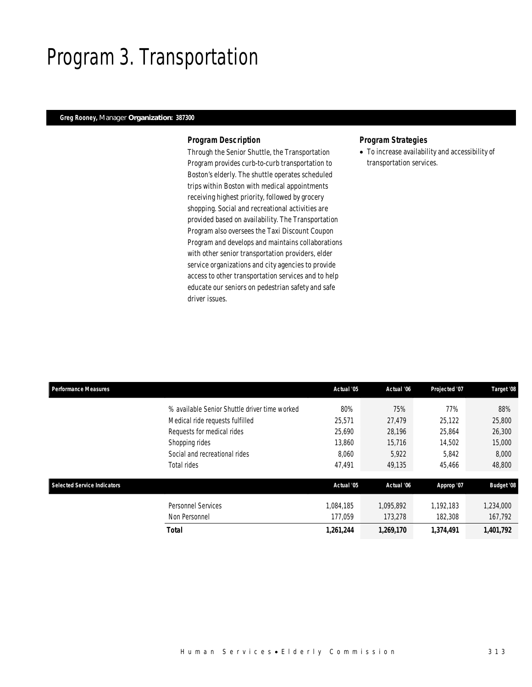# Program 3. Transportation

# *Greg Rooney, Manager Organization: 387300*

### *Program Description*

Through the Senior Shuttle, the Transportation Program provides curb-to-curb transportation to Boston's elderly. The shuttle operates scheduled trips within Boston with medical appointments receiving highest priority, followed by grocery shopping. Social and recreational activities are provided based on availability. The Transportation Program also oversees the Taxi Discount Coupon Program and develops and maintains collaborations with other senior transportation providers, elder service organizations and city agencies to provide access to other transportation services and to help educate our seniors on pedestrian safety and safe driver issues.

### *Program Strategies*

• To increase availability and accessibility of transportation services.

| <b>Performance Measures</b>        |                                               | Actual '05 | Actual '06 | Projected '07 | Target '08        |
|------------------------------------|-----------------------------------------------|------------|------------|---------------|-------------------|
|                                    | % available Senior Shuttle driver time worked | 80%        | 75%        | 77%           | 88%               |
|                                    | Medical ride requests fulfilled               | 25,571     | 27.479     | 25,122        | 25,800            |
|                                    | Requests for medical rides                    | 25,690     | 28,196     | 25,864        | 26,300            |
|                                    | Shopping rides                                | 13,860     | 15.716     | 14,502        | 15,000            |
|                                    | Social and recreational rides                 | 8,060      | 5,922      | 5,842         | 8,000             |
|                                    | Total rides                                   | 47,491     | 49,135     | 45,466        | 48,800            |
| <b>Selected Service Indicators</b> |                                               | Actual '05 | Actual '06 | Approp '07    | <b>Budget '08</b> |
|                                    | <b>Personnel Services</b>                     | 1,084,185  | 1,095,892  | 1,192,183     | 1,234,000         |
|                                    | Non Personnel                                 | 177,059    | 173,278    | 182,308       | 167,792           |
|                                    | <b>Total</b>                                  | 1,261,244  | 1,269,170  | 1,374,491     | 1,401,792         |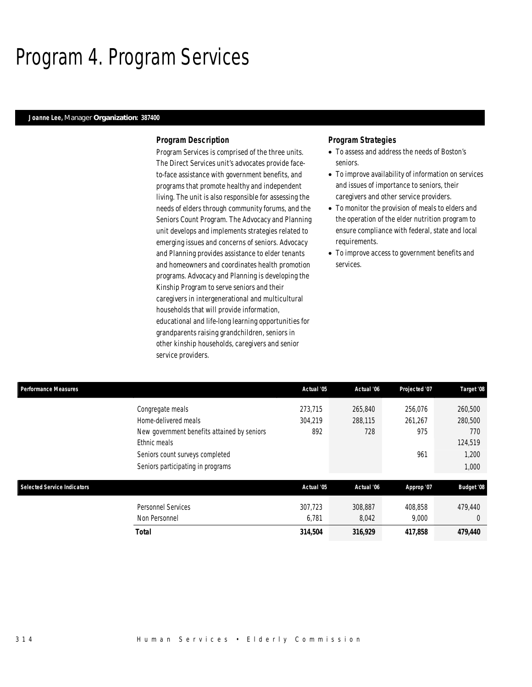# Program 4. Program Services

### *Joanne Lee, Manager Organization: 387400*

#### *Program Description*

Program Services is comprised of the three units. The Direct Services unit's advocates provide faceto-face assistance with government benefits, and programs that promote healthy and independent living. The unit is also responsible for assessing the needs of elders through community forums, and the Seniors Count Program. The Advocacy and Planning unit develops and implements strategies related to emerging issues and concerns of seniors. Advocacy and Planning provides assistance to elder tenants and homeowners and coordinates health promotion programs. Advocacy and Planning is developing the Kinship Program to serve seniors and their caregivers in intergenerational and multicultural households that will provide information, educational and life-long learning opportunities for grandparents raising grandchildren, seniors in other kinship households, caregivers and senior service providers.

### *Program Strategies*

- To assess and address the needs of Boston's seniors.
- To improve availability of information on services and issues of importance to seniors, their caregivers and other service providers.
- To monitor the provision of meals to elders and the operation of the elder nutrition program to ensure compliance with federal, state and local requirements.
- To improve access to government benefits and services.

| Performance Measures               |                                             | Actual '05 | Actual '06 | Projected '07 | Target '08        |
|------------------------------------|---------------------------------------------|------------|------------|---------------|-------------------|
|                                    | Congregate meals                            | 273,715    | 265,840    | 256,076       | 260,500           |
|                                    | Home-delivered meals                        | 304.219    | 288,115    | 261,267       | 280,500           |
|                                    | New government benefits attained by seniors | 892        | 728        | 975           | 770               |
|                                    | Ethnic meals                                |            |            |               | 124,519           |
|                                    | Seniors count surveys completed             |            |            | 961           | 1,200             |
|                                    | Seniors participating in programs           |            |            |               | 1,000             |
| <b>Selected Service Indicators</b> |                                             | Actual '05 | Actual '06 | Approp '07    | <b>Budget '08</b> |
|                                    |                                             |            |            |               |                   |
|                                    | Personnel Services                          | 307.723    | 308.887    | 408.858       | 479.440           |
|                                    | Non Personnel                               | 6,781      | 8,042      | 9,000         | $\Omega$          |
|                                    | Total                                       | 314,504    | 316,929    | 417,858       | 479,440           |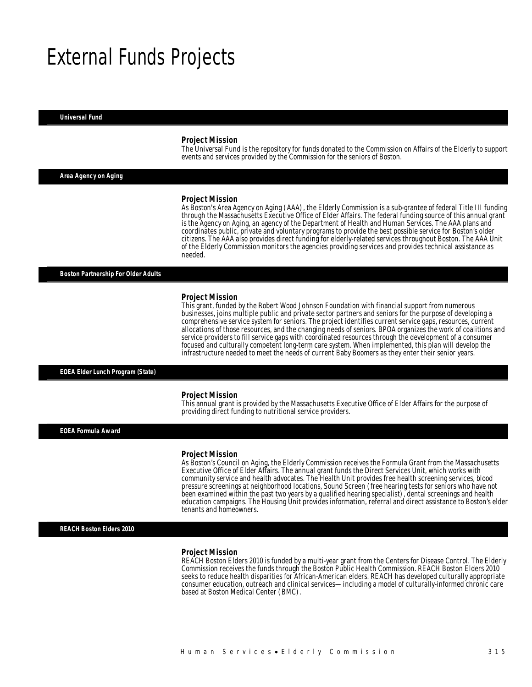# External Funds Projects

#### *Universal Fund*

#### *Project Mission*

The Universal Fund is the repository for funds donated to the Commission on Affairs of the Elderly to support events and services provided by the Commission for the seniors of Boston.

*Area Agency on Aging* 

#### *Project Mission*

As Boston's Area Agency on Aging (AAA), the Elderly Commission is a sub-grantee of federal Title III funding through the Massachusetts Executive Office of Elder Affairs. The federal funding source of this annual grant is the Agency on Aging, an agency of the Department of Health and Human Services. The AAA plans and coordinates public, private and voluntary programs to provide the best possible service for Boston's older citizens. The AAA also provides direct funding for elderly-related services throughout Boston. The AAA Unit of the Elderly Commission monitors the agencies providing services and provides technical assistance as needed.

*Boston Partnership For Older Adults* 

#### *Project Mission*

This grant, funded by the Robert Wood Johnson Foundation with financial support from numerous businesses, joins multiple public and private sector partners and seniors for the purpose of developing a comprehensive service system for seniors. The project identifies current service gaps, resources, current allocations of those resources, and the changing needs of seniors. BPOA organizes the work of coalitions and service providers to fill service gaps with coordinated resources through the development of a consumer focused and culturally competent long-term care system. When implemented, this plan will develop the infrastructure needed to meet the needs of current Baby Boomers as they enter their senior years.

#### *EOEA Elder Lunch Program (State)*

#### *Project Mission*

This annual grant is provided by the Massachusetts Executive Office of Elder Affairs for the purpose of providing direct funding to nutritional service providers. Î

*EOEA Formula Award* 

#### *Project Mission*

As Boston's Council on Aging, the Elderly Commission receives the Formula Grant from the Massachusetts Executive Office of Elder Affairs. The annual grant funds the Direct Services Unit, which works with community service and health advocates. The Health Unit provides free health screening services, blood pressure screenings at neighborhood locations, Sound Screen (free hearing tests for seniors who have not been examined within the past two years by a qualified hearing specialist), dental screenings and health education campaigns. The Housing Unit provides information, referral and direct assistance to Boston's elder tenants and homeowners.

#### *REACH Boston Elders 2010*

#### *Project Mission*

REACH Boston Elders 2010 is funded by a multi-year grant from the Centers for Disease Control. The Elderly Commission receives the funds through the Boston Public Health Commission. REACH Boston Elders 2010 seeks to reduce health disparities for African-American elders. REACH has developed culturally appropriate consumer education, outreach and clinical services—including a model of culturally-informed chronic care based at Boston Medical Center (BMC).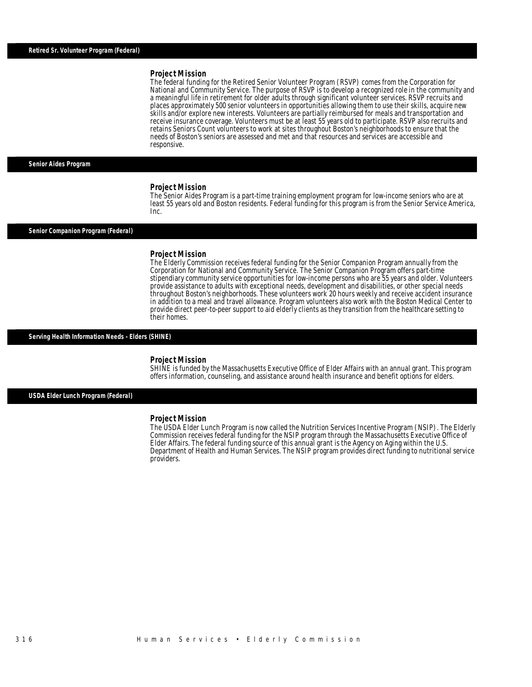#### *Project Mission*

The federal funding for the Retired Senior Volunteer Program (RSVP) comes from the Corporation for National and Community Service. The purpose of RSVP is to develop a recognized role in the community and a meaningful life in retirement for older adults through significant volunteer services. RSVP recruits and places approximately 500 senior volunteers in opportunities allowing them to use their skills, acquire new skills and/or explore new interests. Volunteers are partially reimbursed for meals and transportation and receive insurance coverage. Volunteers must be at least 55 years old to participate. RSVP also recruits and retains Seniors Count volunteers to work at sites throughout Boston's neighborhoods to ensure that the needs of Boston's seniors are assessed and met and that resources and services are accessible and responsive.

*Senior Aides Program* 

#### *Project Mission*

The Senior Aides Program is a part-time training employment program for low-income seniors who are at least 55 years old and Boston residents. Federal funding for this program is from the Senior Service America, Inc.

#### *Senior Companion Program (Federal)*

#### *Project Mission*

The Elderly Commission receives federal funding for the Senior Companion Program annually from the Corporation for National and Community Service. The Senior Companion Program offers part-time stipendiary community service opportunities for low-income persons who are 55 years and older. Volunteers provide assistance to adults with exceptional needs, development and disabilities, or other special needs throughout Boston's neighborhoods. These volunteers work 20 hours weekly and receive accident insurance in addition to a meal and travel allowance. Program volunteers also work with the Boston Medical Center to provide direct peer-to-peer support to aid elderly clients as they transition from the healthcare setting to their homes.

#### *Serving Health Information Needs - Elders (SHINE)*

#### *Project Mission*

SHINE is funded by the Massachusetts Executive Office of Elder Affairs with an annual grant. This program offers information, counseling, and assistance around health insurance and benefit options for elders.

*USDA Elder Lunch Program (Federal)* 

#### *Project Mission*

The USDA Elder Lunch Program is now called the Nutrition Services Incentive Program (NSIP). The Elderly Commission receives federal funding for the NSIP program through the Massachusetts Executive Office of Elder Affairs. The federal funding source of this annual grant is the Agency on Aging within the U.S. Department of Health and Human Services. The NSIP program provides direct funding to nutritional service providers.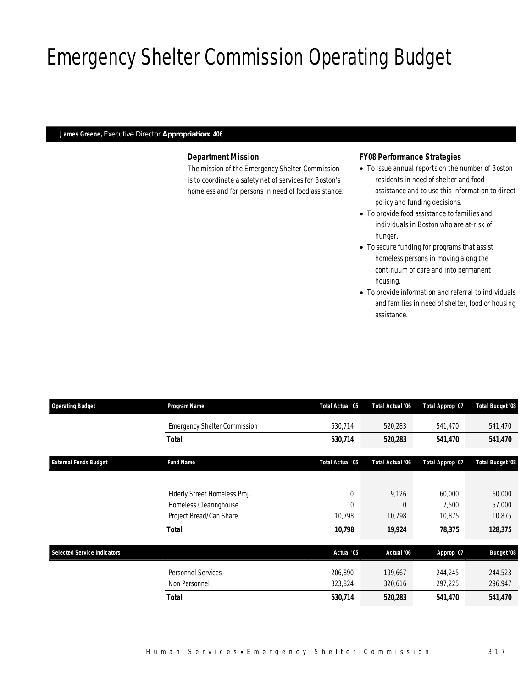# Emergency Shelter Commission Operating Budget

# *James Greene, Executive Director Appropriation: 406*

# *Department Mission*

The mission of the Emergency Shelter Commission is to coordinate a safety net of services for Boston's homeless and for persons in need of food assistance.

### *FY08 Performance Strategies*

- To issue annual reports on the number of Boston residents in need of shelter and food assistance and to use this information to direct policy and funding decisions.
- To provide food assistance to families and individuals in Boston who are at-risk of hunger.
- To secure funding for programs that assist homeless persons in moving along the continuum of care and into permanent housing.
- To provide information and referral to individuals and families in need of shelter, food or housing assistance.

| <b>Operating Budget</b>            | Program Name                        | Total Actual '05 | <b>Total Actual '06</b> | Total Approp '07 | Total Budget '08        |
|------------------------------------|-------------------------------------|------------------|-------------------------|------------------|-------------------------|
|                                    | <b>Emergency Shelter Commission</b> | 530,714          | 520,283                 | 541,470          | 541,470                 |
|                                    | Total                               | 530,714          | 520,283                 | 541,470          | 541,470                 |
| <b>External Funds Budget</b>       | <b>Fund Name</b>                    | Total Actual '05 | <b>Total Actual '06</b> | Total Approp '07 | <b>Total Budget '08</b> |
|                                    | Elderly Street Homeless Proj.       | 0                | 9,126                   | 60,000           | 60,000                  |
|                                    | Homeless Clearinghouse              | 0                | $\Omega$                | 7.500            | 57,000                  |
|                                    | Project Bread/Can Share             | 10,798           | 10,798                  | 10,875           | 10,875                  |
|                                    | <b>Total</b>                        | 10,798           | 19,924                  | 78,375           | 128,375                 |
| <b>Selected Service Indicators</b> |                                     | Actual '05       | Actual '06              | Approp '07       | <b>Budget '08</b>       |
|                                    | <b>Personnel Services</b>           | 206,890          | 199,667                 | 244,245          | 244,523                 |
|                                    | Non Personnel                       | 323,824          | 320,616                 | 297,225          | 296,947                 |
|                                    | <b>Total</b>                        | 530,714          | 520,283                 | 541,470          | 541,470                 |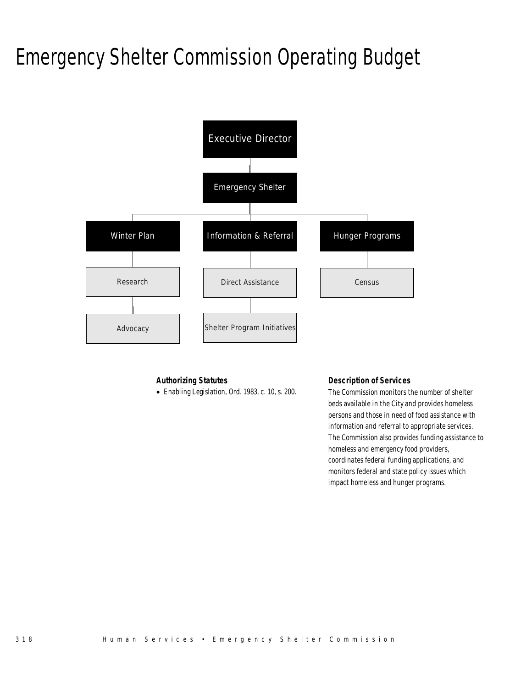# Emergency Shelter Commission Operating Budget



# *Authorizing Statutes*

• Enabling Legislation, Ord. 1983, c. 10, s. 200.

# *Description of Services*

The Commission monitors the number of shelter beds available in the City and provides homeless persons and those in need of food assistance with information and referral to appropriate services. The Commission also provides funding assistance to homeless and emergency food providers, coordinates federal funding applications, and monitors federal and state policy issues which impact homeless and hunger programs.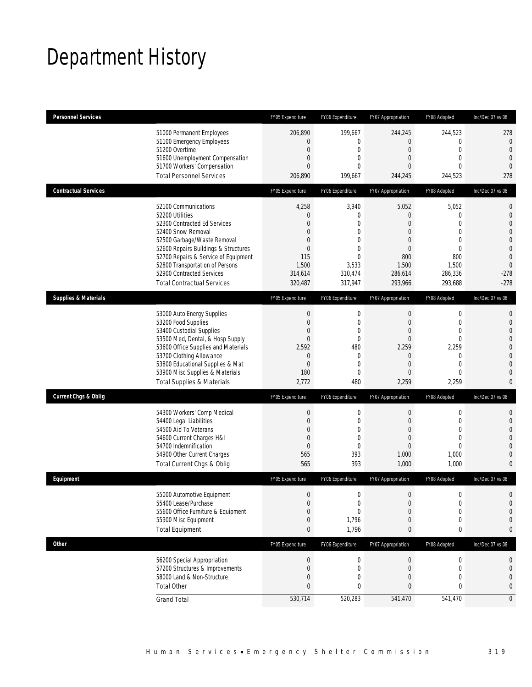# Department History

| <b>Personnel Services</b>       |                                                                                                                                                                                                                                                                                                                   | FY05 Expenditure                                                                                                          | FY06 Expenditure                                                                                              | FY07 Appropriation                                                                                       | FY08 Adopted                                                                                                                | Inc/Dec 07 vs 08                                                                                                             |
|---------------------------------|-------------------------------------------------------------------------------------------------------------------------------------------------------------------------------------------------------------------------------------------------------------------------------------------------------------------|---------------------------------------------------------------------------------------------------------------------------|---------------------------------------------------------------------------------------------------------------|----------------------------------------------------------------------------------------------------------|-----------------------------------------------------------------------------------------------------------------------------|------------------------------------------------------------------------------------------------------------------------------|
|                                 | 51000 Permanent Employees<br>51100 Emergency Employees<br>51200 Overtime<br>51600 Unemployment Compensation<br>51700 Workers' Compensation<br><b>Total Personnel Services</b>                                                                                                                                     | 206.890<br>$\overline{0}$<br>$\mathbf{0}$<br>$\mathbf{0}$<br>$\mathbf{0}$<br>206,890                                      | 199,667<br>0<br>$\mathbf{0}$<br>0<br>$\Omega$<br>199,667                                                      | 244,245<br>0<br>$\overline{0}$<br>0<br>$\Omega$<br>244,245                                               | 244.523<br>$\mathbf{0}$<br>$\mathbf{0}$<br>$\mathbf{0}$<br>$\theta$<br>244,523                                              | 278<br>$\mathbf 0$<br>$\theta$<br>$\overline{0}$<br>$\mathbf{0}$<br>278                                                      |
| <b>Contractual Services</b>     |                                                                                                                                                                                                                                                                                                                   | FY05 Expenditure                                                                                                          | FY06 Expenditure                                                                                              | FY07 Appropriation                                                                                       | FY08 Adopted                                                                                                                | Inc/Dec 07 vs 08                                                                                                             |
|                                 | 52100 Communications<br>52200 Utilities<br>52300 Contracted Ed Services<br>52400 Snow Removal<br>52500 Garbage/Waste Removal<br>52600 Repairs Buildings & Structures<br>52700 Repairs & Service of Equipment<br>52800 Transportation of Persons<br>52900 Contracted Services<br><b>Total Contractual Services</b> | 4,258<br>$\overline{0}$<br>$\mathbf{0}$<br>$\mathbf{0}$<br>$\theta$<br>$\mathbf{0}$<br>115<br>1,500<br>314,614<br>320,487 | 3,940<br>0<br>$\mathbf{0}$<br>0<br>$\Omega$<br>0<br>$\Omega$<br>3,533<br>310,474<br>317,947                   | 5,052<br>0<br>$\overline{0}$<br>0<br>0<br>$\overline{0}$<br>800<br>1,500<br>286,614<br>293,966           | 5,052<br>$\mathbf{0}$<br>$\mathbf{0}$<br>$\mathbf{0}$<br>$\mathbf{0}$<br>$\mathbf{0}$<br>800<br>1,500<br>286,336<br>293,688 | 0<br>$\mathbf 0$<br>$\overline{0}$<br>0<br>$\mathbf 0$<br>$\mathbf{0}$<br>$\overline{0}$<br>$\mathbf{0}$<br>$-278$<br>$-278$ |
| <b>Supplies &amp; Materials</b> |                                                                                                                                                                                                                                                                                                                   | FY05 Expenditure                                                                                                          | FY06 Expenditure                                                                                              | FY07 Appropriation                                                                                       | FY08 Adopted                                                                                                                | Inc/Dec 07 vs 08                                                                                                             |
|                                 | 53000 Auto Energy Supplies<br>53200 Food Supplies<br>53400 Custodial Supplies<br>53500 Med, Dental, & Hosp Supply<br>53600 Office Supplies and Materials<br>53700 Clothing Allowance<br>53800 Educational Supplies & Mat<br>53900 Misc Supplies & Materials<br><b>Total Supplies &amp; Materials</b>              | $\mathbf 0$<br>$\mathbf{0}$<br>$\mathbf{0}$<br>$\theta$<br>2,592<br>$\theta$<br>$\mathbf{0}$<br>180<br>2,772              | $\mathbf 0$<br>$\mathbf 0$<br>0<br>$\mathbf{0}$<br>480<br>$\mathbf{0}$<br>$\mathbf{0}$<br>$\mathbf{0}$<br>480 | $\boldsymbol{0}$<br>$\theta$<br>$\overline{0}$<br>$\Omega$<br>2,259<br>0<br>$\overline{0}$<br>0<br>2,259 | $\mathbf 0$<br>$\mathbf{0}$<br>$\mathbf{0}$<br>$\Omega$<br>2,259<br>$\mathbf{0}$<br>$\mathbf{0}$<br>$\mathbf{0}$<br>2,259   | 0<br>$\overline{0}$<br>0<br>$\mathbf 0$<br>$\overline{0}$<br>0<br>$\Omega$<br>0<br>0                                         |
| <b>Current Chgs &amp; Oblig</b> |                                                                                                                                                                                                                                                                                                                   | FY05 Expenditure                                                                                                          | FY06 Expenditure                                                                                              | FY07 Appropriation                                                                                       | FY08 Adopted                                                                                                                | Inc/Dec 07 vs 08                                                                                                             |
|                                 | 54300 Workers' Comp Medical<br>54400 Legal Liabilities<br>54500 Aid To Veterans<br>54600 Current Charges H&I<br>54700 Indemnification<br>54900 Other Current Charges<br>Total Current Chgs & Oblig                                                                                                                | $\mathbf 0$<br>$\mathbf{0}$<br>$\theta$<br>$\theta$<br>$\mathbf 0$<br>565<br>565                                          | $\mathbf 0$<br>$\mathbf{0}$<br>0<br>$\mathbf{0}$<br>$\mathbf{0}$<br>393<br>393                                | $\mathbf 0$<br>$\overline{0}$<br>$\overline{0}$<br>0<br>$\overline{0}$<br>1,000<br>1,000                 | $\mathbf 0$<br>$\mathbf{0}$<br>$\mathbf 0$<br>$\mathbf{0}$<br>$\mathbf{0}$<br>1,000<br>1,000                                | 0<br>$\overline{0}$<br>0<br>0<br>0<br>0<br>0                                                                                 |
| Equipment                       |                                                                                                                                                                                                                                                                                                                   | FY05 Expenditure                                                                                                          | FY06 Expenditure                                                                                              | FY07 Appropriation                                                                                       | FY08 Adopted                                                                                                                | Inc/Dec 07 vs 08                                                                                                             |
|                                 | 55000 Automotive Equipment<br>55400 Lease/Purchase<br>55600 Office Furniture & Equipment<br>55900 Misc Equipment<br><b>Total Equipment</b>                                                                                                                                                                        | $\Omega$<br>$\mathbf{0}$<br>$\theta$<br>$\theta$<br>$\bf{0}$                                                              | $\Omega$<br>$\mathbf 0$<br>0<br>1,796<br>1,796                                                                | $\Omega$<br>$\mathbf 0$<br>0<br>0<br>0                                                                   | $\Omega$<br>$\mathbf 0$<br>$\overline{0}$<br>0<br>0                                                                         | 0<br>$\overline{0}$<br>0<br>0<br>0                                                                                           |
| <b>Other</b>                    |                                                                                                                                                                                                                                                                                                                   | FY05 Expenditure                                                                                                          | FY06 Expenditure                                                                                              | FY07 Appropriation                                                                                       | FY08 Adopted                                                                                                                | Inc/Dec 07 vs 08                                                                                                             |
|                                 | 56200 Special Appropriation<br>57200 Structures & Improvements<br>58000 Land & Non-Structure<br><b>Total Other</b>                                                                                                                                                                                                | $\mathbf 0$<br>$\mathbf{0}$<br>$\theta$<br>$\mathbf{0}$                                                                   | $\boldsymbol{0}$<br>$\mathbf{0}$<br>0<br>0                                                                    | $\boldsymbol{0}$<br>0<br>0<br>0                                                                          | $\boldsymbol{0}$<br>$\boldsymbol{0}$<br>0<br>0                                                                              | 0<br>0<br>0<br>0                                                                                                             |
|                                 | <b>Grand Total</b>                                                                                                                                                                                                                                                                                                | 530,714                                                                                                                   | 520,283                                                                                                       | 541,470                                                                                                  | 541,470                                                                                                                     | $\overline{0}$                                                                                                               |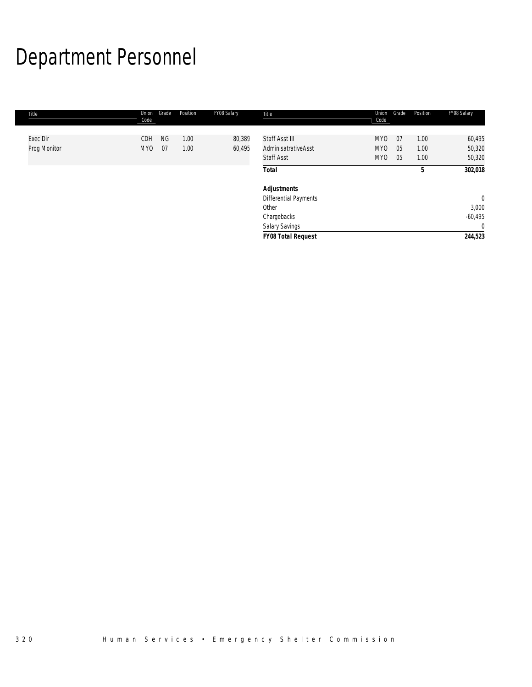# Department Personnel

| Title        | Union<br>Code   | Grade     | Position | FY08 Salary | Title                                    | Union<br>Code                      | Grade    | Position     | FY08 Salary             |
|--------------|-----------------|-----------|----------|-------------|------------------------------------------|------------------------------------|----------|--------------|-------------------------|
| Exec Dir     | CDH             | <b>NG</b> | 1.00     | 80,389      | Staff Asst III                           | <b>MYO</b>                         | 07       | 1.00         | 60,495                  |
| Prog Monitor | MY <sub>0</sub> | 07        | 1.00     | 60,495      | AdminisatrativeAsst<br><b>Staff Asst</b> | MY <sub>0</sub><br>MY <sub>0</sub> | 05<br>05 | 1.00<br>1.00 | 50,320<br>50,320        |
|              |                 |           |          |             | <b>Total</b>                             |                                    |          | 5            | 302,018                 |
|              |                 |           |          |             | <b>Adjustments</b>                       |                                    |          |              |                         |
|              |                 |           |          |             | Differential Payments<br>Other           |                                    |          |              | $\overline{0}$<br>3,000 |
|              |                 |           |          |             | Chargebacks                              |                                    |          |              | $-60,495$               |
|              |                 |           |          |             | Salary Savings                           |                                    |          |              | $\mathbf{0}$            |
|              |                 |           |          |             | <b>FY08 Total Request</b>                |                                    |          |              | 244,523                 |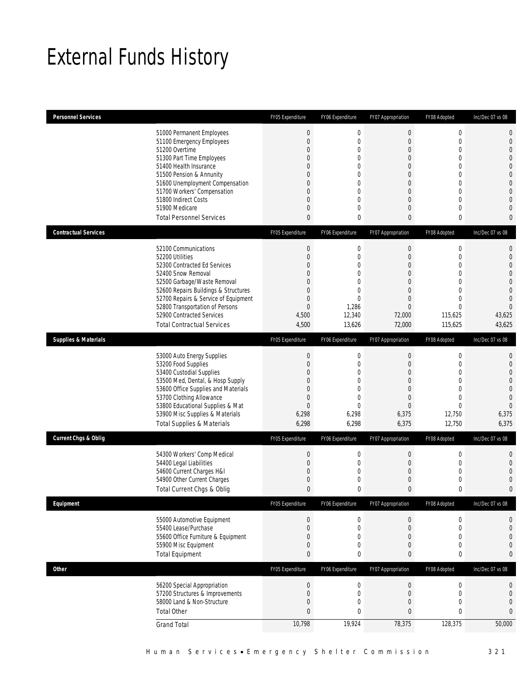# External Funds History

| <b>Personnel Services</b>       |                                                                                                                                                                                                                                                                                                                   | FY05 Expenditure                                                                                                                                                                               | FY06 Expenditure                                                                                                                                                        | FY07 Appropriation                                                                                                                                                                                  | FY08 Adopted                                                                                                                                                    | Inc/Dec 07 vs 08                                                                                                                                                                    |
|---------------------------------|-------------------------------------------------------------------------------------------------------------------------------------------------------------------------------------------------------------------------------------------------------------------------------------------------------------------|------------------------------------------------------------------------------------------------------------------------------------------------------------------------------------------------|-------------------------------------------------------------------------------------------------------------------------------------------------------------------------|-----------------------------------------------------------------------------------------------------------------------------------------------------------------------------------------------------|-----------------------------------------------------------------------------------------------------------------------------------------------------------------|-------------------------------------------------------------------------------------------------------------------------------------------------------------------------------------|
|                                 | 51000 Permanent Employees<br>51100 Emergency Employees<br>51200 Overtime<br>51300 Part Time Employees<br>51400 Health Insurance<br>51500 Pension & Annunity<br>51600 Unemployment Compensation<br>51700 Workers' Compensation<br>51800 Indirect Costs<br>51900 Medicare<br><b>Total Personnel Services</b>        | $\boldsymbol{0}$<br>$\mathbf{0}$<br>$\overline{0}$<br>$\mathbf{0}$<br>$\overline{0}$<br>$\overline{0}$<br>$\overline{0}$<br>$\overline{0}$<br>$\overline{0}$<br>$\overline{0}$<br>$\mathbf{0}$ | $\mathbf 0$<br>$\mathbf{0}$<br>$\overline{0}$<br>$\mathbf{0}$<br>$\overline{0}$<br>0<br>$\overline{0}$<br>$\overline{0}$<br>$\mathbf{0}$<br>$\mathbf{0}$<br>$\mathbf 0$ | $\mathbf 0$<br>$\boldsymbol{0}$<br>$\boldsymbol{0}$<br>$\overline{0}$<br>$\overline{0}$<br>$\overline{0}$<br>$\boldsymbol{0}$<br>$\overline{0}$<br>$\overline{0}$<br>$\overline{0}$<br>$\mathbf{0}$ | $\mathbf 0$<br>$\mathbf 0$<br>$\overline{0}$<br>$\overline{0}$<br>$\overline{0}$<br>0<br>$\mathbf 0$<br>$\overline{0}$<br>$\overline{0}$<br>$\overline{0}$<br>0 | $\mathbf 0$<br>$\mathbf 0$<br>$\overline{0}$<br>$\overline{0}$<br>$\overline{0}$<br>$\mathbf{0}$<br>$\mathbf{0}$<br>$\overline{0}$<br>$\overline{0}$<br>$\mathbf 0$<br>$\mathbf{0}$ |
| <b>Contractual Services</b>     |                                                                                                                                                                                                                                                                                                                   | FY05 Expenditure                                                                                                                                                                               | FY06 Expenditure                                                                                                                                                        | FY07 Appropriation                                                                                                                                                                                  | FY08 Adopted                                                                                                                                                    | Inc/Dec 07 vs 08                                                                                                                                                                    |
|                                 | 52100 Communications<br>52200 Utilities<br>52300 Contracted Ed Services<br>52400 Snow Removal<br>52500 Garbage/Waste Removal<br>52600 Repairs Buildings & Structures<br>52700 Repairs & Service of Equipment<br>52800 Transportation of Persons<br>52900 Contracted Services<br><b>Total Contractual Services</b> | $\theta$<br>$\mathbf{0}$<br>$\overline{0}$<br>$\overline{0}$<br>$\overline{0}$<br>$\mathbf{0}$<br>$\mathbf{0}$<br>$\mathbf{0}$<br>4,500<br>4,500                                               | $\mathbf 0$<br>0<br>$\overline{0}$<br>0<br>$\theta$<br>$\overline{0}$<br>$\theta$<br>1,286<br>12,340<br>13,626                                                          | 0<br>$\mathbf 0$<br>$\overline{0}$<br>$\overline{0}$<br>$\mathbf 0$<br>$\overline{0}$<br>$\overline{0}$<br>$\Omega$<br>72,000<br>72,000                                                             | $\mathbf 0$<br>0<br>$\overline{0}$<br>0<br>$\mathbf 0$<br>$\overline{0}$<br>0<br>$\Omega$<br>115,625<br>115,625                                                 | 0<br>$\mathbf{0}$<br>$\overline{0}$<br>$\overline{0}$<br>$\overline{0}$<br>$\overline{0}$<br>$\overline{0}$<br>$\Omega$<br>43,625<br>43,625                                         |
| <b>Supplies &amp; Materials</b> |                                                                                                                                                                                                                                                                                                                   | FY05 Expenditure                                                                                                                                                                               | FY06 Expenditure                                                                                                                                                        | FY07 Appropriation                                                                                                                                                                                  | FY08 Adopted                                                                                                                                                    | Inc/Dec 07 vs 08                                                                                                                                                                    |
|                                 | 53000 Auto Energy Supplies<br>53200 Food Supplies<br>53400 Custodial Supplies<br>53500 Med, Dental, & Hosp Supply<br>53600 Office Supplies and Materials<br>53700 Clothing Allowance<br>53800 Educational Supplies & Mat<br>53900 Misc Supplies & Materials<br><b>Total Supplies &amp; Materials</b>              | $\theta$<br>$\mathbf{0}$<br>$\mathbf{0}$<br>$\mathbf{0}$<br>$\mathbf{0}$<br>$\mathbf{0}$<br>$\mathbf{0}$<br>6,298<br>6,298                                                                     | $\mathbf 0$<br>$\mathbf{0}$<br>$\mathbf{0}$<br>$\theta$<br>$\overline{0}$<br>$\mathbf{0}$<br>$\Omega$<br>6,298<br>6,298                                                 | $\mathbf 0$<br>$\boldsymbol{0}$<br>$\overline{0}$<br>$\mathbf 0$<br>$\overline{0}$<br>$\overline{0}$<br>$\Omega$<br>6,375<br>6,375                                                                  | 0<br>$\overline{0}$<br>$\overline{0}$<br>0<br>$\overline{0}$<br>0<br>$\Omega$<br>12,750<br>12,750                                                               | $\mathbf{0}$<br>$\overline{0}$<br>$\overline{0}$<br>$\mathbf{0}$<br>$\overline{0}$<br>$\overline{0}$<br>$\overline{0}$<br>6,375<br>6,375                                            |
| <b>Current Chgs &amp; Oblig</b> |                                                                                                                                                                                                                                                                                                                   | FY05 Expenditure                                                                                                                                                                               | FY06 Expenditure                                                                                                                                                        | FY07 Appropriation                                                                                                                                                                                  | FY08 Adopted                                                                                                                                                    | Inc/Dec 07 vs 08                                                                                                                                                                    |
|                                 | 54300 Workers' Comp Medical<br>54400 Legal Liabilities<br>54600 Current Charges H&I<br>54900 Other Current Charges<br>Total Current Chgs & Oblig                                                                                                                                                                  | $\theta$<br>$\mathbf{0}$<br>$\mathbf 0$<br>$\mathbf 0$<br>$\theta$                                                                                                                             | $\mathbf 0$<br>$\mathbf{0}$<br>0<br>$\mathbf{0}$<br>$\mathbf 0$                                                                                                         | 0<br>$\boldsymbol{0}$<br>$\boldsymbol{0}$<br>$\mathbf 0$<br>$\mathbf{0}$                                                                                                                            | 0<br>$\mathbf 0$<br>$\mathbf 0$<br>0<br>0                                                                                                                       | $\mathbf 0$<br>$\overline{0}$<br>$\overline{0}$<br>$\mathbf 0$<br>$\overline{0}$                                                                                                    |
| Equipment                       |                                                                                                                                                                                                                                                                                                                   | FY05 Expenditure                                                                                                                                                                               | FY06 Expenditure                                                                                                                                                        | FY07 Appropriation                                                                                                                                                                                  | FY08 Adopted                                                                                                                                                    | Inc/Dec 07 vs 08                                                                                                                                                                    |
|                                 | 55000 Automotive Equipment<br>55400 Lease/Purchase<br>55600 Office Furniture & Equipment<br>55900 Misc Equipment<br><b>Total Equipment</b>                                                                                                                                                                        | $\theta$<br>$\mathbf{0}$<br>$\mathbf 0$<br>$\mathbf{0}$<br>$\mathbf{0}$                                                                                                                        | $\boldsymbol{0}$<br>$\mathbf 0$<br>0<br>$\mathbf 0$<br>$\mathbf 0$                                                                                                      | $\boldsymbol{0}$<br>$\mathbf 0$<br>$\mathbf 0$<br>$\boldsymbol{0}$<br>$\pmb{0}$                                                                                                                     | $\boldsymbol{0}$<br>$\mathbf 0$<br>0<br>$\mathbf 0$<br>0                                                                                                        | $\mathbf 0$<br>$\mathbf 0$<br>0<br>$\mathbf{0}$<br>$\bf{0}$                                                                                                                         |
| <b>Other</b>                    |                                                                                                                                                                                                                                                                                                                   | FY05 Expenditure                                                                                                                                                                               | FY06 Expenditure                                                                                                                                                        | FY07 Appropriation                                                                                                                                                                                  | FY08 Adopted                                                                                                                                                    | Inc/Dec 07 vs 08                                                                                                                                                                    |
|                                 | 56200 Special Appropriation<br>57200 Structures & Improvements<br>58000 Land & Non-Structure<br><b>Total Other</b><br><b>Grand Total</b>                                                                                                                                                                          | $\boldsymbol{0}$<br>$\mathbf{0}$<br>$\mathbf 0$<br>$\bf{0}$<br>10,798                                                                                                                          | $\boldsymbol{0}$<br>$\mathbf 0$<br>$\mathbf 0$<br>$\bf{0}$<br>19,924                                                                                                    | $\boldsymbol{0}$<br>$\boldsymbol{0}$<br>$\boldsymbol{0}$<br>$\bf{0}$<br>78,375                                                                                                                      | $\boldsymbol{0}$<br>$\mathbf 0$<br>0<br>0<br>128,375                                                                                                            | 0<br>0<br>$\mathbf{0}$<br>$\bf{0}$<br>50,000                                                                                                                                        |
|                                 |                                                                                                                                                                                                                                                                                                                   |                                                                                                                                                                                                |                                                                                                                                                                         |                                                                                                                                                                                                     |                                                                                                                                                                 |                                                                                                                                                                                     |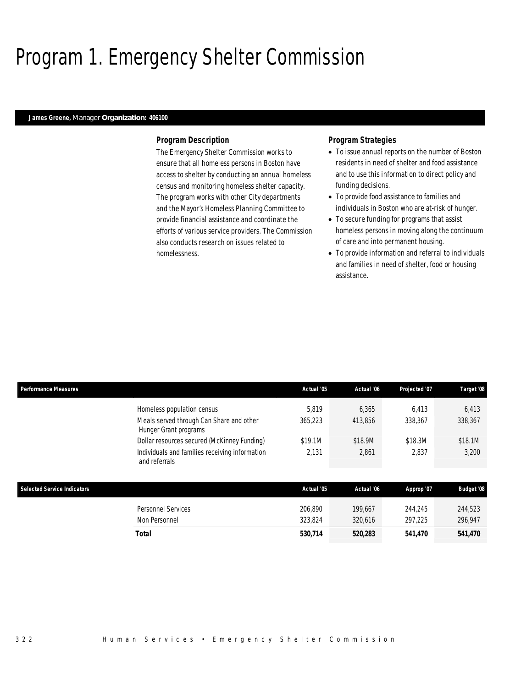# Program 1. Emergency Shelter Commission

### *James Greene, Manager Organization: 406100*

#### *Program Description*

The Emergency Shelter Commission works to ensure that all homeless persons in Boston have access to shelter by conducting an annual homeless census and monitoring homeless shelter capacity. The program works with other City departments and the Mayor's Homeless Planning Committee to provide financial assistance and coordinate the efforts of various service providers. The Commission also conducts research on issues related to homelessness.

### *Program Strategies*

- To issue annual reports on the number of Boston residents in need of shelter and food assistance and to use this information to direct policy and funding decisions.
- To provide food assistance to families and individuals in Boston who are at-risk of hunger.
- To secure funding for programs that assist homeless persons in moving along the continuum of care and into permanent housing.
- To provide information and referral to individuals and families in need of shelter, food or housing assistance.

| Performance Measures                                                                                           | Actual '05       | Actual '06       | Projected '07    | Target '08       |
|----------------------------------------------------------------------------------------------------------------|------------------|------------------|------------------|------------------|
| Homeless population census<br>Meals served through Can Share and other<br>Hunger Grant programs                | 5,819<br>365,223 | 6,365<br>413,856 | 6,413<br>338,367 | 6,413<br>338,367 |
| Dollar resources secured (McKinney Funding)<br>Individuals and families receiving information<br>and referrals | \$19.1M<br>2.131 | \$18.9M<br>2,861 | \$18.3M<br>2,837 | \$18.1M<br>3,200 |
|                                                                                                                |                  |                  |                  |                  |

| Selected Service Indicators |                                     | Actual '05         | Actual '06         | Approp '07         | <b>Budget '08</b>  |
|-----------------------------|-------------------------------------|--------------------|--------------------|--------------------|--------------------|
|                             | Personnel Services<br>Non Personnel | 206.890<br>323.824 | 199.667<br>320.616 | 244.245<br>297,225 | 244,523<br>296,947 |
|                             | Total                               | 530.714            | 520,283            | 541.470            | 541,470            |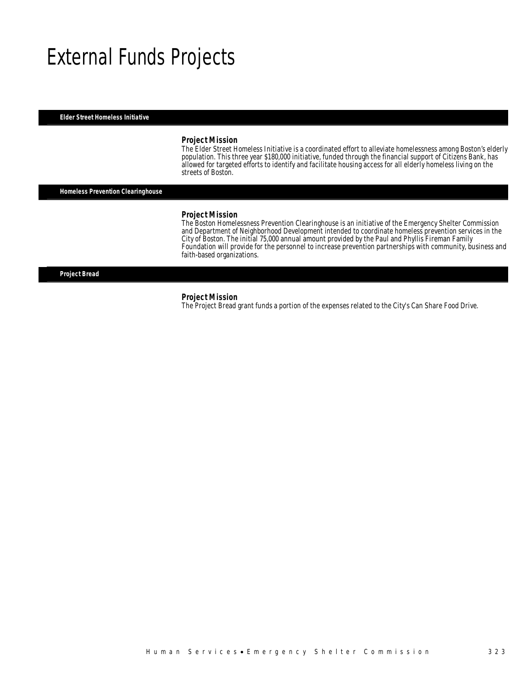# External Funds Projects

*Elder Street Homeless Initiative* 

#### *Project Mission*

The Elder Street Homeless Initiative is a coordinated effort to alleviate homelessness among Boston's elderly population. This three year \$180,000 initiative, funded through the financial support of Citizens Bank, has allowed for targeted efforts to identify and facilitate housing access for all elderly homeless living on the streets of Boston.

*Homeless Prevention Clearinghouse* 

#### *Project Mission*

The Boston Homelessness Prevention Clearinghouse is an initiative of the Emergency Shelter Commission and Department of Neighborhood Development intended to coordinate homeless prevention services in the City of Boston. The initial 75,000 annual amount provided by the Paul and Phyllis Fireman Family Foundation will provide for the personnel to increase prevention partnerships with community, business and faith-based organizations.

*Project Bread* 

#### *Project Mission*

The Project Bread grant funds a portion of the expenses related to the City's Can Share Food Drive.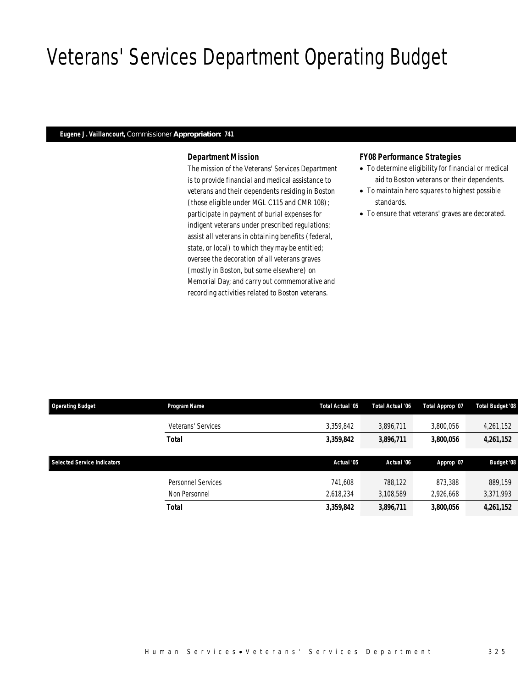# Veterans' Services Department Operating Budget

# *Eugene J. Vaillancourt, Commissioner Appropriation: 741*

# *Department Mission*

The mission of the Veterans' Services Department is to provide financial and medical assistance to veterans and their dependents residing in Boston (those eligible under MGL C115 and CMR 108); participate in payment of burial expenses for indigent veterans under prescribed regulations; assist all veterans in obtaining benefits (federal, state, or local) to which they may be entitled; oversee the decoration of all veterans graves (mostly in Boston, but some elsewhere) on Memorial Day; and carry out commemorative and recording activities related to Boston veterans.

### *FY08 Performance Strategies*

- To determine eligibility for financial or medical aid to Boston veterans or their dependents.
- To maintain hero squares to highest possible standards.
- To ensure that veterans' graves are decorated.

| <b>Operating Budget</b>            | Program Name       | <b>Total Actual '05</b> | <b>Total Actual '06</b> | Total Approp '07 | Total Budget '08  |
|------------------------------------|--------------------|-------------------------|-------------------------|------------------|-------------------|
|                                    | Veterans' Services | 3,359,842               | 3,896,711               | 3,800,056        | 4,261,152         |
|                                    | <b>Total</b>       | 3,359,842               | 3,896,711               | 3,800,056        | 4,261,152         |
|                                    |                    |                         |                         |                  |                   |
| <b>Selected Service Indicators</b> |                    | Actual '05              | Actual '06              |                  |                   |
|                                    |                    |                         |                         | Approp '07       | <b>Budget '08</b> |
|                                    | Personnel Services | 741.608                 | 788.122                 | 873,388          | 889.159           |
|                                    | Non Personnel      | 2,618,234               | 3,108,589               | 2,926,668        | 3,371,993         |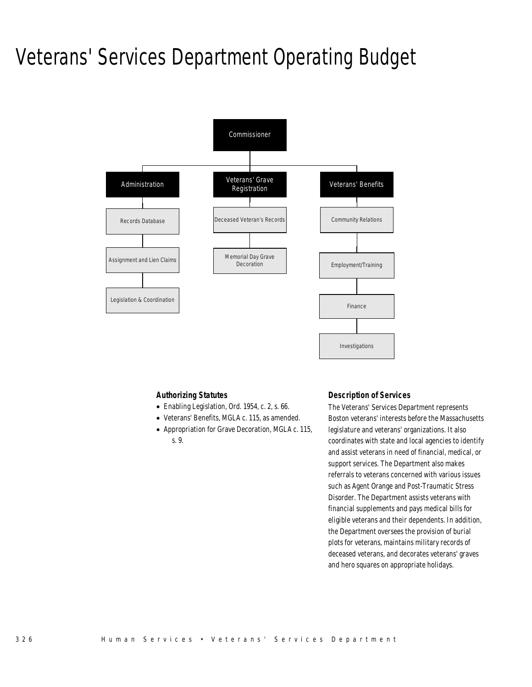# Veterans' Services Department Operating Budget



### *Authorizing Statutes*

- Enabling Legislation, Ord. 1954, c. 2, s. 66.
- Veterans' Benefits, MGLA c. 115, as amended.
- Appropriation for Grave Decoration, MGLA c. 115, s. 9.

# *Description of Services*

The Veterans' Services Department represents Boston veterans' interests before the Massachusetts legislature and veterans' organizations. It also coordinates with state and local agencies to identify and assist veterans in need of financial, medical, or support services. The Department also makes referrals to veterans concerned with various issues such as Agent Orange and Post-Traumatic Stress Disorder. The Department assists veterans with financial supplements and pays medical bills for eligible veterans and their dependents. In addition, the Department oversees the provision of burial plots for veterans, maintains military records of deceased veterans, and decorates veterans' graves and hero squares on appropriate holidays.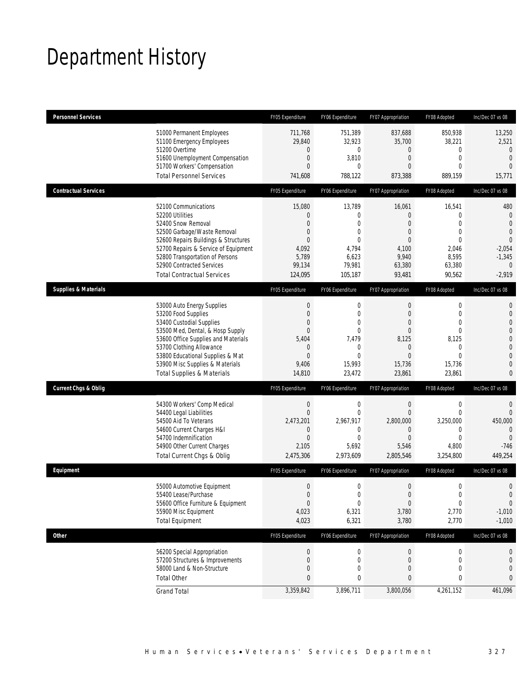# Department History

| <b>Personnel Services</b>       |                                                                                                                                                                                                                                                                                                      | FY05 Expenditure                                                                                    | FY06 Expenditure                                                                                                             | FY07 Appropriation                                                                                                                     | FY08 Adopted                                                                                                   | Inc/Dec 07 vs 08                                                                                                                                      |
|---------------------------------|------------------------------------------------------------------------------------------------------------------------------------------------------------------------------------------------------------------------------------------------------------------------------------------------------|-----------------------------------------------------------------------------------------------------|------------------------------------------------------------------------------------------------------------------------------|----------------------------------------------------------------------------------------------------------------------------------------|----------------------------------------------------------------------------------------------------------------|-------------------------------------------------------------------------------------------------------------------------------------------------------|
|                                 | 51000 Permanent Employees<br>51100 Emergency Employees<br>51200 Overtime<br>51600 Unemployment Compensation<br>51700 Workers' Compensation<br><b>Total Personnel Services</b>                                                                                                                        | 711.768<br>29,840<br>0<br>$\mathbf{0}$<br>$\Omega$<br>741,608                                       | 751,389<br>32,923<br>$\mathbf 0$<br>3,810<br>0<br>788,122                                                                    | 837,688<br>35,700<br>0<br>$\overline{0}$<br>$\Omega$<br>873,388                                                                        | 850.938<br>38,221<br>0<br>$\overline{0}$<br>0<br>889,159                                                       | 13,250<br>2,521<br>$\mathbf{0}$<br>$\overline{0}$<br>$\Omega$<br>15,771                                                                               |
| <b>Contractual Services</b>     |                                                                                                                                                                                                                                                                                                      | FY05 Expenditure                                                                                    | FY06 Expenditure                                                                                                             | FY07 Appropriation                                                                                                                     | FY08 Adopted                                                                                                   | Inc/Dec 07 vs 08                                                                                                                                      |
|                                 | 52100 Communications<br>52200 Utilities<br>52400 Snow Removal<br>52500 Garbage/Waste Removal<br>52600 Repairs Buildings & Structures<br>52700 Repairs & Service of Equipment<br>52800 Transportation of Persons<br>52900 Contracted Services<br><b>Total Contractual Services</b>                    | 15,080<br>$\Omega$<br>$\Omega$<br>0<br>$\Omega$<br>4,092<br>5,789<br>99,134<br>124,095              | 13,789<br>0<br>$\Omega$<br>$\overline{0}$<br>$\mathbf{0}$<br>4,794<br>6,623<br>79,981<br>105,187                             | 16,061<br>$\overline{0}$<br>$\overline{0}$<br>$\overline{0}$<br>$\Omega$<br>4,100<br>9,940<br>63,380<br>93,481                         | 16,541<br>$\overline{0}$<br>$\overline{0}$<br>$\overline{0}$<br>$\Omega$<br>2,046<br>8,595<br>63,380<br>90,562 | 480<br>$\mathbf{0}$<br>$\overline{0}$<br>$\Omega$<br>$\overline{0}$<br>$-2,054$<br>$-1,345$<br>$\overline{0}$<br>$-2,919$                             |
| <b>Supplies &amp; Materials</b> |                                                                                                                                                                                                                                                                                                      | FY05 Expenditure                                                                                    | FY06 Expenditure                                                                                                             | FY07 Appropriation                                                                                                                     | FY08 Adopted                                                                                                   | Inc/Dec 07 vs 08                                                                                                                                      |
|                                 | 53000 Auto Energy Supplies<br>53200 Food Supplies<br>53400 Custodial Supplies<br>53500 Med, Dental, & Hosp Supply<br>53600 Office Supplies and Materials<br>53700 Clothing Allowance<br>53800 Educational Supplies & Mat<br>53900 Misc Supplies & Materials<br><b>Total Supplies &amp; Materials</b> | $\theta$<br>$\mathbf{0}$<br>0<br>$\overline{0}$<br>5,404<br>$\theta$<br>$\theta$<br>9,406<br>14,810 | $\mathbf 0$<br>$\overline{0}$<br>$\mathbf{0}$<br>$\overline{0}$<br>7,479<br>$\mathbf{0}$<br>$\mathbf{0}$<br>15,993<br>23,472 | $\boldsymbol{0}$<br>$\boldsymbol{0}$<br>$\overline{0}$<br>$\overline{0}$<br>8,125<br>$\mathbf 0$<br>$\overline{0}$<br>15,736<br>23,861 | 0<br>$\overline{0}$<br>0<br>$\overline{0}$<br>8,125<br>0<br>$\Omega$<br>15,736<br>23,861                       | $\mathbf{0}$<br>$\mathbf{0}$<br>$\overline{0}$<br>$\overline{0}$<br>$\mathbf 0$<br>$\overline{0}$<br>$\overline{0}$<br>$\overline{0}$<br>$\mathbf{0}$ |
| <b>Current Chgs &amp; Oblig</b> |                                                                                                                                                                                                                                                                                                      | FY05 Expenditure                                                                                    | FY06 Expenditure                                                                                                             | FY07 Appropriation                                                                                                                     | FY08 Adopted                                                                                                   | Inc/Dec 07 vs 08                                                                                                                                      |
|                                 | 54300 Workers' Comp Medical<br>54400 Legal Liabilities<br>54500 Aid To Veterans<br>54600 Current Charges H&I<br>54700 Indemnification<br>54900 Other Current Charges<br>Total Current Chgs & Oblig                                                                                                   | $\theta$<br>$\mathbf{0}$<br>2,473,201<br>0<br>$\theta$<br>2,105<br>2,475,306                        | $\mathbf 0$<br>$\mathbf{0}$<br>2,967,917<br>0<br>$\mathbf{0}$<br>5,692<br>2,973,609                                          | $\boldsymbol{0}$<br>$\mathbf{0}$<br>2,800,000<br>$\mathbf 0$<br>$\Omega$<br>5,546<br>2,805,546                                         | $\mathbf 0$<br>$\overline{0}$<br>3,250,000<br>$\mathbf 0$<br>$\Omega$<br>4,800<br>3,254,800                    | $\mathbf{0}$<br>$\overline{0}$<br>450,000<br>$\overline{0}$<br>$\Omega$<br>$-746$<br>449,254                                                          |
| Equipment                       |                                                                                                                                                                                                                                                                                                      | FY05 Expenditure                                                                                    | FY06 Expenditure                                                                                                             | FY07 Appropriation                                                                                                                     | FY08 Adopted                                                                                                   | Inc/Dec 07 vs 08                                                                                                                                      |
|                                 | 55000 Automotive Equipment<br>55400 Lease/Purchase<br>55600 Office Furniture & Equipment<br>55900 Misc Equipment<br><b>Total Equipment</b>                                                                                                                                                           | $\mathbf{0}$<br>$\mathbf{0}$<br>$\theta$<br>4,023<br>4,023                                          | $\mathbf 0$<br>$\overline{0}$<br>$\boldsymbol{0}$<br>6,321<br>6,321                                                          | $\boldsymbol{0}$<br>$\Omega$<br>$\boldsymbol{0}$<br>3,780<br>3,780                                                                     | $\mathbf 0$<br>$\overline{0}$<br>$\boldsymbol{0}$<br>2,770<br>2,770                                            | $\mathbf 0$<br>$\overline{0}$<br>$\mathbf 0$<br>$-1,010$<br>$-1,010$                                                                                  |
| Other                           |                                                                                                                                                                                                                                                                                                      | FY05 Expenditure                                                                                    | FY06 Expenditure                                                                                                             | FY07 Appropriation                                                                                                                     | FY08 Adopted                                                                                                   | Inc/Dec 07 vs 08                                                                                                                                      |
|                                 | 56200 Special Appropriation<br>57200 Structures & Improvements<br>58000 Land & Non-Structure<br><b>Total Other</b>                                                                                                                                                                                   | $\theta$<br>$\mathbf 0$<br>0<br>0                                                                   | $\boldsymbol{0}$<br>$\mathbf 0$<br>0<br>0                                                                                    | $\boldsymbol{0}$<br>0<br>0<br>0                                                                                                        | 0<br>0<br>0<br>0                                                                                               | 0<br>0<br>0<br>0                                                                                                                                      |
|                                 | <b>Grand Total</b>                                                                                                                                                                                                                                                                                   | 3,359,842                                                                                           | 3,896,711                                                                                                                    | 3,800,056                                                                                                                              | 4,261,152                                                                                                      | 461,096                                                                                                                                               |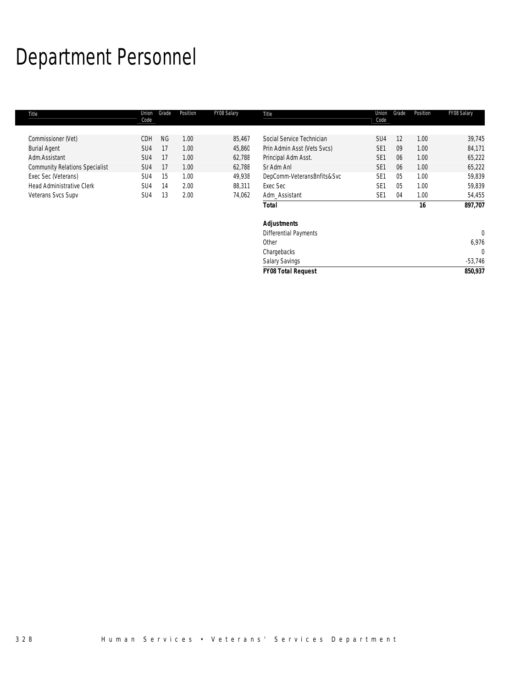# Department Personnel

| Title                                 | Union<br>Code | Grade     | Position | FY08 Salary | Title                        | Union<br>Code   | Grade          | Position | FY08 Salary  |
|---------------------------------------|---------------|-----------|----------|-------------|------------------------------|-----------------|----------------|----------|--------------|
|                                       |               |           |          |             |                              |                 |                |          |              |
| Commissioner (Vet)                    | CDH           | <b>NG</b> | 1.00     | 85,467      | Social Service Technician    | SU <sub>4</sub> | 12             | 1.00     | 39,745       |
| <b>Burial Agent</b>                   | SU4           | 17        | 1.00     | 45,860      | Prin Admin Asst (Vets Svcs)  | SE <sub>1</sub> | 09             | 1.00     | 84,171       |
| Adm.Assistant                         | SU4           | 17        | 1.00     | 62,788      | Principal Adm Asst.          | SE <sub>1</sub> | 06             | 1.00     | 65,222       |
| <b>Community Relations Specialist</b> | SU4           | 17        | 1.00     | 62,788      | Sr Adm Anl                   | SE <sub>1</sub> | 06             | 1.00     | 65,222       |
| Exec Sec (Veterans)                   | SU4           | 15        | 1.00     | 49,938      | DepComm-VeteransBnfits&Svc   | SE <sub>1</sub> | 0 <sub>5</sub> | 1.00     | 59,839       |
| <b>Head Administrative Clerk</b>      | SU4           | 14        | 2.00     | 88,311      | Exec Sec                     | SE <sub>1</sub> | 05             | 1.00     | 59,839       |
| Veterans Svcs Supv                    | SU4           | 13        | 2.00     | 74,062      | Adm_Assistant                | SE <sub>1</sub> | 04             | 1.00     | 54,455       |
|                                       |               |           |          |             | <b>Total</b>                 |                 |                | 16       | 897,707      |
|                                       |               |           |          |             | <b>Adjustments</b>           |                 |                |          |              |
|                                       |               |           |          |             | <b>Differential Payments</b> |                 |                |          | $\mathbf{0}$ |
|                                       |               |           |          |             | Other                        |                 |                |          | 6,976        |
|                                       |               |           |          |             | Chargebacks                  |                 |                |          | 0            |
|                                       |               |           |          |             | <b>Salary Savings</b>        |                 |                |          | $-53,746$    |
|                                       |               |           |          |             | <b>FY08 Total Request</b>    |                 |                |          | 850,937      |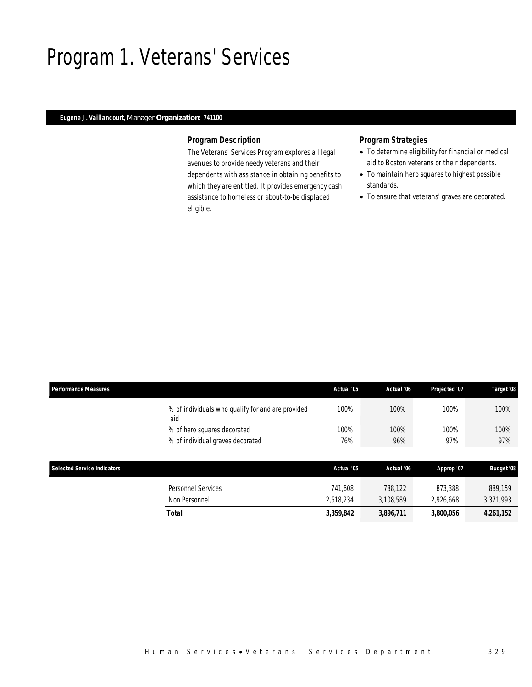# Program 1. Veterans' Services

## *Eugene J. Vaillancourt, Manager Organization: 741100*

### *Program Description*

The Veterans' Services Program explores all legal avenues to provide needy veterans and their dependents with assistance in obtaining benefits to which they are entitled. It provides emergency cash assistance to homeless or about-to-be displaced eligible.

# *Program Strategies*

- To determine eligibility for financial or medical aid to Boston veterans or their dependents.
- To maintain hero squares to highest possible standards.
- To ensure that veterans' graves are decorated.

| <b>Performance Measures</b>        |                                                          | Actual '05 | Actual '06 | Projected '07 | Target '08        |
|------------------------------------|----------------------------------------------------------|------------|------------|---------------|-------------------|
|                                    | % of individuals who qualify for and are provided<br>aid | 100%       | 100%       | 100%          | 100%              |
|                                    | % of hero squares decorated                              | 100%       | 100%       | 100%          | 100%              |
|                                    | % of individual graves decorated                         | 76%        | 96%        | 97%           | 97%               |
|                                    |                                                          |            |            |               |                   |
| <b>Selected Service Indicators</b> |                                                          | Actual '05 | Actual '06 | Approp '07    | <b>Budget '08</b> |
|                                    | Personnel Services                                       | 741,608    | 788,122    | 873,388       | 889.159           |
|                                    | Non Personnel                                            | 2,618,234  | 3,108,589  | 2,926,668     | 3,371,993         |
|                                    | <b>Total</b>                                             | 3,359,842  | 3,896,711  | 3,800,056     | 4,261,152         |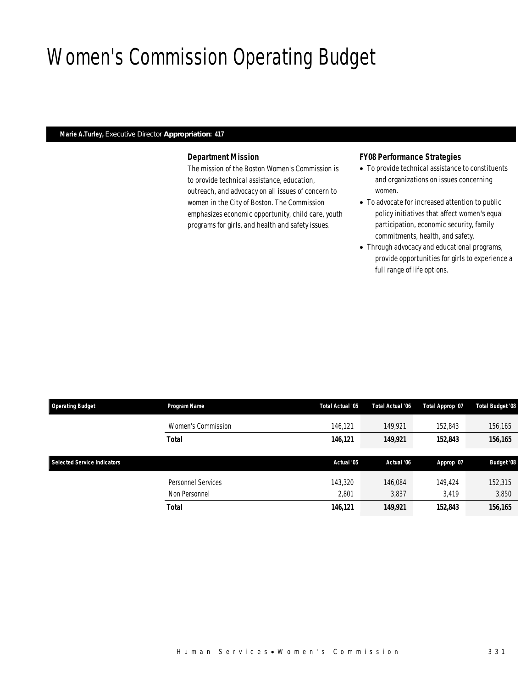# Women's Commission Operating Budget

# *Marie A.Turley, Executive Director Appropriation: 417*

# *Department Mission*

The mission of the Boston Women's Commission is to provide technical assistance, education, outreach, and advocacy on all issues of concern to women in the City of Boston. The Commission emphasizes economic opportunity, child care, youth programs for girls, and health and safety issues.

# *FY08 Performance Strategies*

- To provide technical assistance to constituents and organizations on issues concerning women.
- To advocate for increased attention to public policy initiatives that affect women's equal participation, economic security, family commitments, health, and safety.
- Through advocacy and educational programs, provide opportunities for girls to experience a full range of life options.

| <b>Operating Budget</b>            | Program Name              | Total Actual '05 | Total Actual '06 | Total Approp '07 | <b>Total Budget '08</b> |
|------------------------------------|---------------------------|------------------|------------------|------------------|-------------------------|
|                                    | Women's Commission        | 146.121          | 149.921          | 152,843          | 156,165                 |
|                                    | <b>Total</b>              | 146,121          | 149,921          | 152,843          | 156,165                 |
|                                    |                           |                  |                  |                  |                         |
|                                    |                           |                  |                  |                  |                         |
| <b>Selected Service Indicators</b> |                           | Actual '05       | Actual '06       | Approp '07       | <b>Budget '08</b>       |
|                                    | <b>Personnel Services</b> | 143,320          | 146.084          | 149,424          | 152,315                 |
|                                    | Non Personnel             | 2,801            | 3,837            | 3.419            | 3,850                   |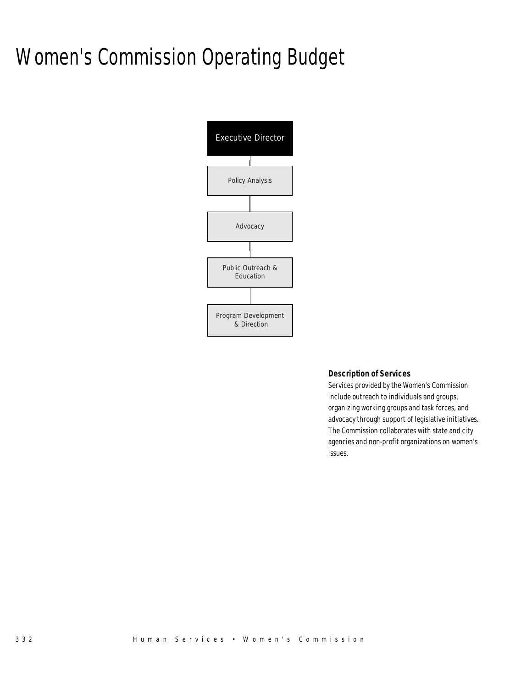# Women's Commission Operating Budget



### *Description of Services*

Services provided by the Women's Commission include outreach to individuals and groups, organizing working groups and task forces, and advocacy through support of legislative initiatives. The Commission collaborates with state and city agencies and non-profit organizations on women's issues.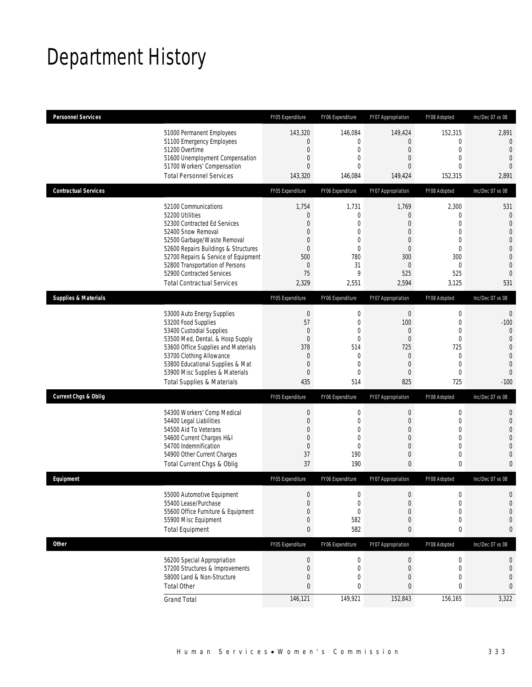# Department History

| <b>Personnel Services</b>       |                                                                                                                                                                                                                                                                                                                   | FY05 Expenditure                                                                                            | FY06 Expenditure                                                                                                        | FY07 Appropriation                                                                                                                 | FY08 Adopted                                                                                                       | Inc/Dec 07 vs 08                                                                                                                            |
|---------------------------------|-------------------------------------------------------------------------------------------------------------------------------------------------------------------------------------------------------------------------------------------------------------------------------------------------------------------|-------------------------------------------------------------------------------------------------------------|-------------------------------------------------------------------------------------------------------------------------|------------------------------------------------------------------------------------------------------------------------------------|--------------------------------------------------------------------------------------------------------------------|---------------------------------------------------------------------------------------------------------------------------------------------|
|                                 | 51000 Permanent Employees<br>51100 Emergency Employees<br>51200 Overtime<br>51600 Unemployment Compensation<br>51700 Workers' Compensation<br><b>Total Personnel Services</b>                                                                                                                                     | 143,320<br>$\Omega$<br>$\theta$<br>$\mathbf 0$<br>$\Omega$<br>143,320                                       | 146,084<br>0<br>$\mathbf{0}$<br>$\mathbf 0$<br>$\mathbf{0}$<br>146,084                                                  | 149,424<br>$\mathbf 0$<br>$\overline{0}$<br>$\boldsymbol{0}$<br>$\Omega$<br>149,424                                                | 152,315<br>$\overline{0}$<br>$\overline{0}$<br>$\overline{0}$<br>0<br>152,315                                      | 2,891<br>$\mathbf 0$<br>$\overline{0}$<br>$\overline{0}$<br>$\theta$<br>2,891                                                               |
| <b>Contractual Services</b>     |                                                                                                                                                                                                                                                                                                                   | FY05 Expenditure                                                                                            | FY06 Expenditure                                                                                                        | FY07 Appropriation                                                                                                                 | FY08 Adopted                                                                                                       | Inc/Dec 07 vs 08                                                                                                                            |
|                                 | 52100 Communications<br>52200 Utilities<br>52300 Contracted Ed Services<br>52400 Snow Removal<br>52500 Garbage/Waste Removal<br>52600 Repairs Buildings & Structures<br>52700 Repairs & Service of Equipment<br>52800 Transportation of Persons<br>52900 Contracted Services<br><b>Total Contractual Services</b> | 1,754<br>$\theta$<br>$\mathbf{0}$<br>$\theta$<br>$\mathbf{0}$<br>$\theta$<br>500<br>$\theta$<br>75<br>2,329 | 1,731<br>$\mathbf{0}$<br>$\overline{0}$<br>$\mathbf{0}$<br>$\mathbf{0}$<br>$\mathbf{0}$<br>780<br>31<br>9<br>2,551      | 1,769<br>$\mathbf 0$<br>$\overline{0}$<br>$\overline{0}$<br>$\mathbf 0$<br>$\overline{0}$<br>300<br>$\overline{0}$<br>525<br>2,594 | 2,300<br>0<br>$\overline{0}$<br>$\mathbf 0$<br>$\mathbf 0$<br>$\mathbf 0$<br>300<br>$\overline{0}$<br>525<br>3,125 | 531<br>$\mathbf 0$<br>$\mathbf{0}$<br>$\mathbf{0}$<br>$\mathbf 0$<br>$\overline{0}$<br>$\overline{0}$<br>$\mathbf 0$<br>$\mathbf{0}$<br>531 |
| <b>Supplies &amp; Materials</b> |                                                                                                                                                                                                                                                                                                                   | FY05 Expenditure                                                                                            | FY06 Expenditure                                                                                                        | FY07 Appropriation                                                                                                                 | FY08 Adopted                                                                                                       | Inc/Dec 07 vs 08                                                                                                                            |
|                                 | 53000 Auto Energy Supplies<br>53200 Food Supplies<br>53400 Custodial Supplies<br>53500 Med, Dental, & Hosp Supply<br>53600 Office Supplies and Materials<br>53700 Clothing Allowance<br>53800 Educational Supplies & Mat<br>53900 Misc Supplies & Materials<br><b>Total Supplies &amp; Materials</b>              | $\mathbf{0}$<br>57<br>$\mathbf{0}$<br>$\mathbf{0}$<br>378<br>$\theta$<br>$\theta$<br>$\mathbf{0}$<br>435    | $\mathbf 0$<br>$\mathbf 0$<br>$\mathbf{0}$<br>$\mathbf 0$<br>514<br>$\mathbf{0}$<br>$\mathbf{0}$<br>$\mathbf{0}$<br>514 | $\boldsymbol{0}$<br>100<br>$\overline{0}$<br>$\boldsymbol{0}$<br>725<br>$\overline{0}$<br>$\overline{0}$<br>$\overline{0}$<br>825  | $\mathbf 0$<br>$\mathbf 0$<br>$\mathbf 0$<br>$\mathbf 0$<br>725<br>0<br>$\overline{0}$<br>$\mathbf 0$<br>725       | $\mathbf 0$<br>$-100$<br>$\theta$<br>$\mathbf{0}$<br>$\overline{0}$<br>$\overline{0}$<br>$\mathbf 0$<br>$\theta$<br>$-100$                  |
| <b>Current Chgs &amp; Oblig</b> |                                                                                                                                                                                                                                                                                                                   | FY05 Expenditure                                                                                            | FY06 Expenditure                                                                                                        | FY07 Appropriation                                                                                                                 | FY08 Adopted                                                                                                       | Inc/Dec 07 vs 08                                                                                                                            |
|                                 | 54300 Workers' Comp Medical<br>54400 Legal Liabilities<br>54500 Aid To Veterans<br>54600 Current Charges H&I<br>54700 Indemnification<br>54900 Other Current Charges<br>Total Current Chgs & Oblig                                                                                                                | $\mathbf{0}$<br>$\mathbf{0}$<br>$\theta$<br>$\theta$<br>$\mathbf{0}$<br>37<br>37                            | $\mathbf 0$<br>$\overline{0}$<br>$\mathbf{0}$<br>$\mathbf{0}$<br>$\mathbf{0}$<br>190<br>190                             | $\boldsymbol{0}$<br>$\boldsymbol{0}$<br>$\overline{0}$<br>$\mathbf 0$<br>$\boldsymbol{0}$<br>$\mathbf{0}$<br>0                     | $\mathbf 0$<br>$\mathbf 0$<br>0<br>0<br>$\overline{0}$<br>0<br>0                                                   | $\mathbf 0$<br>$\mathbf 0$<br>$\overline{0}$<br>$\mathbf 0$<br>$\overline{0}$<br>$\mathbf{0}$<br>$\mathbf{0}$                               |
| Equipment                       |                                                                                                                                                                                                                                                                                                                   | FY05 Expenditure                                                                                            | FY06 Expenditure                                                                                                        | FY07 Appropriation                                                                                                                 | FY08 Adopted                                                                                                       | Inc/Dec 07 vs 08                                                                                                                            |
|                                 | 55000 Automotive Equipment<br>55400 Lease/Purchase<br>55600 Office Furniture & Equipment<br>55900 Misc Equipment<br><b>Total Equipment</b>                                                                                                                                                                        | $\mathbf{0}$<br>$\mathbf{0}$<br>0<br>0<br>$\bf{0}$                                                          | $\mathbf 0$<br>$\mathbf 0$<br>$\mathbf 0$<br>582<br>582                                                                 | $\mathbf 0$<br>$\boldsymbol{0}$<br>0<br>$\mathbf 0$<br>0                                                                           | $\Omega$<br>$\mathbf 0$<br>0<br>0<br>0                                                                             | $\Omega$<br>$\mathbf 0$<br>$\mathbf 0$<br>0<br>0                                                                                            |
| <b>Other</b>                    |                                                                                                                                                                                                                                                                                                                   | FY05 Expenditure                                                                                            | FY06 Expenditure                                                                                                        | FY07 Appropriation                                                                                                                 | FY08 Adopted                                                                                                       | Inc/Dec 07 vs 08                                                                                                                            |
|                                 | 56200 Special Appropriation<br>57200 Structures & Improvements<br>58000 Land & Non-Structure<br><b>Total Other</b>                                                                                                                                                                                                | $\mathbf 0$<br>$\theta$<br>$\Omega$<br>0                                                                    | $\boldsymbol{0}$<br>$\mathbf 0$<br>0<br>0                                                                               | 0<br>0<br>$\overline{0}$<br>0                                                                                                      | $\boldsymbol{0}$<br>0<br>0<br>0                                                                                    | 0<br>0<br>0<br>0                                                                                                                            |
|                                 | <b>Grand Total</b>                                                                                                                                                                                                                                                                                                | 146,121                                                                                                     | 149,921                                                                                                                 | 152,843                                                                                                                            | 156,165                                                                                                            | 3,322                                                                                                                                       |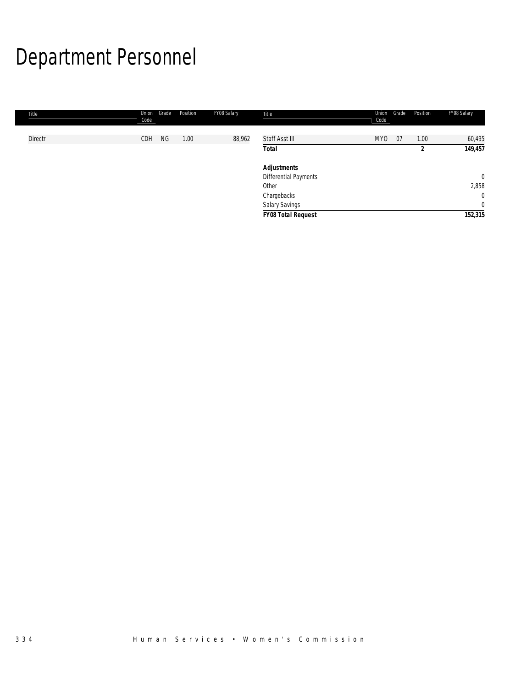# Department Personnel

| Title   | Union<br>Code | Grade | Position | FY08 Salary | Title                     | Union<br>Code | Grade | Position | FY08 Salary    |
|---------|---------------|-------|----------|-------------|---------------------------|---------------|-------|----------|----------------|
|         |               |       |          |             |                           |               |       |          |                |
| Directr | CDH           | NG    | 1.00     | 88,962      | Staff Asst III            | MY0           | 07    | 1.00     | 60,495         |
|         |               |       |          |             | <b>Total</b>              |               |       | 2        | 149,457        |
|         |               |       |          |             | <b>Adjustments</b>        |               |       |          |                |
|         |               |       |          |             | Differential Payments     |               |       |          | $\mathbf{0}$   |
|         |               |       |          |             | Other                     |               |       |          | 2,858          |
|         |               |       |          |             | Chargebacks               |               |       |          | $\mathbf{0}$   |
|         |               |       |          |             | Salary Savings            |               |       |          | $\overline{0}$ |
|         |               |       |          |             | <b>FY08 Total Request</b> |               |       |          | 152,315        |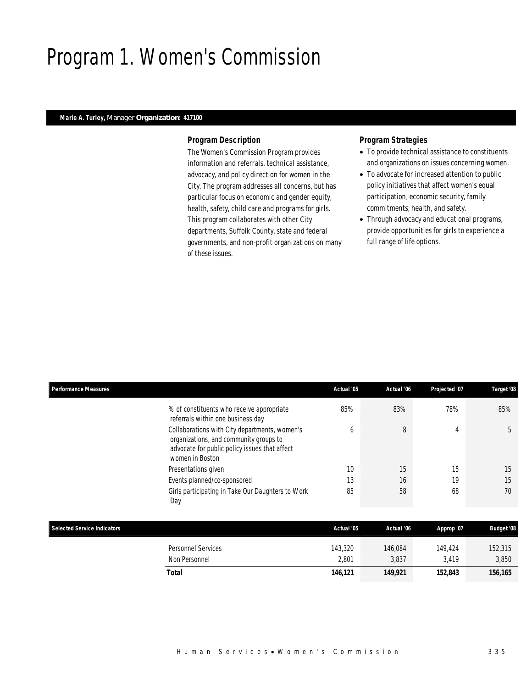# Program 1. Women's Commission

## *Marie A. Turley, Manager Organization: 417100*

### *Program Description*

The Women's Commission Program provides information and referrals, technical assistance, advocacy, and policy direction for women in the City. The program addresses all concerns, but has particular focus on economic and gender equity, health, safety, child care and programs for girls. This program collaborates with other City departments, Suffolk County, state and federal governments, and non-profit organizations on many of these issues.

# *Program Strategies*

- To provide technical assistance to constituents and organizations on issues concerning women.
- To advocate for increased attention to public policy initiatives that affect women's equal participation, economic security, family commitments, health, and safety.
- Through advocacy and educational programs, provide opportunities for girls to experience a full range of life options.

| <b>Performance Measures</b>                                                                                                                                 | Actual '05 | Actual '06 | Projected '07 | Target '08        |
|-------------------------------------------------------------------------------------------------------------------------------------------------------------|------------|------------|---------------|-------------------|
| % of constituents who receive appropriate<br>referrals within one business day                                                                              | 85%        | 83%        | 78%           | 85%               |
| Collaborations with City departments, women's<br>organizations, and community groups to<br>advocate for public policy issues that affect<br>women in Boston | 6          | 8          | 4             | 5                 |
| Presentations given                                                                                                                                         | 10         | 15         | 15            | 15                |
| Events planned/co-sponsored                                                                                                                                 | 13         | 16         | 19            | 15                |
| Girls participating in Take Our Daughters to Work<br>Day                                                                                                    | 85         | 58         | 68            | 70                |
| <b>Selected Service Indicators</b>                                                                                                                          | Actual '05 | Actual '06 | Approp '07    | <b>Budget '08</b> |
|                                                                                                                                                             |            |            |               |                   |
| <b>Personnel Services</b>                                                                                                                                   | 143,320    | 146,084    | 149,424       | 152,315           |
| Non Personnel                                                                                                                                               | 2,801      | 3,837      | 3,419         | 3,850             |
| <b>Total</b>                                                                                                                                                | 146,121    | 149,921    | 152,843       | 156,165           |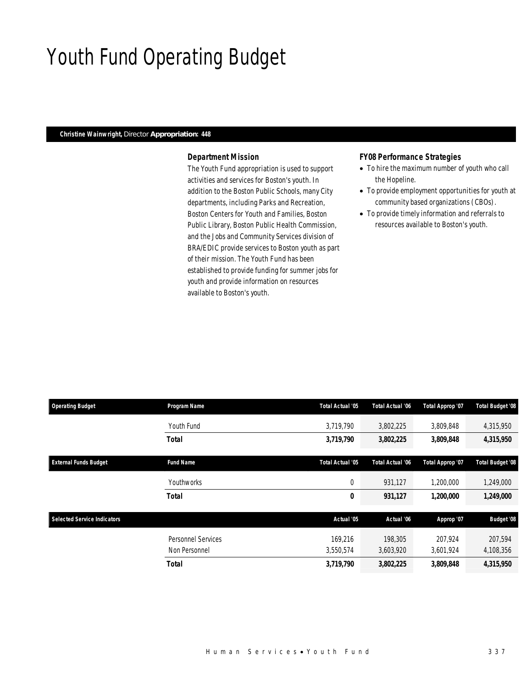## Youth Fund Operating Budget

### *Christine Wainwright, Director Appropriation: 448*

### *Department Mission*

The Youth Fund appropriation is used to support activities and services for Boston's youth. In addition to the Boston Public Schools, many City departments, including Parks and Recreation, Boston Centers for Youth and Families, Boston Public Library, Boston Public Health Commission, and the Jobs and Community Services division of BRA/EDIC provide services to Boston youth as part of their mission. The Youth Fund has been established to provide funding for summer jobs for youth and provide information on resources available to Boston's youth.

### *FY08 Performance Strategies*

- To hire the maximum number of youth who call the Hopeline.
- To provide employment opportunities for youth at community based organizations (CBOs).
- To provide timely information and referrals to resources available to Boston's youth.

| <b>Operating Budget</b>            | Program Name              | Total Actual '05 | Total Actual '06        | Total Approp '07 | <b>Total Budget '08</b> |
|------------------------------------|---------------------------|------------------|-------------------------|------------------|-------------------------|
|                                    | Youth Fund                | 3,719,790        | 3,802,225               | 3,809,848        | 4,315,950               |
|                                    | <b>Total</b>              | 3,719,790        | 3,802,225               | 3,809,848        | 4,315,950               |
| <b>External Funds Budget</b>       | <b>Fund Name</b>          | Total Actual '05 | <b>Total Actual '06</b> | Total Approp '07 | <b>Total Budget '08</b> |
|                                    | Youthworks                | 0                | 931,127                 | 1,200,000        | 1,249,000               |
|                                    | <b>Total</b>              | 0                | 931,127                 | 1,200,000        | 1,249,000               |
| <b>Selected Service Indicators</b> |                           | Actual '05       | Actual '06              | Approp '07       | <b>Budget '08</b>       |
|                                    | <b>Personnel Services</b> | 169,216          | 198,305                 | 207,924          | 207,594                 |
|                                    | Non Personnel             | 3,550,574        | 3,603,920               | 3,601,924        | 4,108,356               |
|                                    | <b>Total</b>              | 3,719,790        | 3,802,225               | 3,809,848        | 4,315,950               |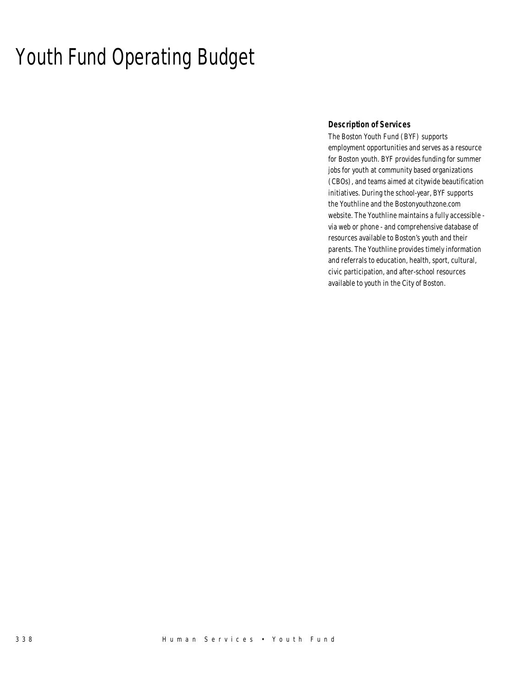## Youth Fund Operating Budget

### *Description of Services*

The Boston Youth Fund (BYF) supports employment opportunities and serves as a resource for Boston youth. BYF provides funding for summer jobs for youth at community based organizations (CBOs), and teams aimed at citywide beautification initiatives. During the school-year, BYF supports the Youthline and the Bostonyouthzone.com website. The Youthline maintains a fully accessible via web or phone - and comprehensive database of resources available to Boston's youth and their parents. The Youthline provides timely information and referrals to education, health, sport, cultural, civic participation, and after-school resources available to youth in the City of Boston.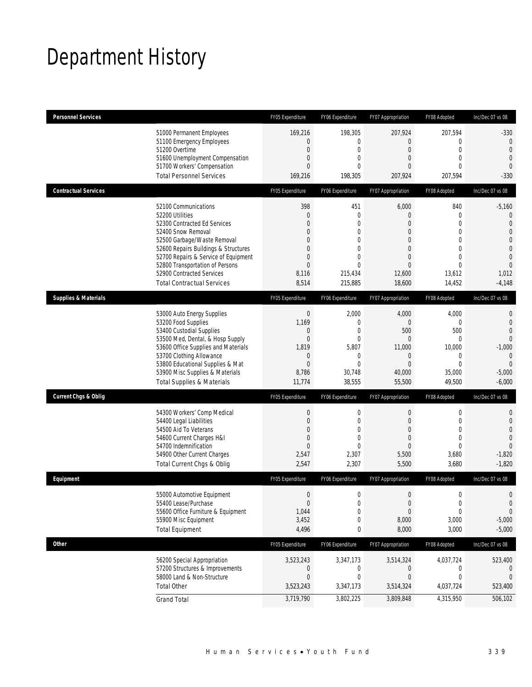## Department History

| <b>Personnel Services</b>       |                                                                                                                                                                                                                                                                                                                   | FY05 Expenditure                                                                                                               | FY06 Expenditure                                                                                                       | FY07 Appropriation                                                                                                                                | FY08 Adopted                                                                                                    | Inc/Dec 07 vs 08                                                                                                                                     |
|---------------------------------|-------------------------------------------------------------------------------------------------------------------------------------------------------------------------------------------------------------------------------------------------------------------------------------------------------------------|--------------------------------------------------------------------------------------------------------------------------------|------------------------------------------------------------------------------------------------------------------------|---------------------------------------------------------------------------------------------------------------------------------------------------|-----------------------------------------------------------------------------------------------------------------|------------------------------------------------------------------------------------------------------------------------------------------------------|
|                                 | 51000 Permanent Employees<br>51100 Emergency Employees<br>51200 Overtime<br>51600 Unemployment Compensation<br>51700 Workers' Compensation<br><b>Total Personnel Services</b>                                                                                                                                     | 169,216<br>$\Omega$<br>$\theta$<br>$\mathbf 0$<br>$\mathbf{0}$<br>169,216                                                      | 198,305<br>0<br>0<br>$\overline{0}$<br>$\Omega$<br>198,305                                                             | 207,924<br>0<br>$\overline{0}$<br>$\overline{0}$<br>$\Omega$<br>207,924                                                                           | 207,594<br>$\mathbf 0$<br>$\overline{0}$<br>$\overline{0}$<br>$\Omega$<br>207,594                               | $-330$<br>$\theta$<br>$\overline{0}$<br>$\overline{0}$<br>$\theta$<br>$-330$                                                                         |
| <b>Contractual Services</b>     |                                                                                                                                                                                                                                                                                                                   | FY05 Expenditure                                                                                                               | FY06 Expenditure                                                                                                       | FY07 Appropriation                                                                                                                                | FY08 Adopted                                                                                                    | Inc/Dec 07 vs 08                                                                                                                                     |
|                                 | 52100 Communications<br>52200 Utilities<br>52300 Contracted Ed Services<br>52400 Snow Removal<br>52500 Garbage/Waste Removal<br>52600 Repairs Buildings & Structures<br>52700 Repairs & Service of Equipment<br>52800 Transportation of Persons<br>52900 Contracted Services<br><b>Total Contractual Services</b> | 398<br>$\mathbf 0$<br>$\mathbf{0}$<br>$\overline{0}$<br>$\Omega$<br>$\mathbf{0}$<br>$\mathbf{0}$<br>$\Omega$<br>8,116<br>8,514 | 451<br>$\mathbf{0}$<br>$\overline{0}$<br>0<br>$\overline{0}$<br>$\Omega$<br>$\Omega$<br>$\Omega$<br>215,434<br>215,885 | 6,000<br>$\overline{0}$<br>$\overline{0}$<br>$\overline{0}$<br>$\overline{0}$<br>$\overline{0}$<br>$\overline{0}$<br>$\Omega$<br>12,600<br>18,600 | 840<br>0<br>$\overline{0}$<br>$\mathbf 0$<br>$\mathbf 0$<br>$\overline{0}$<br>0<br>$\Omega$<br>13,612<br>14,452 | $-5,160$<br>$\mathbf{0}$<br>$\mathbf 0$<br>$\overline{0}$<br>$\mathbf{0}$<br>$\overline{0}$<br>$\overline{0}$<br>$\overline{0}$<br>1,012<br>$-4,148$ |
| <b>Supplies &amp; Materials</b> |                                                                                                                                                                                                                                                                                                                   | FY05 Expenditure                                                                                                               | FY06 Expenditure                                                                                                       | FY07 Appropriation                                                                                                                                | FY08 Adopted                                                                                                    | Inc/Dec 07 vs 08                                                                                                                                     |
|                                 | 53000 Auto Energy Supplies<br>53200 Food Supplies<br>53400 Custodial Supplies<br>53500 Med, Dental, & Hosp Supply<br>53600 Office Supplies and Materials<br>53700 Clothing Allowance<br>53800 Educational Supplies & Mat<br>53900 Misc Supplies & Materials<br><b>Total Supplies &amp; Materials</b>              | $\mathbf{0}$<br>1,169<br>$\mathbf 0$<br>$\mathbf{0}$<br>1,819<br>$\overline{0}$<br>$\overline{0}$<br>8,786<br>11,774           | 2,000<br>$\overline{0}$<br>$\mathbf{0}$<br>$\overline{0}$<br>5,807<br>$\mathbf{0}$<br>$\Omega$<br>30,748<br>38,555     | 4,000<br>$\overline{0}$<br>500<br>$\overline{0}$<br>11,000<br>$\overline{0}$<br>$\Omega$<br>40,000<br>55,500                                      | 4,000<br>0<br>500<br>0<br>10,000<br>$\mathbf 0$<br>$\Omega$<br>35,000<br>49,500                                 | $\mathbf{0}$<br>$\overline{0}$<br>$\overline{0}$<br>$\mathbf 0$<br>$-1,000$<br>$\mathbf{0}$<br>$\overline{0}$<br>$-5,000$<br>$-6,000$                |
| <b>Current Chgs &amp; Oblig</b> |                                                                                                                                                                                                                                                                                                                   | FY05 Expenditure                                                                                                               | FY06 Expenditure                                                                                                       | FY07 Appropriation                                                                                                                                | FY08 Adopted                                                                                                    | Inc/Dec 07 vs 08                                                                                                                                     |
|                                 | 54300 Workers' Comp Medical<br>54400 Legal Liabilities<br>54500 Aid To Veterans<br>54600 Current Charges H&I<br>54700 Indemnification<br>54900 Other Current Charges<br>Total Current Chgs & Oblig                                                                                                                | $\mathbf{0}$<br>$\overline{0}$<br>$\mathbf{0}$<br>$\mathbf{0}$<br>$\mathbf{0}$<br>2,547<br>2,547                               | $\mathbf 0$<br>$\overline{0}$<br>0<br>$\theta$<br>$\Omega$<br>2,307<br>2,307                                           | $\mathbf 0$<br>$\overline{0}$<br>$\overline{0}$<br>$\overline{0}$<br>$\overline{0}$<br>5,500<br>5,500                                             | $\mathbf 0$<br>$\overline{0}$<br>$\mathbf 0$<br>$\mathbf{0}$<br>$\overline{0}$<br>3,680<br>3,680                | $\mathbf{0}$<br>$\overline{0}$<br>$\overline{0}$<br>$\overline{0}$<br>$\Omega$<br>$-1,820$<br>$-1,820$                                               |
| Equipment                       |                                                                                                                                                                                                                                                                                                                   | FY05 Expenditure                                                                                                               | FY06 Expenditure                                                                                                       | FY07 Appropriation                                                                                                                                | FY08 Adopted                                                                                                    | Inc/Dec 07 vs 08                                                                                                                                     |
|                                 | 55000 Automotive Equipment<br>55400 Lease/Purchase<br>55600 Office Furniture & Equipment<br>55900 Misc Equipment<br><b>Total Equipment</b>                                                                                                                                                                        | $\mathbf{0}$<br>$\mathbf{0}$<br>1,044<br>3,452<br>4,496                                                                        | $\Omega$<br>$\mathbf 0$<br>$\mathbf{0}$<br>0<br>0                                                                      | $\Omega$<br>$\boldsymbol{0}$<br>$\overline{0}$<br>8,000<br>8,000                                                                                  | $\Omega$<br>$\boldsymbol{0}$<br>0<br>3,000<br>3,000                                                             | $\Omega$<br>$\mathbf{0}$<br>$\mathbf 0$<br>$-5,000$<br>$-5,000$                                                                                      |
| <b>Other</b>                    |                                                                                                                                                                                                                                                                                                                   | FY05 Expenditure                                                                                                               | FY06 Expenditure                                                                                                       | FY07 Appropriation                                                                                                                                | FY08 Adopted                                                                                                    | Inc/Dec 07 vs 08                                                                                                                                     |
|                                 | 56200 Special Appropriation<br>57200 Structures & Improvements<br>58000 Land & Non-Structure<br><b>Total Other</b>                                                                                                                                                                                                | 3,523,243<br>0<br>$\mathbf{0}$<br>3,523,243                                                                                    | 3,347,173<br>0<br>0<br>3,347,173                                                                                       | 3,514,324<br>0<br>$\overline{0}$<br>3,514,324                                                                                                     | 4,037,724<br>0<br>0<br>4,037,724                                                                                | 523,400<br>$\theta$<br>$\mathbf{0}$<br>523,400                                                                                                       |
|                                 | <b>Grand Total</b>                                                                                                                                                                                                                                                                                                | 3,719,790                                                                                                                      | 3,802,225                                                                                                              | 3,809,848                                                                                                                                         | 4,315,950                                                                                                       | 506,102                                                                                                                                              |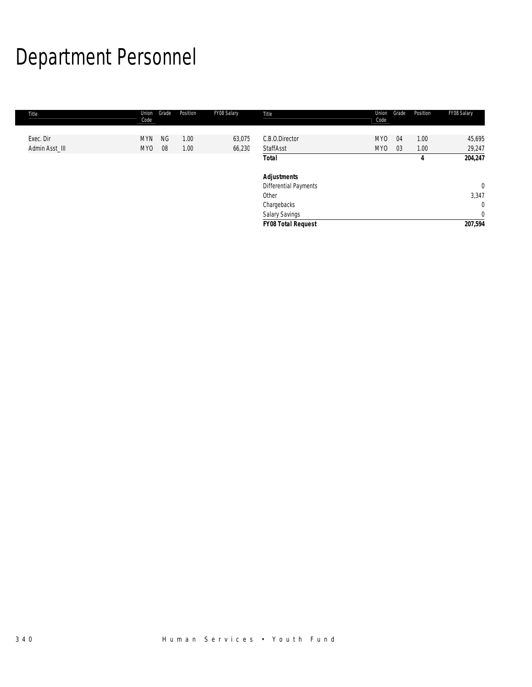# Department Personnel

| 45,695<br>29,247       |
|------------------------|
| 204,247                |
| $\mathbf 0$            |
| 3,347<br>$\mathbf{0}$  |
| $\mathbf 0$<br>207,594 |
|                        |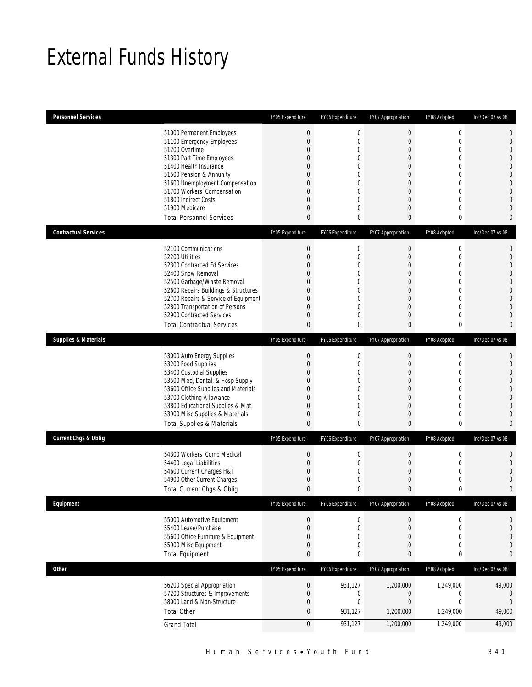# External Funds History

| <b>Personnel Services</b>       |                                                                                                                                                                                                                                                                                                            | FY05 Expenditure                                                                                                                                                     | FY06 Expenditure                                                                                                                 | FY07 Appropriation                                                                                                                          | FY08 Adopted                                                                                                                                                                   | Inc/Dec 07 vs 08                                                                                                                                                             |
|---------------------------------|------------------------------------------------------------------------------------------------------------------------------------------------------------------------------------------------------------------------------------------------------------------------------------------------------------|----------------------------------------------------------------------------------------------------------------------------------------------------------------------|----------------------------------------------------------------------------------------------------------------------------------|---------------------------------------------------------------------------------------------------------------------------------------------|--------------------------------------------------------------------------------------------------------------------------------------------------------------------------------|------------------------------------------------------------------------------------------------------------------------------------------------------------------------------|
|                                 | 51000 Permanent Employees<br>51100 Emergency Employees<br>51200 Overtime<br>51300 Part Time Employees<br>51400 Health Insurance<br>51500 Pension & Annunity<br>51600 Unemployment Compensation<br>51700 Workers' Compensation<br>51800 Indirect Costs<br>51900 Medicare<br><b>Total Personnel Services</b> | $\theta$<br>$\mathbf 0$<br>$\overline{0}$<br>0<br>$\Omega$<br>$\overline{0}$<br>$\overline{0}$<br>$\overline{0}$<br>$\overline{0}$<br>$\overline{0}$<br>$\mathbf{0}$ | $\mathbf 0$<br>$\mathbf{0}$<br>0<br>0<br>$\overline{0}$<br>0<br>$\mathbf{0}$<br>0<br>$\mathbf{0}$<br>$\mathbf{0}$<br>$\mathbf 0$ | $\boldsymbol{0}$<br>$\mathbf 0$<br>$\mathbf 0$<br>$\theta$<br>$\overline{0}$<br>0<br>$\mathbf 0$<br>$\overline{0}$<br>0<br>$\mathbf 0$<br>0 | $\boldsymbol{0}$<br>$\mathbf 0$<br>$\overline{0}$<br>$\overline{0}$<br>$\overline{0}$<br>$\overline{0}$<br>$\mathbf 0$<br>$\overline{0}$<br>$\overline{0}$<br>$\mathbf 0$<br>0 | $\mathbf{0}$<br>$\mathbf{0}$<br>$\overline{0}$<br>$\Omega$<br>$\overline{0}$<br>$\mathbf{0}$<br>$\overline{0}$<br>$\overline{0}$<br>$\Omega$<br>$\mathbf{0}$<br>$\mathbf{0}$ |
| <b>Contractual Services</b>     | 52100 Communications<br>52200 Utilities                                                                                                                                                                                                                                                                    | FY05 Expenditure<br>$\mathbf 0$<br>$\overline{0}$                                                                                                                    | FY06 Expenditure<br>$\mathbf 0$<br>$\mathbf{0}$                                                                                  | FY07 Appropriation<br>$\mathbf 0$<br>$\theta$                                                                                               | FY08 Adopted<br>$\mathbf 0$<br>0                                                                                                                                               | Inc/Dec 07 vs 08<br>0<br>$\overline{0}$                                                                                                                                      |
|                                 | 52300 Contracted Ed Services<br>52400 Snow Removal<br>52500 Garbage/Waste Removal<br>52600 Repairs Buildings & Structures<br>52700 Repairs & Service of Equipment<br>52800 Transportation of Persons<br>52900 Contracted Services<br><b>Total Contractual Services</b>                                     | $\overline{0}$<br>$\mathbf{0}$<br>$\mathbf{0}$<br>$\overline{0}$<br>$\mathbf{0}$<br>$\overline{0}$<br>$\mathbf{0}$<br>$\mathbf{0}$                                   | $\overline{0}$<br>0<br>$\mathbf{0}$<br>$\overline{0}$<br>0<br>$\mathbf{0}$<br>$\mathbf{0}$<br>0                                  | $\mathbf 0$<br>0<br>$\theta$<br>$\overline{0}$<br>$\theta$<br>$\mathbf 0$<br>$\theta$<br>$\mathbf{0}$                                       | $\overline{0}$<br>0<br>0<br>$\overline{0}$<br>$\overline{0}$<br>$\mathbf 0$<br>0<br>0                                                                                          | $\overline{0}$<br>$\overline{0}$<br>$\overline{0}$<br>$\Omega$<br>$\Omega$<br>$\Omega$<br>$\mathbf{0}$<br>$\mathbf{0}$                                                       |
| <b>Supplies &amp; Materials</b> |                                                                                                                                                                                                                                                                                                            | FY05 Expenditure                                                                                                                                                     | FY06 Expenditure                                                                                                                 | FY07 Appropriation                                                                                                                          | FY08 Adopted                                                                                                                                                                   | Inc/Dec 07 vs 08                                                                                                                                                             |
|                                 | 53000 Auto Energy Supplies<br>53200 Food Supplies<br>53400 Custodial Supplies<br>53500 Med, Dental, & Hosp Supply<br>53600 Office Supplies and Materials<br>53700 Clothing Allowance<br>53800 Educational Supplies & Mat<br>53900 Misc Supplies & Materials<br><b>Total Supplies &amp; Materials</b>       | $\theta$<br>$\overline{0}$<br>$\mathbf 0$<br>$\mathbf{0}$<br>$\overline{0}$<br>$\mathbf{0}$<br>$\overline{0}$<br>$\mathbf 0$<br>$\mathbf{0}$                         | $\mathbf 0$<br>$\mathbf{0}$<br>$\mathbf{0}$<br>$\mathbf{0}$<br>0<br>0<br>$\overline{0}$<br>$\mathbf{0}$<br>$\theta$              | $\boldsymbol{0}$<br>$\mathbf 0$<br>$\mathbf 0$<br>$\theta$<br>$\overline{0}$<br>0<br>$\overline{0}$<br>$\theta$<br>0                        | 0<br>$\mathbf 0$<br>$\mathbf 0$<br>$\mathbf 0$<br>$\mathbf{0}$<br>0<br>$\overline{0}$<br>0<br>0                                                                                | $\mathbf{0}$<br>$\overline{0}$<br>$\overline{0}$<br>$\overline{0}$<br>$\overline{0}$<br>$\Omega$<br>$\Omega$<br>$\mathbf{0}$<br>$\mathbf{0}$                                 |
| <b>Current Chgs &amp; Oblig</b> |                                                                                                                                                                                                                                                                                                            | FY05 Expenditure                                                                                                                                                     | FY06 Expenditure                                                                                                                 | FY07 Appropriation                                                                                                                          | FY08 Adopted                                                                                                                                                                   | Inc/Dec 07 vs 08                                                                                                                                                             |
|                                 | 54300 Workers' Comp Medical<br>54400 Legal Liabilities<br>54600 Current Charges H&I<br>54900 Other Current Charges<br>Total Current Chgs & Oblig                                                                                                                                                           | $\mathbf 0$<br>$\mathbf{0}$<br>$\mathbf 0$<br>$\mathbf 0$<br>$\theta$                                                                                                | $\mathbf 0$<br>$\mathbf 0$<br>0<br>$\mathbf{0}$<br>$\mathbf 0$                                                                   | $\mathbf 0$<br>$\mathbf 0$<br>$\mathbf 0$<br>$\boldsymbol{0}$<br>$\mathbf{0}$                                                               | 0<br>$\mathbf 0$<br>$\mathbf 0$<br>0<br>0                                                                                                                                      | 0<br>$\overline{0}$<br>$\Omega$<br>$\overline{0}$<br>$\mathbf{0}$                                                                                                            |
| Equipment                       |                                                                                                                                                                                                                                                                                                            | FY05 Expenditure                                                                                                                                                     | FY06 Expenditure                                                                                                                 | FY07 Appropriation                                                                                                                          | FY08 Adopted                                                                                                                                                                   | Inc/Dec 07 vs 08                                                                                                                                                             |
|                                 | 55000 Automotive Equipment<br>55400 Lease/Purchase<br>55600 Office Furniture & Equipment<br>55900 Misc Equipment<br><b>Total Equipment</b>                                                                                                                                                                 | $\theta$<br>$\mathbf{0}$<br>$\mathbf 0$<br>$\mathbf 0$<br>0                                                                                                          | $\boldsymbol{0}$<br>$\mathbf 0$<br>$\mathbf{0}$<br>$\mathbf 0$<br>0                                                              | $\boldsymbol{0}$<br>$\boldsymbol{0}$<br>$\theta$<br>$\boldsymbol{0}$<br>0                                                                   | $\boldsymbol{0}$<br>$\boldsymbol{0}$<br>0<br>$\boldsymbol{0}$<br>0                                                                                                             | 0<br>$\mathbf{0}$<br>$\mathbf 0$<br>$\mathbf{0}$<br>$\bf{0}$                                                                                                                 |
| <b>Other</b>                    |                                                                                                                                                                                                                                                                                                            | FY05 Expenditure                                                                                                                                                     | FY06 Expenditure                                                                                                                 | FY07 Appropriation                                                                                                                          | FY08 Adopted                                                                                                                                                                   | Inc/Dec 07 vs 08                                                                                                                                                             |
|                                 | 56200 Special Appropriation<br>57200 Structures & Improvements<br>58000 Land & Non-Structure<br><b>Total Other</b><br><b>Grand Total</b>                                                                                                                                                                   | $\boldsymbol{0}$<br>$\mathbf 0$<br>$\boldsymbol{0}$<br>$\bf{0}$<br>$\mathbf 0$                                                                                       | 931,127<br>$\mathbf 0$<br>$\mathbf 0$<br>931,127<br>931,127                                                                      | 1,200,000<br>$\mathbf 0$<br>$\boldsymbol{0}$<br>1,200,000<br>1,200,000                                                                      | 1,249,000<br>0<br>$\boldsymbol{0}$<br>1,249,000<br>1,249,000                                                                                                                   | 49,000<br>0<br>$\theta$<br>49,000<br>49,000                                                                                                                                  |
|                                 |                                                                                                                                                                                                                                                                                                            |                                                                                                                                                                      |                                                                                                                                  |                                                                                                                                             |                                                                                                                                                                                |                                                                                                                                                                              |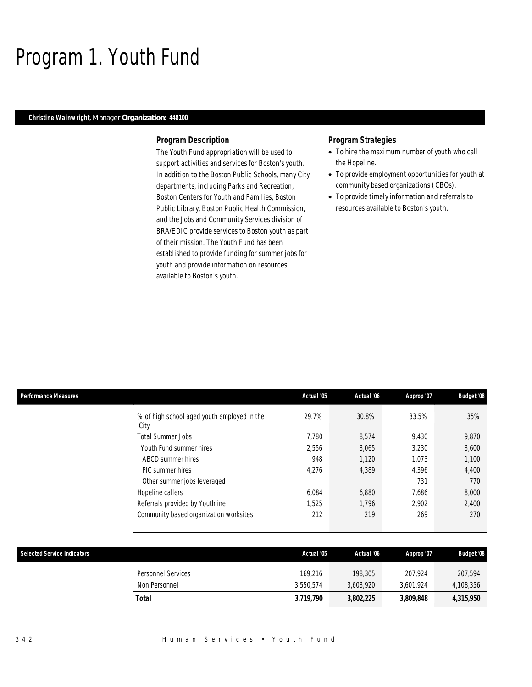## Program 1. Youth Fund

### *Christine Wainwright, Manager Organization: 448100*

#### *Program Description*

The Youth Fund appropriation will be used to support activities and services for Boston's youth. In addition to the Boston Public Schools, many City departments, including Parks and Recreation, Boston Centers for Youth and Families, Boston Public Library, Boston Public Health Commission, and the Jobs and Community Services division of BRA/EDIC provide services to Boston youth as part of their mission. The Youth Fund has been established to provide funding for summer jobs for youth and provide information on resources available to Boston's youth.

#### *Program Strategies*

- To hire the maximum number of youth who call the Hopeline.
- To provide employment opportunities for youth at community based organizations (CBOs).
- To provide timely information and referrals to resources available to Boston's youth.

| Performance Measures |                                             | Actual '05 | Actual '06 | Approp '07 | <b>Budget '08</b> |
|----------------------|---------------------------------------------|------------|------------|------------|-------------------|
| City                 | % of high school aged youth employed in the | 29.7%      | 30.8%      | 33.5%      | 35%               |
|                      | <b>Total Summer Jobs</b>                    | 7.780      | 8,574      | 9,430      | 9,870             |
|                      | Youth Fund summer hires                     | 2,556      | 3,065      | 3,230      | 3,600             |
|                      | ABCD summer hires                           | 948        | 1,120      | 1,073      | 1,100             |
|                      | <b>PIC</b> summer hires                     | 4,276      | 4,389      | 4.396      | 4,400             |
|                      | Other summer jobs leveraged                 |            |            | 731        | 770               |
|                      | Hopeline callers                            | 6,084      | 6,880      | 7,686      | 8,000             |
|                      | Referrals provided by Youthline             | 1,525      | 1.796      | 2.902      | 2,400             |
|                      | Community based organization worksites      | 212        | 219        | 269        | 270               |
|                      |                                             |            |            |            |                   |

| <b>Selected Service Indicators</b> |                                     | Actual '05           | Actual '06           | Approp '07           | <b>Budget '08</b>    |
|------------------------------------|-------------------------------------|----------------------|----------------------|----------------------|----------------------|
|                                    | Personnel Services<br>Non Personnel | 169.216<br>3.550.574 | 198,305<br>3.603.920 | 207.924<br>3.601.924 | 207,594<br>4,108,356 |
| Total                              |                                     | 3,719,790            | 3,802,225            | 3,809,848            | 4,315,950            |